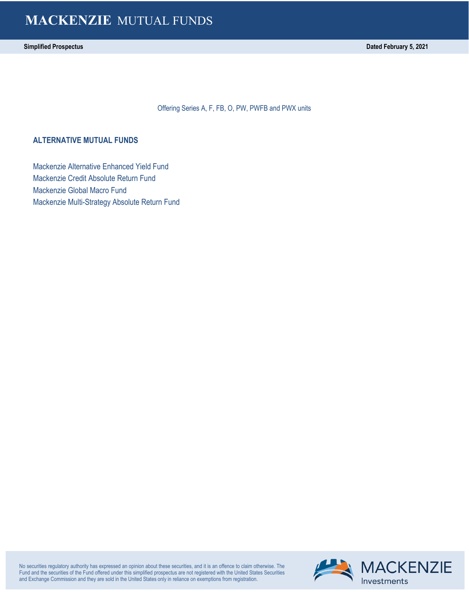# **MACKENZIE** MUTUAL FUNDS

Offering Series A, F, FB, O, PW, PWFB and PWX units

### **ALTERNATIVE MUTUAL FUNDS**

Mackenzie Alternative Enhanced Yield Fund Mackenzie Credit Absolute Return Fund Mackenzie Global Macro Fund Mackenzie Multi-Strategy Absolute Return Fund

No securities regulatory authority has expressed an opinion about these securities, and it is an offence to claim otherwise. The Fund and the securities of the Fund offered under this simplified prospectus are not registered with the United States Securities and Exchange Commission and they are sold in the United States only in reliance on exemptions from registration.

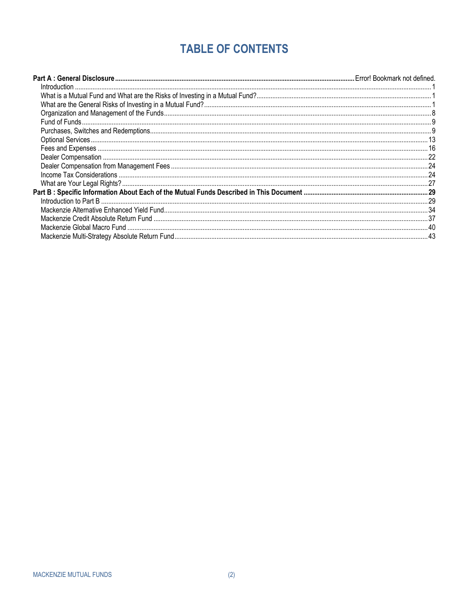# **TABLE OF CONTENTS**

<span id="page-1-0"></span>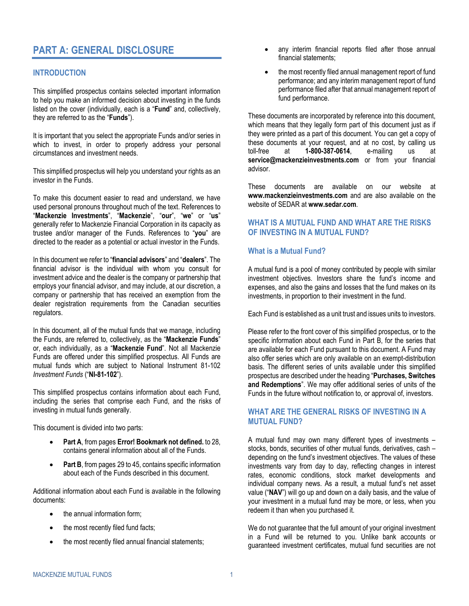# **PART A: GENERAL DISCLOSURE**

### **INTRODUCTION**

This simplified prospectus contains selected important information to help you make an informed decision about investing in the funds listed on the cover (individually, each is a "**Fund**" and, collectively, they are referred to as the "**Funds**").

It is important that you select the appropriate Funds and/or series in which to invest, in order to properly address your personal circumstances and investment needs.

This simplified prospectus will help you understand your rights as an investor in the Funds.

To make this document easier to read and understand, we have used personal pronouns throughout much of the text. References to "**Mackenzie Investments**", "**Mackenzie**", "**our**", "**we**" or "**us**" generally refer to Mackenzie Financial Corporation in its capacity as trustee and/or manager of the Funds. References to "**you**" are directed to the reader as a potential or actual investor in the Funds.

In this document we refer to "**financial advisors**" and "**dealers**". The financial advisor is the individual with whom you consult for investment advice and the dealer is the company or partnership that employs your financial advisor, and may include, at our discretion, a company or partnership that has received an exemption from the dealer registration requirements from the Canadian securities regulators.

In this document, all of the mutual funds that we manage, including the Funds, are referred to, collectively, as the "**Mackenzie Funds**" or, each individually, as a "**Mackenzie Fund**". Not all Mackenzie Funds are offered under this simplified prospectus. All Funds are mutual funds which are subject to National Instrument 81-102 *Investment Funds* ("**NI-81-102**").

This simplified prospectus contains information about each Fund, including the series that comprise each Fund, and the risks of investing in mutual funds generally.

This document is divided into two parts:

- **Part A**, from pages **Error! Bookmark not defined.** to [28,](#page-29-0) contains general information about all of the Funds.
- **[Part B](#page-30-0)**, from pages [29](#page-30-0) t[o 45,](#page-46-0) contains specific information about each of the Funds described in this document.

Additional information about each Fund is available in the following documents:

- the annual information form;
- the most recently filed fund facts;
- the most recently filed annual financial statements;
- any interim financial reports filed after those annual financial statements;
- the most recently filed annual management report of fund performance; and any interim management report of fund performance filed after that annual management report of fund performance.

These documents are incorporated by reference into this document, which means that they legally form part of this document just as if they were printed as a part of this document. You can get a copy of these documents at your request, and at no cost, by calling us<br>toll-free at **1-800-387-0614** e-mailing us at toll-free at **1-800-387-0614**, e-mailing us at **service@mackenzieinvestments.com** or from your financial advisor.

These documents are available on our website at **www.mackenzieinvestments.com** and are also available on the website of SEDAR at **www.sedar.com**.

### <span id="page-2-0"></span>**WHAT IS A MUTUAL FUND AND WHAT ARE THE RISKS OF INVESTING IN A MUTUAL FUND?**

### **What is a Mutual Fund?**

A mutual fund is a pool of money contributed by people with similar investment objectives. Investors share the fund's income and expenses, and also the gains and losses that the fund makes on its investments, in proportion to their investment in the fund.

Each Fund is established as a unit trust and issues units to investors.

Please refer to the front cover of this simplified prospectus, or to the specific information about each Fund in [Part B,](#page-30-0) for the series that are available for each Fund pursuant to this document. A Fund may also offer series which are only available on an exempt-distribution basis. The different series of units available under this simplified prospectus are described under the heading "**[Purchases, Switches](#page-10-1)  [and Redemptions](#page-10-1)**". We may offer additional series of units of the Funds in the future without notification to, or approval of, investors.

### <span id="page-2-1"></span>**WHAT ARE THE GENERAL RISKS OF INVESTING IN A MUTUAL FUND?**

A mutual fund may own many different types of investments – stocks, bonds, securities of other mutual funds, derivatives, cash – depending on the fund's investment objectives. The values of these investments vary from day to day, reflecting changes in interest rates, economic conditions, stock market developments and individual company news. As a result, a mutual fund's net asset value ("**NAV**") will go up and down on a daily basis, and the value of your investment in a mutual fund may be more, or less, when you redeem it than when you purchased it.

We do not guarantee that the full amount of your original investment in a Fund will be returned to you. Unlike bank accounts or guaranteed investment certificates, mutual fund securities are not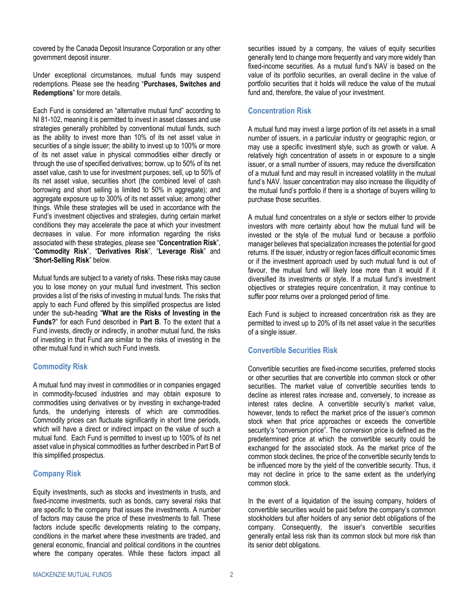covered by the Canada Deposit Insurance Corporation or any other government deposit insurer.

Under exceptional circumstances, mutual funds may suspend redemptions. Please see the heading "**[Purchases, Switches and](#page-10-1)  [Redemptions](#page-10-1)**" for more details.

Each Fund is considered an "alternative mutual fund" according to NI 81-102, meaning it is permitted to invest in asset classes and use strategies generally prohibited by conventional mutual funds, such as the ability to invest more than 10% of its net asset value in securities of a single issuer; the ability to invest up to 100% or more of its net asset value in physical commodities either directly or through the use of specified derivatives; borrow, up to 50% of its net asset value, cash to use for investment purposes; sell, up to 50% of its net asset value, securities short (the combined level of cash borrowing and short selling is limited to 50% in aggregate); and aggregate exposure up to 300% of its net asset value; among other things. While these strategies will be used in accordance with the Fund's investment objectives and strategies, during certain market conditions they may accelerate the pace at which your investment decreases in value. For more information regarding the risks associated with these strategies, please see "**[Concentration Risk](#page-3-0)**", "**[Commodity Risk](#page-3-1)**", "**[Derivatives Risk](#page-4-0)**", "**[Leverage Risk](#page-7-0)**" and "**[Short-Selling Risk](#page-8-0)**" below.

Mutual funds are subject to a variety of risks. These risks may cause you to lose money on your mutual fund investment. This section provides a list of the risks of investing in mutual funds. The risks that apply to each Fund offered by this simplified prospectus are listed under the sub-heading "**What are the Risks of Investing in the Funds?**" for each Fund described in **[Part B](#page-30-0)**. To the extent that a Fund invests, directly or indirectly, in another mutual fund, the risks of investing in that Fund are similar to the risks of investing in the other mutual fund in which such Fund invests.

### <span id="page-3-1"></span>**Commodity Risk**

A mutual fund may invest in commodities or in companies engaged in commodity-focused industries and may obtain exposure to commodities using derivatives or by investing in exchange-traded funds, the underlying interests of which are commodities. Commodity prices can fluctuate significantly in short time periods, which will have a direct or indirect impact on the value of such a mutual fund. Each Fund is permitted to invest up to 100% of its net asset value in physical commodities as further described i[n Part B](#page-30-0) of this simplified prospectus.

### **Company Risk**

Equity investments, such as stocks and investments in trusts, and fixed-income investments, such as bonds, carry several risks that are specific to the company that issues the investments. A number of factors may cause the price of these investments to fall. These factors include specific developments relating to the company, conditions in the market where these investments are traded, and general economic, financial and political conditions in the countries where the company operates. While these factors impact all

securities issued by a company, the values of equity securities generally tend to change more frequently and vary more widely than fixed-income securities. As a mutual fund's NAV is based on the value of its portfolio securities, an overall decline in the value of portfolio securities that it holds will reduce the value of the mutual fund and, therefore, the value of your investment.

### <span id="page-3-0"></span>**Concentration Risk**

A mutual fund may invest a large portion of its net assets in a small number of issuers, in a particular industry or geographic region, or may use a specific investment style, such as growth or value. A relatively high concentration of assets in or exposure to a single issuer, or a small number of issuers, may reduce the diversification of a mutual fund and may result in increased volatility in the mutual fund's NAV. Issuer concentration may also increase the illiquidity of the mutual fund's portfolio if there is a shortage of buyers willing to purchase those securities.

A mutual fund concentrates on a style or sectors either to provide investors with more certainty about how the mutual fund will be invested or the style of the mutual fund or because a portfolio manager believes that specialization increases the potential for good returns. If the issuer, industry or region faces difficult economic times or if the investment approach used by such mutual fund is out of favour, the mutual fund will likely lose more than it would if it diversified its investments or style. If a mutual fund's investment objectives or strategies require concentration, it may continue to suffer poor returns over a prolonged period of time.

Each Fund is subject to increased concentration risk as they are permitted to invest up to 20% of its net asset value in the securities of a single issuer.

### **Convertible Securities Risk**

Convertible securities are fixed-income securities, preferred stocks or other securities that are convertible into common stock or other securities. The market value of convertible securities tends to decline as interest rates increase and, conversely, to increase as interest rates decline. A convertible security's market value, however, tends to reflect the market price of the issuer's common stock when that price approaches or exceeds the convertible security's "conversion price". The conversion price is defined as the predetermined price at which the convertible security could be exchanged for the associated stock. As the market price of the common stock declines, the price of the convertible security tends to be influenced more by the yield of the convertible security. Thus, it may not decline in price to the same extent as the underlying common stock.

In the event of a liquidation of the issuing company, holders of convertible securities would be paid before the company's common stockholders but after holders of any senior debt obligations of the company. Consequently, the issuer's convertible securities generally entail less risk than its common stock but more risk than its senior debt obligations.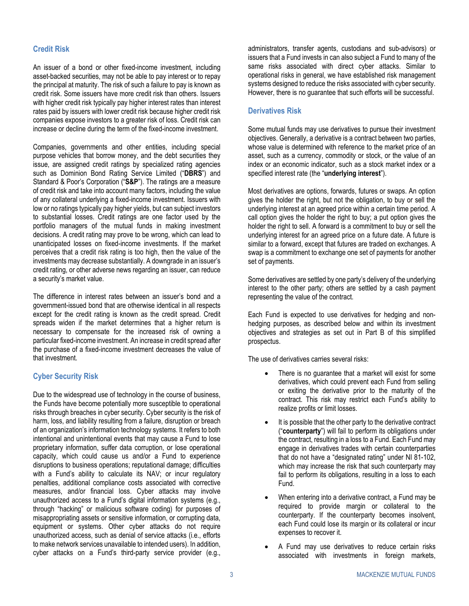### **Credit Risk**

An issuer of a bond or other fixed-income investment, including asset-backed securities, may not be able to pay interest or to repay the principal at maturity. The risk of such a failure to pay is known as credit risk. Some issuers have more credit risk than others. Issuers with higher credit risk typically pay higher interest rates than interest rates paid by issuers with lower credit risk because higher credit risk companies expose investors to a greater risk of loss. Credit risk can increase or decline during the term of the fixed-income investment.

Companies, governments and other entities, including special purpose vehicles that borrow money, and the debt securities they issue, are assigned credit ratings by specialized rating agencies such as Dominion Bond Rating Service Limited ("**DBRS**") and Standard & Poor's Corporation ("**S&P**"). The ratings are a measure of credit risk and take into account many factors, including the value of any collateral underlying a fixed-income investment. Issuers with low or no ratings typically pay higher yields, but can subject investors to substantial losses. Credit ratings are one factor used by the portfolio managers of the mutual funds in making investment decisions. A credit rating may prove to be wrong, which can lead to unanticipated losses on fixed-income investments. If the market perceives that a credit risk rating is too high, then the value of the investments may decrease substantially. A downgrade in an issuer's credit rating, or other adverse news regarding an issuer, can reduce a security's market value.

The difference in interest rates between an issuer's bond and a government-issued bond that are otherwise identical in all respects except for the credit rating is known as the credit spread. Credit spreads widen if the market determines that a higher return is necessary to compensate for the increased risk of owning a particular fixed-income investment. An increase in credit spread after the purchase of a fixed-income investment decreases the value of that investment.

### **Cyber Security Risk**

Due to the widespread use of technology in the course of business, the Funds have become potentially more susceptible to operational risks through breaches in cyber security. Cyber security is the risk of harm, loss, and liability resulting from a failure, disruption or breach of an organization's information technology systems. It refers to both intentional and unintentional events that may cause a Fund to lose proprietary information, suffer data corruption, or lose operational capacity, which could cause us and/or a Fund to experience disruptions to business operations; reputational damage; difficulties with a Fund's ability to calculate its NAV; or incur regulatory penalties, additional compliance costs associated with corrective measures, and/or financial loss. Cyber attacks may involve unauthorized access to a Fund's digital information systems (e.g., through "hacking" or malicious software coding) for purposes of misappropriating assets or sensitive information, or corrupting data, equipment or systems. Other cyber attacks do not require unauthorized access, such as denial of service attacks (i.e., efforts to make network services unavailable to intended users). In addition, cyber attacks on a Fund's third-party service provider (e.g.,

administrators, transfer agents, custodians and sub-advisors) or issuers that a Fund invests in can also subject a Fund to many of the same risks associated with direct cyber attacks. Similar to operational risks in general, we have established risk management systems designed to reduce the risks associated with cyber security. However, there is no guarantee that such efforts will be successful.

### <span id="page-4-0"></span>**Derivatives Risk**

Some mutual funds may use derivatives to pursue their investment objectives. Generally, a derivative is a contract between two parties, whose value is determined with reference to the market price of an asset, such as a currency, commodity or stock, or the value of an index or an economic indicator, such as a stock market index or a specified interest rate (the "**underlying interest**").

Most derivatives are options, forwards, futures or swaps. An option gives the holder the right, but not the obligation, to buy or sell the underlying interest at an agreed price within a certain time period. A call option gives the holder the right to buy; a put option gives the holder the right to sell. A forward is a commitment to buy or sell the underlying interest for an agreed price on a future date. A future is similar to a forward, except that futures are traded on exchanges. A swap is a commitment to exchange one set of payments for another set of payments.

Some derivatives are settled by one party's delivery of the underlying interest to the other party; others are settled by a cash payment representing the value of the contract.

Each Fund is expected to use derivatives for hedging and nonhedging purposes, as described below and within its investment objectives and strategies as set out in [Part B](#page-30-0) of this simplified prospectus.

The use of derivatives carries several risks:

- There is no guarantee that a market will exist for some derivatives, which could prevent each Fund from selling or exiting the derivative prior to the maturity of the contract. This risk may restrict each Fund's ability to realize profits or limit losses.
- It is possible that the other party to the derivative contract ("**counterparty**") will fail to perform its obligations under the contract, resulting in a loss to a Fund. Each Fund may engage in derivatives trades with certain counterparties that do not have a "designated rating" under NI 81-102, which may increase the risk that such counterparty may fail to perform its obligations, resulting in a loss to each Fund.
- When entering into a derivative contract, a Fund may be required to provide margin or collateral to the counterparty. If the counterparty becomes insolvent, each Fund could lose its margin or its collateral or incur expenses to recover it.
- A Fund may use derivatives to reduce certain risks associated with investments in foreign markets,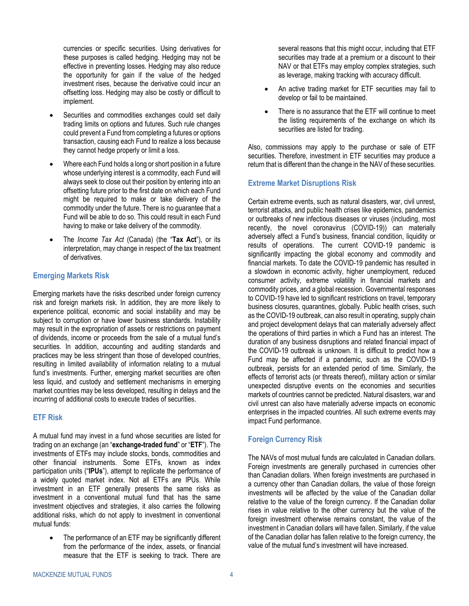currencies or specific securities. Using derivatives for these purposes is called hedging. Hedging may not be effective in preventing losses. Hedging may also reduce the opportunity for gain if the value of the hedged investment rises, because the derivative could incur an offsetting loss. Hedging may also be costly or difficult to implement.

- Securities and commodities exchanges could set daily trading limits on options and futures. Such rule changes could prevent a Fund from completing a futures or options transaction, causing each Fund to realize a loss because they cannot hedge properly or limit a loss.
- Where each Fund holds a long or short position in a future whose underlying interest is a commodity, each Fund will always seek to close out their position by entering into an offsetting future prior to the first date on which each Fund might be required to make or take delivery of the commodity under the future. There is no guarantee that a Fund will be able to do so. This could result in each Fund having to make or take delivery of the commodity.
- The *Income Tax Act* (Canada) (the "**Tax Act**"), or its interpretation, may change in respect of the tax treatment of derivatives.

### **Emerging Markets Risk**

Emerging markets have the risks described under foreign currency risk and foreign markets risk. In addition, they are more likely to experience political, economic and social instability and may be subject to corruption or have lower business standards. Instability may result in the expropriation of assets or restrictions on payment of dividends, income or proceeds from the sale of a mutual fund's securities. In addition, accounting and auditing standards and practices may be less stringent than those of developed countries, resulting in limited availability of information relating to a mutual fund's investments. Further, emerging market securities are often less liquid, and custody and settlement mechanisms in emerging market countries may be less developed, resulting in delays and the incurring of additional costs to execute trades of securities.

#### **ETF Risk**

A mutual fund may invest in a fund whose securities are listed for trading on an exchange (an "**exchange-traded fund**" or "**ETF**"). The investments of ETFs may include stocks, bonds, commodities and other financial instruments. Some ETFs, known as index participation units ("**IPUs**"), attempt to replicate the performance of a widely quoted market index. Not all ETFs are IPUs. While investment in an ETF generally presents the same risks as investment in a conventional mutual fund that has the same investment objectives and strategies, it also carries the following additional risks, which do not apply to investment in conventional mutual funds:

The performance of an ETF may be significantly different from the performance of the index, assets, or financial measure that the ETF is seeking to track. There are

several reasons that this might occur, including that ETF securities may trade at a premium or a discount to their NAV or that ETFs may employ complex strategies, such as leverage, making tracking with accuracy difficult.

- An active trading market for ETF securities may fail to develop or fail to be maintained.
- There is no assurance that the ETF will continue to meet the listing requirements of the exchange on which its securities are listed for trading.

Also, commissions may apply to the purchase or sale of ETF securities. Therefore, investment in ETF securities may produce a return that is different than the change in the NAV of these securities.

### **Extreme Market Disruptions Risk**

Certain extreme events, such as natural disasters, war, civil unrest, terrorist attacks, and public health crises like epidemics, pandemics or outbreaks of new infectious diseases or viruses (including, most recently, the novel coronavirus (COVID-19)) can materially adversely affect a Fund's business, financial condition, liquidity or results of operations. The current COVID-19 pandemic is significantly impacting the global economy and commodity and financial markets. To date the COVID-19 pandemic has resulted in a slowdown in economic activity, higher unemployment, reduced consumer activity, extreme volatility in financial markets and commodity prices, and a global recession. Governmental responses to COVID-19 have led to significant restrictions on travel, temporary business closures, quarantines, globally. Public health crises, such as the COVID-19 outbreak, can also result in operating, supply chain and project development delays that can materially adversely affect the operations of third parties in which a Fund has an interest. The duration of any business disruptions and related financial impact of the COVID-19 outbreak is unknown. It is difficult to predict how a Fund may be affected if a pandemic, such as the COVID-19 outbreak, persists for an extended period of time. Similarly, the effects of terrorist acts (or threats thereof), military action or similar unexpected disruptive events on the economies and securities markets of countries cannot be predicted. Natural disasters, war and civil unrest can also have materially adverse impacts on economic enterprises in the impacted countries. All such extreme events may impact Fund performance.

### **Foreign Currency Risk**

The NAVs of most mutual funds are calculated in Canadian dollars. Foreign investments are generally purchased in currencies other than Canadian dollars. When foreign investments are purchased in a currency other than Canadian dollars, the value of those foreign investments will be affected by the value of the Canadian dollar relative to the value of the foreign currency. If the Canadian dollar rises in value relative to the other currency but the value of the foreign investment otherwise remains constant, the value of the investment in Canadian dollars will have fallen. Similarly, if the value of the Canadian dollar has fallen relative to the foreign currency, the value of the mutual fund's investment will have increased.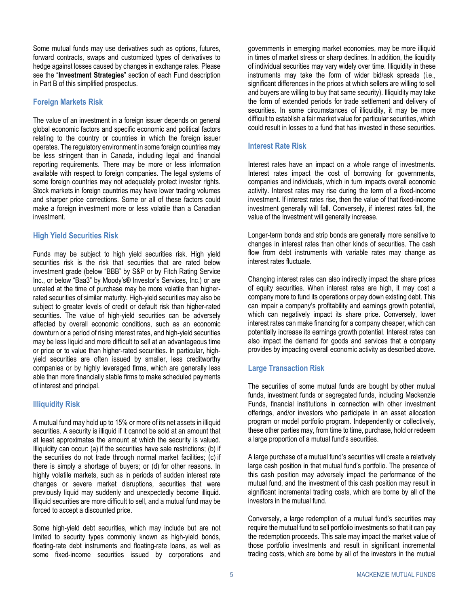Some mutual funds may use derivatives such as options, futures, forward contracts, swaps and customized types of derivatives to hedge against losses caused by changes in exchange rates. Please see the "**Investment Strategies**" section of each Fund description in [Part B](#page-30-0) of this simplified prospectus.

### **Foreign Markets Risk**

The value of an investment in a foreign issuer depends on general global economic factors and specific economic and political factors relating to the country or countries in which the foreign issuer operates. The regulatory environment in some foreign countries may be less stringent than in Canada, including legal and financial reporting requirements. There may be more or less information available with respect to foreign companies. The legal systems of some foreign countries may not adequately protect investor rights. Stock markets in foreign countries may have lower trading volumes and sharper price corrections. Some or all of these factors could make a foreign investment more or less volatile than a Canadian investment.

### **High Yield Securities Risk**

Funds may be subject to high yield securities risk. High yield securities risk is the risk that securities that are rated below investment grade (below "BBB" by S&P or by Fitch Rating Service Inc., or below "Baa3" by Moody's® Investor's Services, Inc.) or are unrated at the time of purchase may be more volatile than higherrated securities of similar maturity. High-yield securities may also be subject to greater levels of credit or default risk than higher-rated securities. The value of high-yield securities can be adversely affected by overall economic conditions, such as an economic downturn or a period of rising interest rates, and high-yield securities may be less liquid and more difficult to sell at an advantageous time or price or to value than higher-rated securities. In particular, highyield securities are often issued by smaller, less creditworthy companies or by highly leveraged firms, which are generally less able than more financially stable firms to make scheduled payments of interest and principal.

### **Illiquidity Risk**

A mutual fund may hold up to 15% or more of its net assets in illiquid securities. A security is illiquid if it cannot be sold at an amount that at least approximates the amount at which the security is valued. Illiquidity can occur: (a) if the securities have sale restrictions; (b) if the securities do not trade through normal market facilities; (c) if there is simply a shortage of buyers; or (d) for other reasons. In highly volatile markets, such as in periods of sudden interest rate changes or severe market disruptions, securities that were previously liquid may suddenly and unexpectedly become illiquid. Illiquid securities are more difficult to sell, and a mutual fund may be forced to accept a discounted price.

Some high-yield debt securities, which may include but are not limited to security types commonly known as high-yield bonds, floating-rate debt instruments and floating-rate loans, as well as some fixed-income securities issued by corporations and

governments in emerging market economies, may be more illiquid in times of market stress or sharp declines. In addition, the liquidity of individual securities may vary widely over time. Illiquidity in these instruments may take the form of wider bid/ask spreads (i.e., significant differences in the prices at which sellers are willing to sell and buyers are willing to buy that same security). Illiquidity may take the form of extended periods for trade settlement and delivery of securities. In some circumstances of illiquidity, it may be more difficult to establish a fair market value for particular securities, which could result in losses to a fund that has invested in these securities.

### **Interest Rate Risk**

Interest rates have an impact on a whole range of investments. Interest rates impact the cost of borrowing for governments, companies and individuals, which in turn impacts overall economic activity. Interest rates may rise during the term of a fixed-income investment. If interest rates rise, then the value of that fixed-income investment generally will fall. Conversely, if interest rates fall, the value of the investment will generally increase.

Longer-term bonds and strip bonds are generally more sensitive to changes in interest rates than other kinds of securities. The cash flow from debt instruments with variable rates may change as interest rates fluctuate.

Changing interest rates can also indirectly impact the share prices of equity securities. When interest rates are high, it may cost a company more to fund its operations or pay down existing debt. This can impair a company's profitability and earnings growth potential, which can negatively impact its share price. Conversely, lower interest rates can make financing for a company cheaper, which can potentially increase its earnings growth potential. Interest rates can also impact the demand for goods and services that a company provides by impacting overall economic activity as described above.

### **Large Transaction Risk**

The securities of some mutual funds are bought by other mutual funds, investment funds or segregated funds, including Mackenzie Funds, financial institutions in connection with other investment offerings, and/or investors who participate in an asset allocation program or model portfolio program. Independently or collectively, these other parties may, from time to time, purchase, hold or redeem a large proportion of a mutual fund's securities.

A large purchase of a mutual fund's securities will create a relatively large cash position in that mutual fund's portfolio. The presence of this cash position may adversely impact the performance of the mutual fund, and the investment of this cash position may result in significant incremental trading costs, which are borne by all of the investors in the mutual fund.

Conversely, a large redemption of a mutual fund's securities may require the mutual fund to sell portfolio investments so that it can pay the redemption proceeds. This sale may impact the market value of those portfolio investments and result in significant incremental trading costs, which are borne by all of the investors in the mutual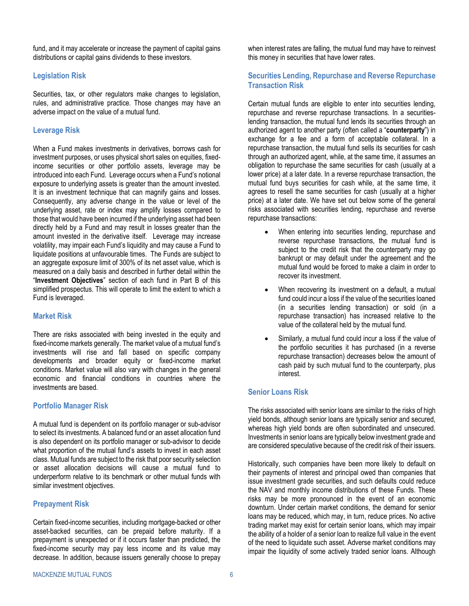fund, and it may accelerate or increase the payment of capital gains distributions or capital gains dividends to these investors.

### **Legislation Risk**

Securities, tax, or other regulators make changes to legislation, rules, and administrative practice. Those changes may have an adverse impact on the value of a mutual fund.

### <span id="page-7-0"></span>**Leverage Risk**

When a Fund makes investments in derivatives, borrows cash for investment purposes, or uses physical short sales on equities, fixedincome securities or other portfolio assets, leverage may be introduced into each Fund. Leverage occurs when a Fund's notional exposure to underlying assets is greater than the amount invested. It is an investment technique that can magnify gains and losses. Consequently, any adverse change in the value or level of the underlying asset, rate or index may amplify losses compared to those that would have been incurred if the underlying asset had been directly held by a Fund and may result in losses greater than the amount invested in the derivative itself. Leverage may increase volatility, may impair each Fund's liquidity and may cause a Fund to liquidate positions at unfavourable times. The Funds are subject to an aggregate exposure limit of 300% of its net asset value, which is measured on a daily basis and described in further detail within the "**Investment Objectives**" section of each fund in Part B of this simplified prospectus. This will operate to limit the extent to which a Fund is leveraged.

### **Market Risk**

There are risks associated with being invested in the equity and fixed-income markets generally. The market value of a mutual fund's investments will rise and fall based on specific company developments and broader equity or fixed-income market conditions. Market value will also vary with changes in the general economic and financial conditions in countries where the investments are based.

### **Portfolio Manager Risk**

A mutual fund is dependent on its portfolio manager or sub-advisor to select its investments. A balanced fund or an asset allocation fund is also dependent on its portfolio manager or sub-advisor to decide what proportion of the mutual fund's assets to invest in each asset class. Mutual funds are subject to the risk that poor security selection or asset allocation decisions will cause a mutual fund to underperform relative to its benchmark or other mutual funds with similar investment objectives.

### **Prepayment Risk**

Certain fixed-income securities, including mortgage-backed or other asset-backed securities, can be prepaid before maturity. If a prepayment is unexpected or if it occurs faster than predicted, the fixed-income security may pay less income and its value may decrease. In addition, because issuers generally choose to prepay

when interest rates are falling, the mutual fund may have to reinvest this money in securities that have lower rates.

### **Securities Lending, Repurchase and Reverse Repurchase Transaction Risk**

Certain mutual funds are eligible to enter into securities lending, repurchase and reverse repurchase transactions. In a securitieslending transaction, the mutual fund lends its securities through an authorized agent to another party (often called a "**counterparty**") in exchange for a fee and a form of acceptable collateral. In a repurchase transaction, the mutual fund sells its securities for cash through an authorized agent, while, at the same time, it assumes an obligation to repurchase the same securities for cash (usually at a lower price) at a later date. In a reverse repurchase transaction, the mutual fund buys securities for cash while, at the same time, it agrees to resell the same securities for cash (usually at a higher price) at a later date. We have set out below some of the general risks associated with securities lending, repurchase and reverse repurchase transactions:

- When entering into securities lending, repurchase and reverse repurchase transactions, the mutual fund is subject to the credit risk that the counterparty may go bankrupt or may default under the agreement and the mutual fund would be forced to make a claim in order to recover its investment.
- When recovering its investment on a default, a mutual fund could incur a loss if the value of the securities loaned (in a securities lending transaction) or sold (in a repurchase transaction) has increased relative to the value of the collateral held by the mutual fund.
- Similarly, a mutual fund could incur a loss if the value of the portfolio securities it has purchased (in a reverse repurchase transaction) decreases below the amount of cash paid by such mutual fund to the counterparty, plus interest.

### **Senior Loans Risk**

The risks associated with senior loans are similar to the risks of high yield bonds, although senior loans are typically senior and secured, whereas high yield bonds are often subordinated and unsecured. Investments in senior loans are typically below investment grade and are considered speculative because of the credit risk of their issuers.

Historically, such companies have been more likely to default on their payments of interest and principal owed than companies that issue investment grade securities, and such defaults could reduce the NAV and monthly income distributions of these Funds. These risks may be more pronounced in the event of an economic downturn. Under certain market conditions, the demand for senior loans may be reduced, which may, in turn, reduce prices. No active trading market may exist for certain senior loans, which may impair the ability of a holder of a senior loan to realize full value in the event of the need to liquidate such asset. Adverse market conditions may impair the liquidity of some actively traded senior loans. Although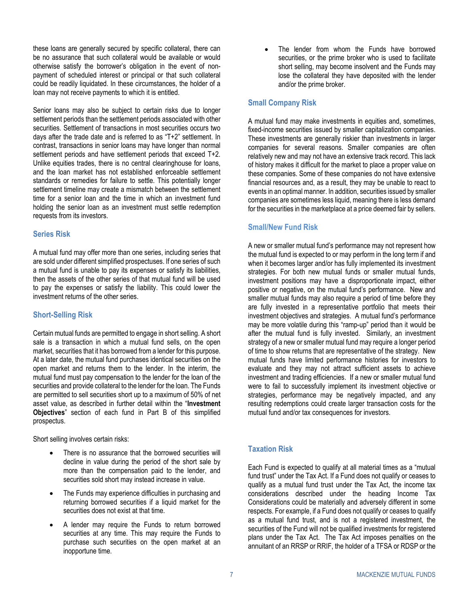these loans are generally secured by specific collateral, there can be no assurance that such collateral would be available or would otherwise satisfy the borrower's obligation in the event of nonpayment of scheduled interest or principal or that such collateral could be readily liquidated. In these circumstances, the holder of a loan may not receive payments to which it is entitled.

Senior loans may also be subject to certain risks due to longer settlement periods than the settlement periods associated with other securities. Settlement of transactions in most securities occurs two days after the trade date and is referred to as "T+2" settlement. In contrast, transactions in senior loans may have longer than normal settlement periods and have settlement periods that exceed T+2. Unlike equities trades, there is no central clearinghouse for loans, and the loan market has not established enforceable settlement standards or remedies for failure to settle. This potentially longer settlement timeline may create a mismatch between the settlement time for a senior loan and the time in which an investment fund holding the senior loan as an investment must settle redemption requests from its investors.

#### **Series Risk**

A mutual fund may offer more than one series, including series that are sold under different simplified prospectuses. If one series of such a mutual fund is unable to pay its expenses or satisfy its liabilities, then the assets of the other series of that mutual fund will be used to pay the expenses or satisfy the liability. This could lower the investment returns of the other series.

#### <span id="page-8-0"></span>**Short-Selling Risk**

Certain mutual funds are permitted to engage in short selling. A short sale is a transaction in which a mutual fund sells, on the open market, securities that it has borrowed from a lender for this purpose. At a later date, the mutual fund purchases identical securities on the open market and returns them to the lender. In the interim, the mutual fund must pay compensation to the lender for the loan of the securities and provide collateral to the lender for the loan. The Funds are permitted to sell securities short up to a maximum of 50% of net asset value, as described in further detail within the "**Investment Objectives**" section of each fund in [Part B](#page-30-0) of this simplified prospectus.

Short selling involves certain risks:

- There is no assurance that the borrowed securities will decline in value during the period of the short sale by more than the compensation paid to the lender, and securities sold short may instead increase in value.
- The Funds may experience difficulties in purchasing and returning borrowed securities if a liquid market for the securities does not exist at that time.
- A lender may require the Funds to return borrowed securities at any time. This may require the Funds to purchase such securities on the open market at an inopportune time.

The lender from whom the Funds have borrowed securities, or the prime broker who is used to facilitate short selling, may become insolvent and the Funds may lose the collateral they have deposited with the lender and/or the prime broker.

### **Small Company Risk**

A mutual fund may make investments in equities and, sometimes, fixed-income securities issued by smaller capitalization companies. These investments are generally riskier than investments in larger companies for several reasons. Smaller companies are often relatively new and may not have an extensive track record. This lack of history makes it difficult for the market to place a proper value on these companies. Some of these companies do not have extensive financial resources and, as a result, they may be unable to react to events in an optimal manner. In addition, securities issued by smaller companies are sometimes less liquid, meaning there is less demand for the securities in the marketplace at a price deemed fair by sellers.

### **Small/New Fund Risk**

A new or smaller mutual fund's performance may not represent how the mutual fund is expected to or may perform in the long term if and when it becomes larger and/or has fully implemented its investment strategies. For both new mutual funds or smaller mutual funds, investment positions may have a disproportionate impact, either positive or negative, on the mutual fund's performance. New and smaller mutual funds may also require a period of time before they are fully invested in a representative portfolio that meets their investment objectives and strategies. A mutual fund's performance may be more volatile during this "ramp-up" period than it would be after the mutual fund is fully invested. Similarly, an investment strategy of a new or smaller mutual fund may require a longer period of time to show returns that are representative of the strategy. New mutual funds have limited performance histories for investors to evaluate and they may not attract sufficient assets to achieve investment and trading efficiencies. If a new or smaller mutual fund were to fail to successfully implement its investment objective or strategies, performance may be negatively impacted, and any resulting redemptions could create larger transaction costs for the mutual fund and/or tax consequences for investors.

### **Taxation Risk**

Each Fund is expected to qualify at all material times as a "mutual fund trust" under the Tax Act. If a Fund does not qualify or ceases to qualify as a mutual fund trust under the Tax Act, the income tax considerations described under the heading Income Tax Considerations could be materially and adversely different in some respects. For example, if a Fund does not qualify or ceases to qualify as a mutual fund trust, and is not a registered investment, the securities of the Fund will not be qualified investments for registered plans under the Tax Act. The Tax Act imposes penalties on the annuitant of an RRSP or RRIF, the holder of a TFSA or RDSP or the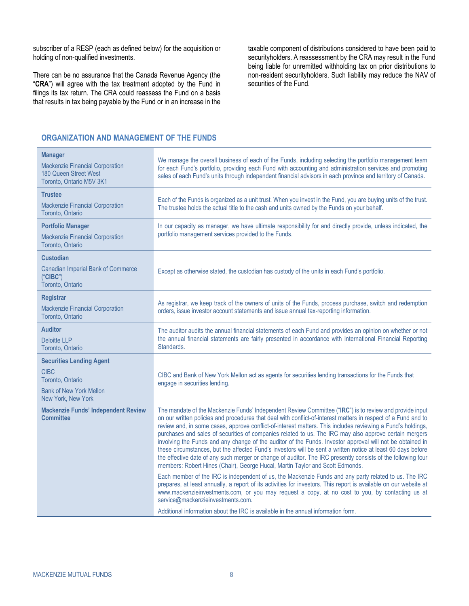subscriber of a RESP (each as defined below) for the acquisition or holding of non-qualified investments.

There can be no assurance that the Canada Revenue Agency (the "**CRA**") will agree with the tax treatment adopted by the Fund in filings its tax return. The CRA could reassess the Fund on a basis that results in tax being payable by the Fund or in an increase in the

taxable component of distributions considered to have been paid to securityholders. A reassessment by the CRA may result in the Fund being liable for unremitted withholding tax on prior distributions to non-resident securityholders. Such liability may reduce the NAV of securities of the Fund.

### <span id="page-9-0"></span>**ORGANIZATION AND MANAGEMENT OF THE FUNDS**

| <b>Manager</b><br><b>Mackenzie Financial Corporation</b><br>180 Queen Street West<br>Toronto, Ontario M5V 3K1              | We manage the overall business of each of the Funds, including selecting the portfolio management team<br>for each Fund's portfolio, providing each Fund with accounting and administration services and promoting<br>sales of each Fund's units through independent financial advisors in each province and territory of Canada.                                                                                                                                                                                                                                                                                                                                                                                                                                                                                                                                                |
|----------------------------------------------------------------------------------------------------------------------------|----------------------------------------------------------------------------------------------------------------------------------------------------------------------------------------------------------------------------------------------------------------------------------------------------------------------------------------------------------------------------------------------------------------------------------------------------------------------------------------------------------------------------------------------------------------------------------------------------------------------------------------------------------------------------------------------------------------------------------------------------------------------------------------------------------------------------------------------------------------------------------|
| <b>Trustee</b><br><b>Mackenzie Financial Corporation</b><br>Toronto, Ontario                                               | Each of the Funds is organized as a unit trust. When you invest in the Fund, you are buying units of the trust.<br>The trustee holds the actual title to the cash and units owned by the Funds on your behalf.                                                                                                                                                                                                                                                                                                                                                                                                                                                                                                                                                                                                                                                                   |
| <b>Portfolio Manager</b><br><b>Mackenzie Financial Corporation</b><br>Toronto, Ontario                                     | In our capacity as manager, we have ultimate responsibility for and directly provide, unless indicated, the<br>portfolio management services provided to the Funds.                                                                                                                                                                                                                                                                                                                                                                                                                                                                                                                                                                                                                                                                                                              |
| <b>Custodian</b><br><b>Canadian Imperial Bank of Commerce</b><br>("CIBC")<br>Toronto, Ontario                              | Except as otherwise stated, the custodian has custody of the units in each Fund's portfolio.                                                                                                                                                                                                                                                                                                                                                                                                                                                                                                                                                                                                                                                                                                                                                                                     |
| <b>Registrar</b><br><b>Mackenzie Financial Corporation</b><br>Toronto, Ontario                                             | As registrar, we keep track of the owners of units of the Funds, process purchase, switch and redemption<br>orders, issue investor account statements and issue annual tax-reporting information.                                                                                                                                                                                                                                                                                                                                                                                                                                                                                                                                                                                                                                                                                |
| <b>Auditor</b><br><b>Deloitte LLP</b><br>Toronto, Ontario                                                                  | The auditor audits the annual financial statements of each Fund and provides an opinion on whether or not<br>the annual financial statements are fairly presented in accordance with International Financial Reporting<br>Standards.                                                                                                                                                                                                                                                                                                                                                                                                                                                                                                                                                                                                                                             |
| <b>Securities Lending Agent</b><br><b>CIBC</b><br>Toronto, Ontario<br><b>Bank of New York Mellon</b><br>New York, New York | CIBC and Bank of New York Mellon act as agents for securities lending transactions for the Funds that<br>engage in securities lending.                                                                                                                                                                                                                                                                                                                                                                                                                                                                                                                                                                                                                                                                                                                                           |
| <b>Mackenzie Funds' Independent Review</b><br><b>Committee</b>                                                             | The mandate of the Mackenzie Funds' Independent Review Committee ("IRC") is to review and provide input<br>on our written policies and procedures that deal with conflict-of-interest matters in respect of a Fund and to<br>review and, in some cases, approve conflict-of-interest matters. This includes reviewing a Fund's holdings,<br>purchases and sales of securities of companies related to us. The IRC may also approve certain mergers<br>involving the Funds and any change of the auditor of the Funds. Investor approval will not be obtained in<br>these circumstances, but the affected Fund's investors will be sent a written notice at least 60 days before<br>the effective date of any such merger or change of auditor. The IRC presently consists of the following four<br>members: Robert Hines (Chair), George Hucal, Martin Taylor and Scott Edmonds. |
|                                                                                                                            | Each member of the IRC is independent of us, the Mackenzie Funds and any party related to us. The IRC<br>prepares, at least annually, a report of its activities for investors. This report is available on our website at<br>www.mackenzieinvestments.com, or you may request a copy, at no cost to you, by contacting us at<br>service@mackenzieinvestments.com.                                                                                                                                                                                                                                                                                                                                                                                                                                                                                                               |
|                                                                                                                            | Additional information about the IRC is available in the annual information form.                                                                                                                                                                                                                                                                                                                                                                                                                                                                                                                                                                                                                                                                                                                                                                                                |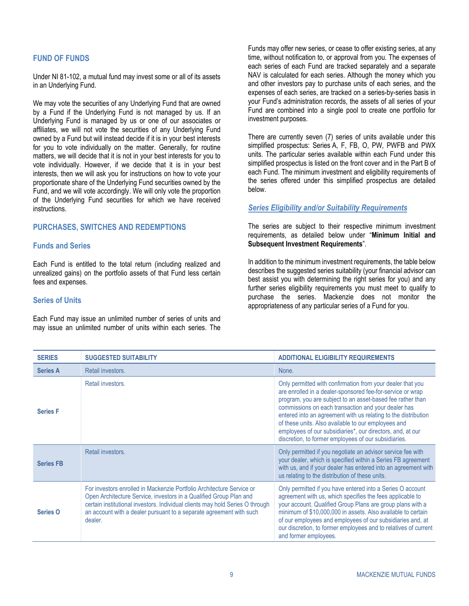### <span id="page-10-0"></span>**FUND OF FUNDS**

Under NI 81-102, a mutual fund may invest some or all of its assets in an Underlying Fund.

We may vote the securities of any Underlying Fund that are owned by a Fund if the Underlying Fund is not managed by us. If an Underlying Fund is managed by us or one of our associates or affiliates, we will not vote the securities of any Underlying Fund owned by a Fund but will instead decide if it is in your best interests for you to vote individually on the matter. Generally, for routine matters, we will decide that it is not in your best interests for you to vote individually. However, if we decide that it is in your best interests, then we will ask you for instructions on how to vote your proportionate share of the Underlying Fund securities owned by the Fund, and we will vote accordingly. We will only vote the proportion of the Underlying Fund securities for which we have received instructions.

### <span id="page-10-1"></span>**PURCHASES, SWITCHES AND REDEMPTIONS**

#### **Funds and Series**

Each Fund is entitled to the total return (including realized and unrealized gains) on the portfolio assets of that Fund less certain fees and expenses.

### **Series of Units**

Each Fund may issue an unlimited number of series of units and may issue an unlimited number of units within each series. The

Funds may offer new series, or cease to offer existing series, at any time, without notification to, or approval from you. The expenses of each series of each Fund are tracked separately and a separate NAV is calculated for each series. Although the money which you and other investors pay to purchase units of each series, and the expenses of each series, are tracked on a series-by-series basis in your Fund's administration records, the assets of all series of your Fund are combined into a single pool to create one portfolio for investment purposes.

There are currently seven (7) series of units available under this simplified prospectus: Series A, F, FB, O, PW, PWFB and PWX units. The particular series available within each Fund under this simplified prospectus is listed on the front cover and in the [Part B](#page-30-0) of each Fund. The minimum investment and eligibility requirements of the series offered under this simplified prospectus are detailed below.

#### *Series Eligibility and/or Suitability Requirements*

The series are subject to their respective minimum investment requirements, as detailed below under "**[Minimum Initial and](#page-11-0)  [Subsequent Investment Requirements](#page-11-0)**".

In addition to the minimum investment requirements, the table below describes the suggested series suitability (your financial advisor can best assist you with determining the right series for you) and any further series eligibility requirements you must meet to qualify to purchase the series. Mackenzie does not monitor the appropriateness of any particular series of a Fund for you.

| <b>SERIES</b>    | <b>SUGGESTED SUITABILITY</b>                                                                                                                                                                                                                                                                                   | <b>ADDITIONAL ELIGIBILITY REQUIREMENTS</b>                                                                                                                                                                                                                                                                                                                                                                                                                                                   |
|------------------|----------------------------------------------------------------------------------------------------------------------------------------------------------------------------------------------------------------------------------------------------------------------------------------------------------------|----------------------------------------------------------------------------------------------------------------------------------------------------------------------------------------------------------------------------------------------------------------------------------------------------------------------------------------------------------------------------------------------------------------------------------------------------------------------------------------------|
| <b>Series A</b>  | Retail investors.                                                                                                                                                                                                                                                                                              | None.                                                                                                                                                                                                                                                                                                                                                                                                                                                                                        |
| <b>Series F</b>  | Retail investors.                                                                                                                                                                                                                                                                                              | Only permitted with confirmation from your dealer that you<br>are enrolled in a dealer-sponsored fee-for-service or wrap<br>program, you are subject to an asset-based fee rather than<br>commissions on each transaction and your dealer has<br>entered into an agreement with us relating to the distribution<br>of these units. Also available to our employees and<br>employees of our subsidiaries*, our directors, and, at our<br>discretion, to former employees of our subsidiaries. |
| <b>Series FB</b> | Retail investors.                                                                                                                                                                                                                                                                                              | Only permitted if you negotiate an advisor service fee with<br>your dealer, which is specified within a Series FB agreement<br>with us, and if your dealer has entered into an agreement with<br>us relating to the distribution of these units.                                                                                                                                                                                                                                             |
| <b>Series O</b>  | For investors enrolled in Mackenzie Portfolio Architecture Service or<br>Open Architecture Service, investors in a Qualified Group Plan and<br>certain institutional investors. Individual clients may hold Series O through<br>an account with a dealer pursuant to a separate agreement with such<br>dealer. | Only permitted if you have entered into a Series O account<br>agreement with us, which specifies the fees applicable to<br>your account. Qualified Group Plans are group plans with a<br>minimum of \$10,000,000 in assets. Also available to certain<br>of our employees and employees of our subsidiaries and, at<br>our discretion, to former employees and to relatives of current<br>and former employees.                                                                              |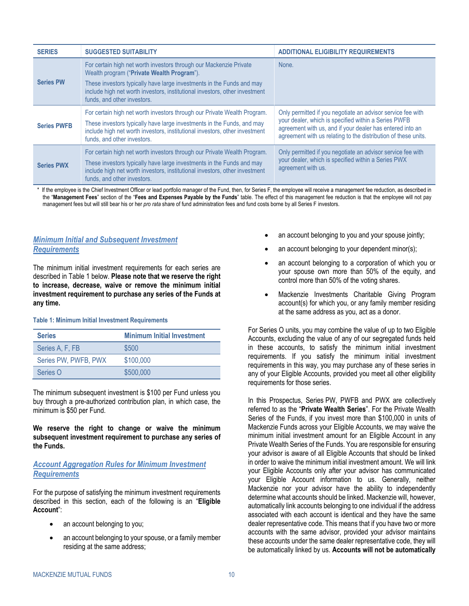| <b>SERIES</b>      | <b>SUGGESTED SUITABILITY</b>                                                                                                                                                                                                                                                                            | <b>ADDITIONAL ELIGIBILITY REQUIREMENTS</b>                                                                                                                                                                                                         |
|--------------------|---------------------------------------------------------------------------------------------------------------------------------------------------------------------------------------------------------------------------------------------------------------------------------------------------------|----------------------------------------------------------------------------------------------------------------------------------------------------------------------------------------------------------------------------------------------------|
| <b>Series PW</b>   | For certain high net worth investors through our Mackenzie Private<br>Wealth program ("Private Wealth Program").<br>These investors typically have large investments in the Funds and may<br>include high net worth investors, institutional investors, other investment<br>funds, and other investors. | None.                                                                                                                                                                                                                                              |
| <b>Series PWFB</b> | For certain high net worth investors through our Private Wealth Program.<br>These investors typically have large investments in the Funds, and may<br>include high net worth investors, institutional investors, other investment<br>funds, and other investors.                                        | Only permitted if you negotiate an advisor service fee with<br>your dealer, which is specified within a Series PWFB<br>agreement with us, and if your dealer has entered into an<br>agreement with us relating to the distribution of these units. |
| <b>Series PWX</b>  | For certain high net worth investors through our Private Wealth Program.<br>These investors typically have large investments in the Funds and may<br>include high net worth investors, institutional investors, other investment<br>funds, and other investors.                                         | Only permitted if you negotiate an advisor service fee with<br>your dealer, which is specified within a Series PWX<br>agreement with us.                                                                                                           |

\* If the employee is the Chief Investment Officer or lead portfolio manager of the Fund, then, for Series F, the employee will receive a management fee reduction, as described in the "**Management Fees**" section of the "**[Fees and Expenses Payable by the Funds](#page-19-0)**" table. The effect of this management fee reduction is that the employee will not pay management fees but will still bear his or her *pro rata* share of fund administration fees and fund costs borne by all Series F investors.

### <span id="page-11-0"></span>*Minimum Initial and Subsequent Investment Requirements*

The minimum initial investment requirements for each series are described in [Table](#page-11-1) 1 below. **Please note that we reserve the right to increase, decrease, waive or remove the minimum initial investment requirement to purchase any series of the Funds at any time.**

#### <span id="page-11-1"></span>**Table 1: Minimum Initial Investment Requirements**

| <b>Series</b>        | <b>Minimum Initial Investment</b> |
|----------------------|-----------------------------------|
| Series A, F, FB      | \$500                             |
| Series PW, PWFB, PWX | \$100,000                         |
| Series O             | \$500,000                         |

The minimum subsequent investment is \$100 per Fund unless you buy through a pre-authorized contribution plan, in which case, the minimum is \$50 per Fund.

**We reserve the right to change or waive the minimum subsequent investment requirement to purchase any series of the Funds.**

### *Account Aggregation Rules for Minimum Investment Requirements*

For the purpose of satisfying the minimum investment requirements described in this section, each of the following is an "**Eligible Account**":

- an account belonging to you;
- an account belonging to your spouse, or a family member residing at the same address;
- an account belonging to you and your spouse jointly;
- an account belonging to your dependent minor(s);
- an account belonging to a corporation of which you or your spouse own more than 50% of the equity, and control more than 50% of the voting shares.
- Mackenzie Investments Charitable Giving Program account(s) for which you, or any family member residing at the same address as you, act as a donor.

For Series O units, you may combine the value of up to two Eligible Accounts, excluding the value of any of our segregated funds held in these accounts, to satisfy the minimum initial investment requirements. If you satisfy the minimum initial investment requirements in this way, you may purchase any of these series in any of your Eligible Accounts, provided you meet all other eligibility requirements for those series.

In this Prospectus, Series PW, PWFB and PWX are collectively referred to as the "**Private Wealth Series**". For the Private Wealth Series of the Funds, if you invest more than \$100,000 in units of Mackenzie Funds across your Eligible Accounts, we may waive the minimum initial investment amount for an Eligible Account in any Private Wealth Series of the Funds. You are responsible for ensuring your advisor is aware of all Eligible Accounts that should be linked in order to waive the minimum initial investment amount. We will link your Eligible Accounts only after your advisor has communicated your Eligible Account information to us. Generally, neither Mackenzie nor your advisor have the ability to independently determine what accounts should be linked. Mackenzie will, however, automatically link accounts belonging to one individual if the address associated with each account is identical and they have the same dealer representative code. This means that if you have two or more accounts with the same advisor, provided your advisor maintains these accounts under the same dealer representative code, they will be automatically linked by us. **Accounts will not be automatically**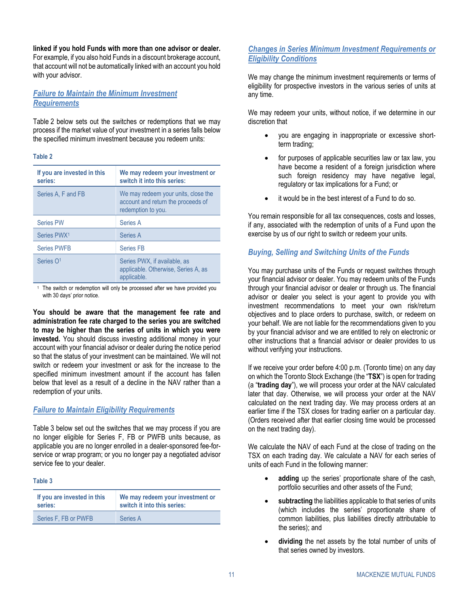**linked if you hold Funds with more than one advisor or dealer.** For example, if you also hold Funds in a discount brokerage account, that account will not be automatically linked with an account you hold with your advisor.

### *Failure to Maintain the Minimum Investment Requirements*

[Table](#page-12-0) 2 below sets out the switches or redemptions that we may process if the market value of your investment in a series falls below the specified minimum investment because you redeem units:

#### <span id="page-12-0"></span>**Table 2**

| If you are invested in this<br>series: | We may redeem your investment or<br>switch it into this series:                                 |
|----------------------------------------|-------------------------------------------------------------------------------------------------|
| Series A, F and FB                     | We may redeem your units, close the<br>account and return the proceeds of<br>redemption to you. |
| <b>Series PW</b>                       | Series A                                                                                        |
| Series PWX <sup>1</sup>                | Series A                                                                                        |
| <b>Series PWFB</b>                     | <b>Series FB</b>                                                                                |
| Series O <sup>1</sup>                  | Series PWX, if available, as<br>applicable. Otherwise, Series A, as<br>applicable.              |

The switch or redemption will only be processed after we have provided you with 30 days' prior notice.

**You should be aware that the management fee rate and administration fee rate charged to the series you are switched to may be higher than the series of units in which you were invested.** You should discuss investing additional money in your account with your financial advisor or dealer during the notice period so that the status of your investment can be maintained. We will not switch or redeem your investment or ask for the increase to the specified minimum investment amount if the account has fallen below that level as a result of a decline in the NAV rather than a redemption of your units.

### *Failure to Maintain Eligibility Requirements*

[Table](#page-12-1) 3 below set out the switches that we may process if you are no longer eligible for Series F, FB or PWFB units because, as applicable you are no longer enrolled in a dealer-sponsored fee-forservice or wrap program; or you no longer pay a negotiated advisor service fee to your dealer.

#### <span id="page-12-1"></span>**Table 3**

| If you are invested in this | We may redeem your investment or |
|-----------------------------|----------------------------------|
| series:                     | switch it into this series:      |
| Series F. FB or PWFB        | Series A                         |

## *Changes in Series Minimum Investment Requirements or Eligibility Conditions*

We may change the minimum investment requirements or terms of eligibility for prospective investors in the various series of units at any time.

We may redeem your units, without notice, if we determine in our discretion that

- you are engaging in inappropriate or excessive shortterm trading;
- for purposes of applicable securities law or tax law, you have become a resident of a foreign jurisdiction where such foreign residency may have negative legal, regulatory or tax implications for a Fund; or
- it would be in the best interest of a Fund to do so.

You remain responsible for all tax consequences, costs and losses, if any, associated with the redemption of units of a Fund upon the exercise by us of our right to switch or redeem your units.

# *Buying, Selling and Switching Units of the Funds*

You may purchase units of the Funds or request switches through your financial advisor or dealer. You may redeem units of the Funds through your financial advisor or dealer or through us. The financial advisor or dealer you select is your agent to provide you with investment recommendations to meet your own risk/return objectives and to place orders to purchase, switch, or redeem on your behalf. We are not liable for the recommendations given to you by your financial advisor and we are entitled to rely on electronic or other instructions that a financial advisor or dealer provides to us without verifying your instructions.

If we receive your order before 4:00 p.m. (Toronto time) on any day on which the Toronto Stock Exchange (the "**TSX**") is open for trading (a "**trading day**"), we will process your order at the NAV calculated later that day. Otherwise, we will process your order at the NAV calculated on the next trading day. We may process orders at an earlier time if the TSX closes for trading earlier on a particular day. (Orders received after that earlier closing time would be processed on the next trading day).

We calculate the NAV of each Fund at the close of trading on the TSX on each trading day. We calculate a NAV for each series of units of each Fund in the following manner:

- adding up the series' proportionate share of the cash, portfolio securities and other assets of the Fund;
- subtracting the liabilities applicable to that series of units (which includes the series' proportionate share of common liabilities, plus liabilities directly attributable to the series); and
- dividing the net assets by the total number of units of that series owned by investors.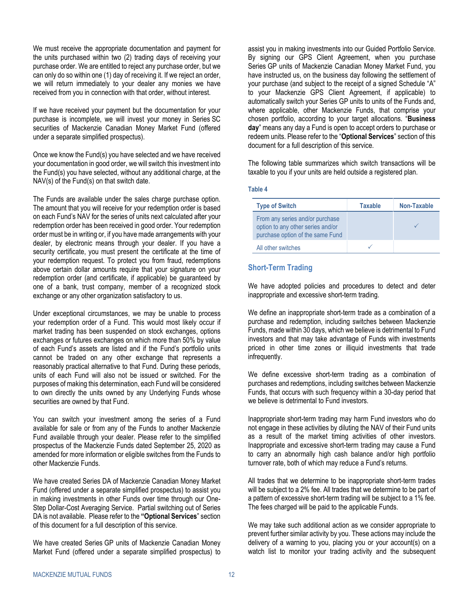We must receive the appropriate documentation and payment for the units purchased within two (2) trading days of receiving your purchase order. We are entitled to reject any purchase order, but we can only do so within one (1) day of receiving it. If we reject an order, we will return immediately to your dealer any monies we have received from you in connection with that order, without interest.

If we have received your payment but the documentation for your purchase is incomplete, we will invest your money in Series SC securities of Mackenzie Canadian Money Market Fund (offered under a separate simplified prospectus).

Once we know the Fund(s) you have selected and we have received your documentation in good order, we will switch this investment into the Fund(s) you have selected, without any additional charge, at the NAV(s) of the Fund(s) on that switch date.

The Funds are available under the sales charge purchase option. The amount that you will receive for your redemption order is based on each Fund's NAV for the series of units next calculated after your redemption order has been received in good order. Your redemption order must be in writing or, if you have made arrangements with your dealer, by electronic means through your dealer. If you have a security certificate, you must present the certificate at the time of your redemption request. To protect you from fraud, redemptions above certain dollar amounts require that your signature on your redemption order (and certificate, if applicable) be guaranteed by one of a bank, trust company, member of a recognized stock exchange or any other organization satisfactory to us.

Under exceptional circumstances, we may be unable to process your redemption order of a Fund. This would most likely occur if market trading has been suspended on stock exchanges, options exchanges or futures exchanges on which more than 50% by value of each Fund's assets are listed and if the Fund's portfolio units cannot be traded on any other exchange that represents a reasonably practical alternative to that Fund. During these periods, units of each Fund will also not be issued or switched. For the purposes of making this determination, each Fund will be considered to own directly the units owned by any Underlying Funds whose securities are owned by that Fund.

You can switch your investment among the series of a Fund available for sale or from any of the Funds to another Mackenzie Fund available through your dealer. Please refer to the simplified prospectus of the Mackenzie Funds dated September 25, 2020 as amended for more information or eligible switches from the Funds to other Mackenzie Funds.

We have created Series DA of Mackenzie Canadian Money Market Fund (offered under a separate simplified prospectus) to assist you in making investments in other Funds over time through our One-Step Dollar-Cost Averaging Service. Partial switching out of Series DA is not available. Please refer to the **["Optional Services](#page-14-0)**" section of this document for a full description of this service.

We have created Series GP units of Mackenzie Canadian Money Market Fund (offered under a separate simplified prospectus) to assist you in making investments into our Guided Portfolio Service. By signing our GPS Client Agreement, when you purchase Series GP units of Mackenzie Canadian Money Market Fund, you have instructed us, on the business day following the settlement of your purchase (and subject to the receipt of a signed Schedule "A" to your Mackenzie GPS Client Agreement, if applicable) to automatically switch your Series GP units to units of the Funds and, where applicable, other Mackenzie Funds, that comprise your chosen portfolio, according to your target allocations. "**Business day**" means any day a Fund is open to accept orders to purchase or redeem units. Please refer to the "**[Optional Services](#page-14-0)**" section of this document for a full description of this service.

The following table summarizes which switch transactions will be taxable to you if your units are held outside a registered plan.

**Table 4**

| <b>Type of Switch</b>                                                                                    | <b>Taxable</b> | Non-Taxable |
|----------------------------------------------------------------------------------------------------------|----------------|-------------|
| From any series and/or purchase<br>option to any other series and/or<br>purchase option of the same Fund |                |             |
| All other switches                                                                                       |                |             |

### <span id="page-13-0"></span>**Short-Term Trading**

We have adopted policies and procedures to detect and deter inappropriate and excessive short-term trading.

We define an inappropriate short-term trade as a combination of a purchase and redemption, including switches between Mackenzie Funds, made within 30 days, which we believe is detrimental to Fund investors and that may take advantage of Funds with investments priced in other time zones or illiquid investments that trade infrequently.

We define excessive short-term trading as a combination of purchases and redemptions, including switches between Mackenzie Funds, that occurs with such frequency within a 30-day period that we believe is detrimental to Fund investors.

Inappropriate short-term trading may harm Fund investors who do not engage in these activities by diluting the NAV of their Fund units as a result of the market timing activities of other investors. Inappropriate and excessive short-term trading may cause a Fund to carry an abnormally high cash balance and/or high portfolio turnover rate, both of which may reduce a Fund's returns.

All trades that we determine to be inappropriate short-term trades will be subject to a 2% fee. All trades that we determine to be part of a pattern of excessive short-term trading will be subject to a 1% fee. The fees charged will be paid to the applicable Funds.

We may take such additional action as we consider appropriate to prevent further similar activity by you. These actions may include the delivery of a warning to you, placing you or your account(s) on a watch list to monitor your trading activity and the subsequent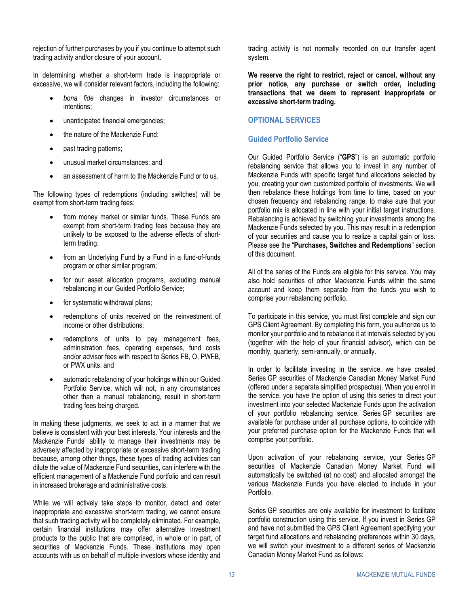rejection of further purchases by you if you continue to attempt such trading activity and/or closure of your account.

In determining whether a short-term trade is inappropriate or excessive, we will consider relevant factors, including the following:

- *bona fide* changes in investor circumstances or intentions;
- unanticipated financial emergencies;
- the nature of the Mackenzie Fund;
- past trading patterns;
- unusual market circumstances; and
- an assessment of harm to the Mackenzie Fund or to us.

The following types of redemptions (including switches) will be exempt from short-term trading fees:

- from money market or similar funds. These Funds are exempt from short-term trading fees because they are unlikely to be exposed to the adverse effects of shortterm trading.
- from an Underlying Fund by a Fund in a fund-of-funds program or other similar program;
- for our asset allocation programs, excluding manual rebalancing in our Guided Portfolio Service;
- for systematic withdrawal plans;
- redemptions of units received on the reinvestment of income or other distributions;
- redemptions of units to pay management fees, administration fees, operating expenses, fund costs and/or advisor fees with respect to Series FB, O, PWFB, or PWX units; and
- automatic rebalancing of your holdings within our Guided Portfolio Service, which will not, in any circumstances other than a manual rebalancing, result in short-term trading fees being charged.

In making these judgments, we seek to act in a manner that we believe is consistent with your best interests. Your interests and the Mackenzie Funds' ability to manage their investments may be adversely affected by inappropriate or excessive short-term trading because, among other things, these types of trading activities can dilute the value of Mackenzie Fund securities, can interfere with the efficient management of a Mackenzie Fund portfolio and can result in increased brokerage and administrative costs.

While we will actively take steps to monitor, detect and deter inappropriate and excessive short-term trading, we cannot ensure that such trading activity will be completely eliminated. For example, certain financial institutions may offer alternative investment products to the public that are comprised, in whole or in part, of securities of Mackenzie Funds. These institutions may open accounts with us on behalf of multiple investors whose identity and trading activity is not normally recorded on our transfer agent system.

**We reserve the right to restrict, reject or cancel, without any prior notice, any purchase or switch order, including transactions that we deem to represent inappropriate or excessive short-term trading.**

### <span id="page-14-0"></span>**OPTIONAL SERVICES**

### **Guided Portfolio Service**

Our Guided Portfolio Service ("**GPS**") is an automatic portfolio rebalancing service that allows you to invest in any number of Mackenzie Funds with specific target fund allocations selected by you, creating your own customized portfolio of investments. We will then rebalance these holdings from time to time, based on your chosen frequency and rebalancing range, to make sure that your portfolio mix is allocated in line with your initial target instructions. Rebalancing is achieved by switching your investments among the Mackenzie Funds selected by you. This may result in a redemption of your securities and cause you to realize a capital gain or loss. Please see the "**[Purchases, Switches and Redemptions](#page-10-1)**" section of this document.

All of the series of the Funds are eligible for this service. You may also hold securities of other Mackenzie Funds within the same account and keep them separate from the funds you wish to comprise your rebalancing portfolio.

To participate in this service, you must first complete and sign our GPS Client Agreement. By completing this form, you authorize us to monitor your portfolio and to rebalance it at intervals selected by you (together with the help of your financial advisor), which can be monthly, quarterly, semi-annually, or annually.

In order to facilitate investing in the service, we have created Series GP securities of Mackenzie Canadian Money Market Fund (offered under a separate simplified prospectus). When you enrol in the service, you have the option of using this series to direct your investment into your selected Mackenzie Funds upon the activation of your portfolio rebalancing service. Series GP securities are available for purchase under all purchase options, to coincide with your preferred purchase option for the Mackenzie Funds that will comprise your portfolio.

Upon activation of your rebalancing service, your Series GP securities of Mackenzie Canadian Money Market Fund will automatically be switched (at no cost) and allocated amongst the various Mackenzie Funds you have elected to include in your Portfolio.

Series GP securities are only available for investment to facilitate portfolio construction using this service. If you invest in Series GP and have not submitted the GPS Client Agreement specifying your target fund allocations and rebalancing preferences within 30 days, we will switch your investment to a different series of Mackenzie Canadian Money Market Fund as follows: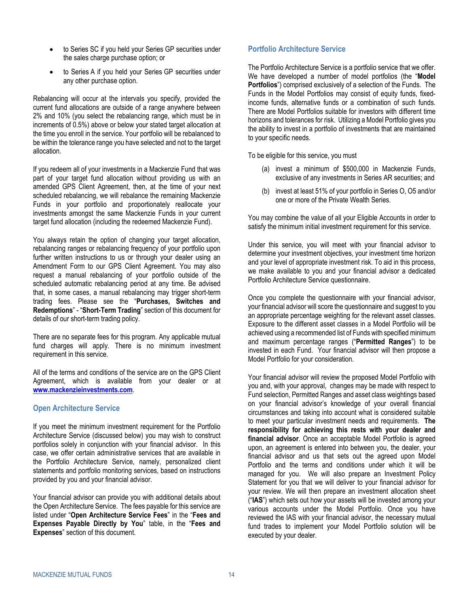- to Series SC if you held your Series GP securities under the sales charge purchase option; or
- to Series A if you held your Series GP securities under any other purchase option.

Rebalancing will occur at the intervals you specify, provided the current fund allocations are outside of a range anywhere between 2% and 10% (you select the rebalancing range, which must be in increments of 0.5%) above or below your stated target allocation at the time you enroll in the service. Your portfolio will be rebalanced to be within the tolerance range you have selected and not to the target allocation.

If you redeem all of your investments in a Mackenzie Fund that was part of your target fund allocation without providing us with an amended GPS Client Agreement, then, at the time of your next scheduled rebalancing, we will rebalance the remaining Mackenzie Funds in your portfolio and proportionately reallocate your investments amongst the same Mackenzie Funds in your current target fund allocation (including the redeemed Mackenzie Fund).

You always retain the option of changing your target allocation, rebalancing ranges or rebalancing frequency of your portfolio upon further written instructions to us or through your dealer using an Amendment Form to our GPS Client Agreement. You may also request a manual rebalancing of your portfolio outside of the scheduled automatic rebalancing period at any time. Be advised that, in some cases, a manual rebalancing may trigger short-term trading fees. Please see the "**[Purchases, Switches and](#page-10-1)  [Redemptions](#page-10-1)**" - "**[Short-Term Trading](#page-13-0)**" section of this document for details of our short-term trading policy.

There are no separate fees for this program. Any applicable mutual fund charges will apply. There is no minimum investment requirement in this service.

All of the terms and conditions of the service are on the GPS Client Agreement, which is available from your dealer or at **[www.mackenzieinvestments.com](http://www.mackenzieinvestments.com/)**.

### <span id="page-15-0"></span>**Open Architecture Service**

If you meet the minimum investment requirement for the Portfolio Architecture Service (discussed below) you may wish to construct portfolios solely in conjunction with your financial advisor. In this case, we offer certain administrative services that are available in the Portfolio Architecture Service, namely, personalized client statements and portfolio monitoring services, based on instructions provided by you and your financial advisor.

Your financial advisor can provide you with additional details about the Open Architecture Service. The fees payable for this service are listed under "**Open Architecture Service Fees**" in the "**[Fees and](#page-21-0)  [Expenses Payable Directly by You](#page-21-0)**" table, in the "**[Fees and](#page-17-0)  [Expenses](#page-17-0)**" section of this document.

### **Portfolio Architecture Service**

The Portfolio Architecture Service is a portfolio service that we offer. We have developed a number of model portfolios (the "**Model Portfolios**") comprised exclusively of a selection of the Funds. The Funds in the Model Portfolios may consist of equity funds, fixedincome funds, alternative funds or a combination of such funds. There are Model Portfolios suitable for investors with different time horizons and tolerances for risk. Utilizing a Model Portfolio gives you the ability to invest in a portfolio of investments that are maintained to your specific needs.

To be eligible for this service, you must

- (a) invest a minimum of \$500,000 in Mackenzie Funds, exclusive of any investments in Series AR securities; and
- (b) invest at least 51% of your portfolio in Series O, O5 and/or one or more of the Private Wealth Series.

You may combine the value of all your Eligible Accounts in order to satisfy the minimum initial investment requirement for this service.

Under this service, you will meet with your financial advisor to determine your investment objectives, your investment time horizon and your level of appropriate investment risk. To aid in this process, we make available to you and your financial advisor a dedicated Portfolio Architecture Service questionnaire.

Once you complete the questionnaire with your financial advisor, your financial advisor will score the questionnaire and suggest to you an appropriate percentage weighting for the relevant asset classes. Exposure to the different asset classes in a Model Portfolio will be achieved using a recommended list of Funds with specified minimum and maximum percentage ranges ("**Permitted Ranges**") to be invested in each Fund. Your financial advisor will then propose a Model Portfolio for your consideration.

Your financial advisor will review the proposed Model Portfolio with you and, with your approval, changes may be made with respect to Fund selection, Permitted Ranges and asset class weightings based on your financial advisor's knowledge of your overall financial circumstances and taking into account what is considered suitable to meet your particular investment needs and requirements. **The responsibility for achieving this rests with your dealer and financial advisor**. Once an acceptable Model Portfolio is agreed upon, an agreement is entered into between you, the dealer, your financial advisor and us that sets out the agreed upon Model Portfolio and the terms and conditions under which it will be managed for you. We will also prepare an Investment Policy Statement for you that we will deliver to your financial advisor for your review. We will then prepare an investment allocation sheet ("**IAS**") which sets out how your assets will be invested among your various accounts under the Model Portfolio. Once you have reviewed the IAS with your financial advisor, the necessary mutual fund trades to implement your Model Portfolio solution will be executed by your dealer.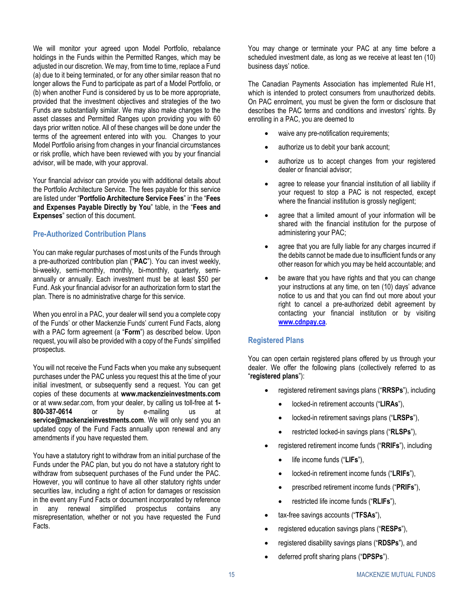We will monitor your agreed upon Model Portfolio, rebalance holdings in the Funds within the Permitted Ranges, which may be adjusted in our discretion. We may, from time to time, replace a Fund (a) due to it being terminated, or for any other similar reason that no longer allows the Fund to participate as part of a Model Portfolio, or (b) when another Fund is considered by us to be more appropriate, provided that the investment objectives and strategies of the two Funds are substantially similar. We may also make changes to the asset classes and Permitted Ranges upon providing you with 60 days prior written notice. All of these changes will be done under the terms of the agreement entered into with you. Changes to your Model Portfolio arising from changes in your financial circumstances or risk profile, which have been reviewed with you by your financial advisor, will be made, with your approval.

Your financial advisor can provide you with additional details about the Portfolio Architecture Service. The fees payable for this service are listed under "**Portfolio Architecture Service Fees**" in the "**[Fees](#page-21-0)  [and Expenses Payable Directly by You](#page-21-0)**" table, in the "**[Fees and](#page-17-0)  [Expenses](#page-17-0)**" section of this document.

### **Pre-Authorized Contribution Plans**

You can make regular purchases of most units of the Funds through a pre-authorized contribution plan ("**PAC**"). You can invest weekly, bi-weekly, semi-monthly, monthly, bi-monthly, quarterly, semiannually or annually. Each investment must be at least \$50 per Fund. Ask your financial advisor for an authorization form to start the plan. There is no administrative charge for this service.

When you enrol in a PAC, your dealer will send you a complete copy of the Funds' or other Mackenzie Funds' current Fund Facts, along with a PAC form agreement (a "**Form**") as described below. Upon request, you will also be provided with a copy of the Funds' simplified prospectus.

You will not receive the Fund Facts when you make any subsequent purchases under the PAC unless you request this at the time of your initial investment, or subsequently send a request. You can get copies of these documents at **www.mackenzieinvestments.com** or at www.sedar.com, from your dealer, by calling us toll-free at **1- 800-387-0614** or by e-mailing us at **service@mackenzieinvestments.com**. We will only send you an updated copy of the Fund Facts annually upon renewal and any amendments if you have requested them.

You have a statutory right to withdraw from an initial purchase of the Funds under the PAC plan, but you do not have a statutory right to withdraw from subsequent purchases of the Fund under the PAC. However, you will continue to have all other statutory rights under securities law, including a right of action for damages or rescission in the event any Fund Facts or document incorporated by reference in any renewal simplified prospectus contains any misrepresentation, whether or not you have requested the Fund Facts.

You may change or terminate your PAC at any time before a scheduled investment date, as long as we receive at least ten (10) business days' notice.

The Canadian Payments Association has implemented Rule H1, which is intended to protect consumers from unauthorized debits. On PAC enrolment, you must be given the form or disclosure that describes the PAC terms and conditions and investors' rights. By enrolling in a PAC, you are deemed to

- waive any pre-notification requirements;
- authorize us to debit your bank account;
- authorize us to accept changes from your registered dealer or financial advisor;
- agree to release your financial institution of all liability if your request to stop a PAC is not respected, except where the financial institution is grossly negligent;
- agree that a limited amount of your information will be shared with the financial institution for the purpose of administering your PAC;
- agree that you are fully liable for any charges incurred if the debits cannot be made due to insufficient funds or any other reason for which you may be held accountable; and
- be aware that you have rights and that you can change your instructions at any time, on ten (10) days' advance notice to us and that you can find out more about your right to cancel a pre-authorized debit agreement by contacting your financial institution or by visiting **[www.cdnpay.ca](http://www.cdnpay.ca/)**.

### **Registered Plans**

You can open certain registered plans offered by us through your dealer. We offer the following plans (collectively referred to as "**registered plans**"):

- registered retirement savings plans ("**RRSPs**"), including
	- locked-in retirement accounts ("**LIRAs**"),
	- locked-in retirement savings plans ("**LRSPs**"),
	- restricted locked-in savings plans ("**RLSPs**"),
- registered retirement income funds ("**RRIFs**"), including
	- life income funds ("**LIFs**"),
	- locked-in retirement income funds ("**LRIFs**"),
	- prescribed retirement income funds ("**PRIFs**"),
	- restricted life income funds ("**RLIFs**"),
- tax-free savings accounts ("**TFSAs**"),
- registered education savings plans ("**RESPs**"),
- registered disability savings plans ("**RDSPs**"), and
- deferred profit sharing plans ("**DPSPs**").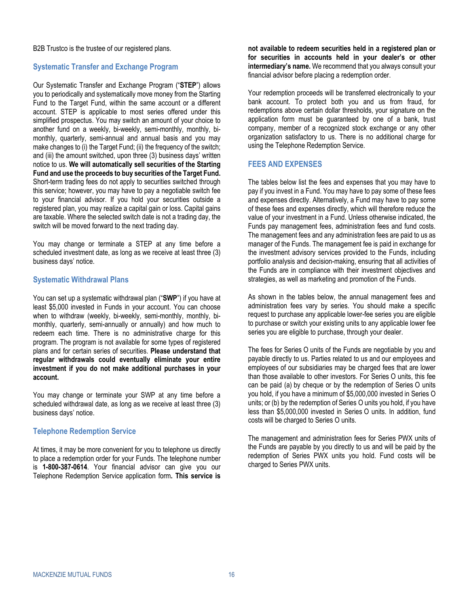B2B Trustco is the trustee of our registered plans.

### **Systematic Transfer and Exchange Program**

Our Systematic Transfer and Exchange Program ("**STEP**") allows you to periodically and systematically move money from the Starting Fund to the Target Fund, within the same account or a different account. STEP is applicable to most series offered under this simplified prospectus. You may switch an amount of your choice to another fund on a weekly, bi-weekly, semi-monthly, monthly, bimonthly, quarterly, semi-annual and annual basis and you may make changes to (i) the Target Fund; (ii) the frequency of the switch; and (iii) the amount switched, upon three (3) business days' written notice to us. **We will automatically sell securities of the Starting Fund and use the proceeds to buy securities of the Target Fund.** Short-term trading fees do not apply to securities switched through this service; however, you may have to pay a negotiable switch fee to your financial advisor. If you hold your securities outside a registered plan, you may realize a capital gain or loss. Capital gains are taxable. Where the selected switch date is not a trading day, the switch will be moved forward to the next trading day.

You may change or terminate a STEP at any time before a scheduled investment date, as long as we receive at least three (3) business days' notice.

### **Systematic Withdrawal Plans**

You can set up a systematic withdrawal plan ("**SWP**") if you have at least \$5,000 invested in Funds in your account. You can choose when to withdraw (weekly, bi-weekly, semi-monthly, monthly, bimonthly, quarterly, semi-annually or annually) and how much to redeem each time. There is no administrative charge for this program. The program is not available for some types of registered plans and for certain series of securities. **Please understand that regular withdrawals could eventually eliminate your entire investment if you do not make additional purchases in your account.**

You may change or terminate your SWP at any time before a scheduled withdrawal date, as long as we receive at least three (3) business days' notice.

#### **Telephone Redemption Service**

At times, it may be more convenient for you to telephone us directly to place a redemption order for your Funds. The telephone number is **1-800-387-0614**. Your financial advisor can give you our Telephone Redemption Service application form**. This service is** 

**not available to redeem securities held in a registered plan or for securities in accounts held in your dealer's or other intermediary's name.** We recommend that you always consult your financial advisor before placing a redemption order.

Your redemption proceeds will be transferred electronically to your bank account. To protect both you and us from fraud, for redemptions above certain dollar thresholds, your signature on the application form must be guaranteed by one of a bank, trust company, member of a recognized stock exchange or any other organization satisfactory to us. There is no additional charge for using the Telephone Redemption Service.

### <span id="page-17-0"></span>**FEES AND EXPENSES**

The tables below list the fees and expenses that you may have to pay if you invest in a Fund. You may have to pay some of these fees and expenses directly. Alternatively, a Fund may have to pay some of these fees and expenses directly, which will therefore reduce the value of your investment in a Fund. Unless otherwise indicated, the Funds pay management fees, administration fees and fund costs. The management fees and any administration fees are paid to us as manager of the Funds. The management fee is paid in exchange for the investment advisory services provided to the Funds, including portfolio analysis and decision-making, ensuring that all activities of the Funds are in compliance with their investment objectives and strategies, as well as marketing and promotion of the Funds.

As shown in the tables below, the annual management fees and administration fees vary by series. You should make a specific request to purchase any applicable lower-fee series you are eligible to purchase or switch your existing units to any applicable lower fee series you are eligible to purchase, through your dealer.

The fees for Series O units of the Funds are negotiable by you and payable directly to us. Parties related to us and our employees and employees of our subsidiaries may be charged fees that are lower than those available to other investors. For Series O units, this fee can be paid (a) by cheque or by the redemption of Series O units you hold, if you have a minimum of \$5,000,000 invested in Series O units; or (b) by the redemption of Series O units you hold, if you have less than \$5,000,000 invested in Series O units. In addition, fund costs will be charged to Series O units.

The management and administration fees for Series PWX units of the Funds are payable by you directly to us and will be paid by the redemption of Series PWX units you hold. Fund costs will be charged to Series PWX units.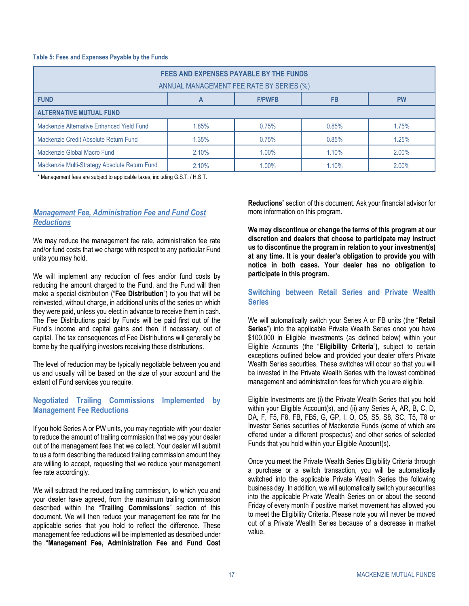#### **Table 5: Fees and Expenses Payable by the Funds**

| FEES AND EXPENSES PAYABLE BY THE FUNDS<br>ANNUAL MANAGEMENT FEE RATE BY SERIES (%) |       |       |       |       |
|------------------------------------------------------------------------------------|-------|-------|-------|-------|
| <b>FUND</b><br><b>PW</b><br><b>F/PWFB</b><br>FB                                    |       |       |       |       |
| <b>ALTERNATIVE MUTUAL FUND</b>                                                     |       |       |       |       |
| Mackenzie Alternative Enhanced Yield Fund                                          | 1.85% | 0.75% | 0.85% | 1.75% |
| Mackenzie Credit Absolute Return Fund                                              | 1.35% | 0.75% | 0.85% | 1.25% |
| Mackenzie Global Macro Fund<br>2.10%<br>1.00%<br>1.10%<br>2.00%                    |       |       |       |       |
| Mackenzie Multi-Strategy Absolute Return Fund                                      | 2.10% | 1.00% | 1.10% | 2.00% |

\* Management fees are subject to applicable taxes, including G.S.T. / H.S.T.

### <span id="page-18-0"></span>*Management Fee, Administration Fee and Fund Cost Reductions*

We may reduce the management fee rate, administration fee rate and/or fund costs that we charge with respect to any particular Fund units you may hold.

We will implement any reduction of fees and/or fund costs by reducing the amount charged to the Fund, and the Fund will then make a special distribution ("**Fee Distribution**") to you that will be reinvested, without charge, in additional units of the series on which they were paid, unless you elect in advance to receive them in cash. The Fee Distributions paid by Funds will be paid first out of the Fund's income and capital gains and then, if necessary, out of capital. The tax consequences of Fee Distributions will generally be borne by the qualifying investors receiving these distributions.

The level of reduction may be typically negotiable between you and us and usually will be based on the size of your account and the extent of Fund services you require.

### **Negotiated Trailing Commissions Implemented by Management Fee Reductions**

If you hold Series A or PW units, you may negotiate with your dealer to reduce the amount of trailing commission that we pay your dealer out of the management fees that we collect. Your dealer will submit to us a form describing the reduced trailing commission amount they are willing to accept, requesting that we reduce your management fee rate accordingly.

We will subtract the reduced trailing commission, to which you and your dealer have agreed, from the maximum trailing commission described within the "**[Trailing Commissions](#page-24-0)**" section of this document. We will then reduce your management fee rate for the applicable series that you hold to reflect the difference. These management fee reductions will be implemented as described under the "**[Management Fee, Administration Fee and Fund Cost](#page-18-0)**  **[Reductions](#page-18-0)**" section of this document. Ask your financial advisor for more information on this program.

**We may discontinue or change the terms of this program at our discretion and dealers that choose to participate may instruct us to discontinue the program in relation to your investment(s) at any time. It is your dealer's obligation to provide you with notice in both cases. Your dealer has no obligation to participate in this program.**

### **Switching between Retail Series and Private Wealth Series**

We will automatically switch your Series A or FB units (the "**Retail Series**") into the applicable Private Wealth Series once you have \$100,000 in Eligible Investments (as defined below) within your Eligible Accounts (the "**Eligibility Criteria**"**)**, subject to certain exceptions outlined below and provided your dealer offers Private Wealth Series securities. These switches will occur so that you will be invested in the Private Wealth Series with the lowest combined management and administration fees for which you are eligible.

Eligible Investments are (i) the Private Wealth Series that you hold within your Eligible Account(s), and (ii) any Series A, AR, B, C, D, DA, F, F5, F8, FB, FB5, G, GP, I, O, O5, S5, S8, SC, T5, T8 or Investor Series securities of Mackenzie Funds (some of which are offered under a different prospectus) and other series of selected Funds that you hold within your Eligible Account(s).

Once you meet the Private Wealth Series Eligibility Criteria through a purchase or a switch transaction, you will be automatically switched into the applicable Private Wealth Series the following business day. In addition, we will automatically switch your securities into the applicable Private Wealth Series on or about the second Friday of every month if positive market movement has allowed you to meet the Eligibility Criteria. Please note you will never be moved out of a Private Wealth Series because of a decrease in market value.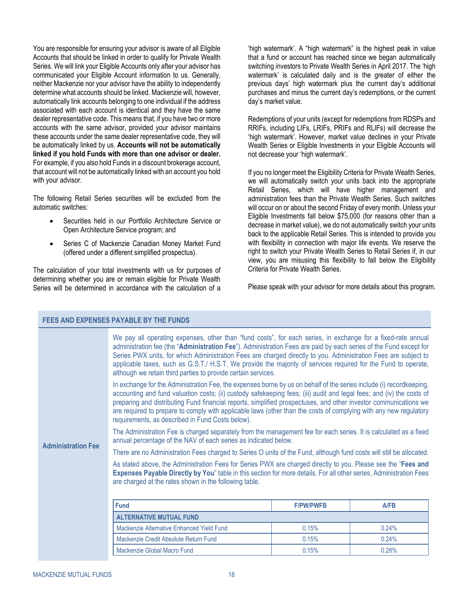You are responsible for ensuring your advisor is aware of all Eligible Accounts that should be linked in order to qualify for Private Wealth Series. We will link your Eligible Accounts only after your advisor has communicated your Eligible Account information to us. Generally, neither Mackenzie nor your advisor have the ability to independently determine what accounts should be linked. Mackenzie will, however, automatically link accounts belonging to one individual if the address associated with each account is identical and they have the same dealer representative code. This means that, if you have two or more accounts with the same advisor, provided your advisor maintains these accounts under the same dealer representative code, they will be automatically linked by us. **Accounts will not be automatically linked if you hold Funds with more than one advisor or dealer.** For example, if you also hold Funds in a discount brokerage account, that account will not be automatically linked with an account you hold with your advisor.

The following Retail Series securities will be excluded from the automatic switches:

- Securities held in our Portfolio Architecture Service or Open Architecture Service program; and
- Series C of Mackenzie Canadian Money Market Fund (offered under a different simplified prospectus).

The calculation of your total investments with us for purposes of determining whether you are or remain eligible for Private Wealth Series will be determined in accordance with the calculation of a

<span id="page-19-0"></span>**FEES AND EXPENSES PAYABLE BY THE FUNDS**

'high watermark'. A "high watermark" is the highest peak in value that a fund or account has reached since we began automatically switching investors to Private Wealth Series in April 2017. The 'high watermark' is calculated daily and is the greater of either the previous days' high watermark plus the current day's additional purchases and minus the current day's redemptions, or the current day's market value.

Redemptions of your units (except for redemptions from RDSPs and RRIFs, including LIFs, LRIFs, PRIFs and RLIFs) will decrease the 'high watermark'. However, market value declines in your Private Wealth Series or Eligible Investments in your Eligible Accounts will not decrease your 'high watermark'.

If you no longer meet the Eligibility Criteria for Private Wealth Series, we will automatically switch your units back into the appropriate Retail Series, which will have higher management and administration fees than the Private Wealth Series. Such switches will occur on or about the second Friday of every month. Unless your Eligible Investments fall below \$75,000 (for reasons other than a decrease in market value), we do not automatically switch your units back to the applicable Retail Series. This is intended to provide you with flexibility in connection with major life events. We reserve the right to switch your Private Wealth Series to Retail Series if, in our view, you are misusing this flexibility to fall below the Eligibility Criteria for Private Wealth Series.

Please speak with your advisor for more details about this program.

|                                                                                                                                                                                                                                                                                                                                                                                                                        | <u>I LLYMIND LAFLINJLY FATADLL DT TIIL I UNDY</u>                                                                                                                                                                                                                                                                                                                                                                                                                                                                                         |                  |       |
|------------------------------------------------------------------------------------------------------------------------------------------------------------------------------------------------------------------------------------------------------------------------------------------------------------------------------------------------------------------------------------------------------------------------|-------------------------------------------------------------------------------------------------------------------------------------------------------------------------------------------------------------------------------------------------------------------------------------------------------------------------------------------------------------------------------------------------------------------------------------------------------------------------------------------------------------------------------------------|------------------|-------|
|                                                                                                                                                                                                                                                                                                                                                                                                                        | We pay all operating expenses, other than "fund costs", for each series, in exchange for a fixed-rate annual<br>administration fee (the "Administration Fee"). Administration Fees are paid by each series of the Fund except for<br>Series PWX units, for which Administration Fees are charged directly to you. Administration Fees are subject to<br>applicable taxes, such as G.S.T./ H.S.T. We provide the majority of services required for the Fund to operate,<br>although we retain third parties to provide certain services.   |                  |       |
|                                                                                                                                                                                                                                                                                                                                                                                                                        | In exchange for the Administration Fee, the expenses borne by us on behalf of the series include (i) recordkeeping,<br>accounting and fund valuation costs; (ii) custody safekeeping fees; (iii) audit and legal fees; and (iv) the costs of<br>preparing and distributing Fund financial reports, simplified prospectuses, and other investor communications we<br>are required to prepare to comply with applicable laws (other than the costs of complying with any new regulatory<br>requirements, as described in Fund Costs below). |                  |       |
| <b>Administration Fee</b>                                                                                                                                                                                                                                                                                                                                                                                              | The Administration Fee is charged separately from the management fee for each series. It is calculated as a fixed<br>annual percentage of the NAV of each series as indicated below.                                                                                                                                                                                                                                                                                                                                                      |                  |       |
| There are no Administration Fees charged to Series O units of the Fund, although fund costs will still be allocated.<br>As stated above, the Administration Fees for Series PWX are charged directly to you. Please see the "Fees and<br>Expenses Payable Directly by You" table in this section for more details. For all other series, Administration Fees<br>are charged at the rates shown in the following table. |                                                                                                                                                                                                                                                                                                                                                                                                                                                                                                                                           |                  |       |
|                                                                                                                                                                                                                                                                                                                                                                                                                        |                                                                                                                                                                                                                                                                                                                                                                                                                                                                                                                                           |                  |       |
|                                                                                                                                                                                                                                                                                                                                                                                                                        | <b>Fund</b>                                                                                                                                                                                                                                                                                                                                                                                                                                                                                                                               | <b>F/PW/PWFB</b> | A/FB  |
|                                                                                                                                                                                                                                                                                                                                                                                                                        | <b>ALTERNATIVE MUTUAL FUND</b>                                                                                                                                                                                                                                                                                                                                                                                                                                                                                                            |                  |       |
|                                                                                                                                                                                                                                                                                                                                                                                                                        | Mackenzie Alternative Enhanced Yield Fund                                                                                                                                                                                                                                                                                                                                                                                                                                                                                                 | 0.15%            | 0.24% |
|                                                                                                                                                                                                                                                                                                                                                                                                                        | Mackenzie Credit Absolute Return Fund                                                                                                                                                                                                                                                                                                                                                                                                                                                                                                     | 0.15%            | 0.24% |
|                                                                                                                                                                                                                                                                                                                                                                                                                        | Mackenzie Global Macro Fund                                                                                                                                                                                                                                                                                                                                                                                                                                                                                                               | 0.15%            | 0.28% |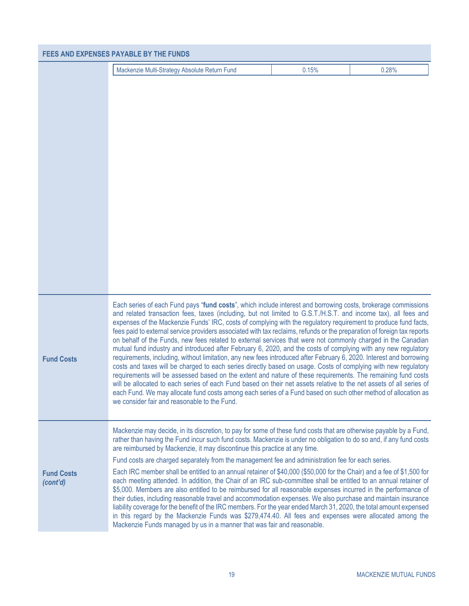|                               | <b>FEES AND EXPENSES PAYABLE BY THE FUNDS</b>                                                                                                                                                                                                                                                                                                                                                                                                                                                                                                                                                                                                                                                                                                                                                                                                                                                                                                                                                                                                                                                                                                                                                                                                                                                                                                                    |       |       |
|-------------------------------|------------------------------------------------------------------------------------------------------------------------------------------------------------------------------------------------------------------------------------------------------------------------------------------------------------------------------------------------------------------------------------------------------------------------------------------------------------------------------------------------------------------------------------------------------------------------------------------------------------------------------------------------------------------------------------------------------------------------------------------------------------------------------------------------------------------------------------------------------------------------------------------------------------------------------------------------------------------------------------------------------------------------------------------------------------------------------------------------------------------------------------------------------------------------------------------------------------------------------------------------------------------------------------------------------------------------------------------------------------------|-------|-------|
|                               | Mackenzie Multi-Strategy Absolute Return Fund                                                                                                                                                                                                                                                                                                                                                                                                                                                                                                                                                                                                                                                                                                                                                                                                                                                                                                                                                                                                                                                                                                                                                                                                                                                                                                                    | 0.15% | 0.28% |
|                               |                                                                                                                                                                                                                                                                                                                                                                                                                                                                                                                                                                                                                                                                                                                                                                                                                                                                                                                                                                                                                                                                                                                                                                                                                                                                                                                                                                  |       |       |
| <b>Fund Costs</b>             | Each series of each Fund pays "fund costs", which include interest and borrowing costs, brokerage commissions<br>and related transaction fees, taxes (including, but not limited to G.S.T./H.S.T. and income tax), all fees and<br>expenses of the Mackenzie Funds' IRC, costs of complying with the regulatory requirement to produce fund facts,<br>fees paid to external service providers associated with tax reclaims, refunds or the preparation of foreign tax reports<br>on behalf of the Funds, new fees related to external services that were not commonly charged in the Canadian<br>mutual fund industry and introduced after February 6, 2020, and the costs of complying with any new regulatory<br>requirements, including, without limitation, any new fees introduced after February 6, 2020. Interest and borrowing<br>costs and taxes will be charged to each series directly based on usage. Costs of complying with new regulatory<br>requirements will be assessed based on the extent and nature of these requirements. The remaining fund costs<br>will be allocated to each series of each Fund based on their net assets relative to the net assets of all series of<br>each Fund. We may allocate fund costs among each series of a Fund based on such other method of allocation as<br>we consider fair and reasonable to the Fund. |       |       |
| <b>Fund Costs</b><br>(cont'd) | Mackenzie may decide, in its discretion, to pay for some of these fund costs that are otherwise payable by a Fund,<br>rather than having the Fund incur such fund costs. Mackenzie is under no obligation to do so and, if any fund costs<br>are reimbursed by Mackenzie, it may discontinue this practice at any time.<br>Fund costs are charged separately from the management fee and administration fee for each series.<br>Each IRC member shall be entitled to an annual retainer of \$40,000 (\$50,000 for the Chair) and a fee of \$1,500 for<br>each meeting attended. In addition, the Chair of an IRC sub-committee shall be entitled to an annual retainer of<br>\$5,000. Members are also entitled to be reimbursed for all reasonable expenses incurred in the performance of<br>their duties, including reasonable travel and accommodation expenses. We also purchase and maintain insurance<br>liability coverage for the benefit of the IRC members. For the year ended March 31, 2020, the total amount expensed<br>in this regard by the Mackenzie Funds was \$279,474.40. All fees and expenses were allocated among the<br>Mackenzie Funds managed by us in a manner that was fair and reasonable.                                                                                                                                         |       |       |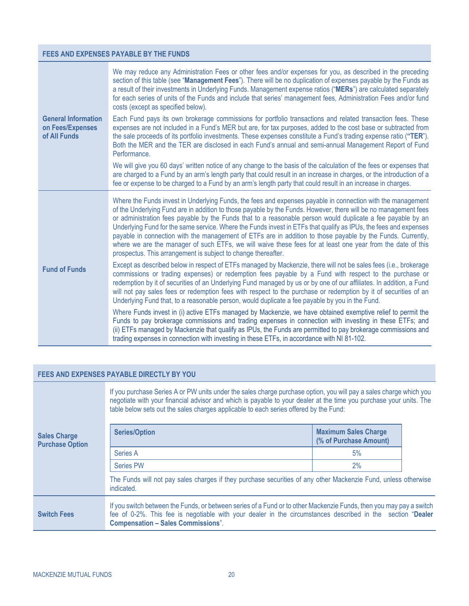### **FEES AND EXPENSES PAYABLE BY THE FUNDS**

|                                                                | We may reduce any Administration Fees or other fees and/or expenses for you, as described in the preceding<br>section of this table (see "Management Fees"). There will be no duplication of expenses payable by the Funds as<br>a result of their investments in Underlying Funds. Management expense ratios ("MERs") are calculated separately<br>for each series of units of the Funds and include that series' management fees, Administration Fees and/or fund<br>costs (except as specified below).                                                                                                                                                                                                                                                        |
|----------------------------------------------------------------|------------------------------------------------------------------------------------------------------------------------------------------------------------------------------------------------------------------------------------------------------------------------------------------------------------------------------------------------------------------------------------------------------------------------------------------------------------------------------------------------------------------------------------------------------------------------------------------------------------------------------------------------------------------------------------------------------------------------------------------------------------------|
| <b>General Information</b><br>on Fees/Expenses<br>of All Funds | Each Fund pays its own brokerage commissions for portfolio transactions and related transaction fees. These<br>expenses are not included in a Fund's MER but are, for tax purposes, added to the cost base or subtracted from<br>the sale proceeds of its portfolio investments. These expenses constitute a Fund's trading expense ratio ("TER").<br>Both the MER and the TER are disclosed in each Fund's annual and semi-annual Management Report of Fund<br>Performance.                                                                                                                                                                                                                                                                                     |
|                                                                | We will give you 60 days' written notice of any change to the basis of the calculation of the fees or expenses that<br>are charged to a Fund by an arm's length party that could result in an increase in charges, or the introduction of a<br>fee or expense to be charged to a Fund by an arm's length party that could result in an increase in charges.                                                                                                                                                                                                                                                                                                                                                                                                      |
|                                                                | Where the Funds invest in Underlying Funds, the fees and expenses payable in connection with the management<br>of the Underlying Fund are in addition to those payable by the Funds. However, there will be no management fees<br>or administration fees payable by the Funds that to a reasonable person would duplicate a fee payable by an<br>Underlying Fund for the same service. Where the Funds invest in ETFs that qualify as IPUs, the fees and expenses<br>payable in connection with the management of ETFs are in addition to those payable by the Funds. Currently,<br>where we are the manager of such ETFs, we will waive these fees for at least one year from the date of this<br>prospectus. This arrangement is subject to change thereafter. |
| <b>Fund of Funds</b>                                           | Except as described below in respect of ETFs managed by Mackenzie, there will not be sales fees (i.e., brokerage<br>commissions or trading expenses) or redemption fees payable by a Fund with respect to the purchase or<br>redemption by it of securities of an Underlying Fund managed by us or by one of our affiliates. In addition, a Fund<br>will not pay sales fees or redemption fees with respect to the purchase or redemption by it of securities of an<br>Underlying Fund that, to a reasonable person, would duplicate a fee payable by you in the Fund.                                                                                                                                                                                           |
|                                                                | Where Funds invest in (i) active ETFs managed by Mackenzie, we have obtained exemptive relief to permit the<br>Funds to pay brokerage commissions and trading expenses in connection with investing in these ETFs; and<br>(ii) ETFs managed by Mackenzie that qualify as IPUs, the Funds are permitted to pay brokerage commissions and<br>trading expenses in connection with investing in these ETFs, in accordance with NI 81-102.                                                                                                                                                                                                                                                                                                                            |

### <span id="page-21-1"></span><span id="page-21-0"></span>**FEES AND EXPENSES PAYABLE DIRECTLY BY YOU**

|                                               | If you purchase Series A or PW units under the sales charge purchase option, you will pay a sales charge which you<br>negotiate with your financial advisor and which is payable to your dealer at the time you purchase your units. The<br>table below sets out the sales charges applicable to each series offered by the Fund: |                                                       |  |  |
|-----------------------------------------------|-----------------------------------------------------------------------------------------------------------------------------------------------------------------------------------------------------------------------------------------------------------------------------------------------------------------------------------|-------------------------------------------------------|--|--|
| <b>Sales Charge</b><br><b>Purchase Option</b> | <b>Series/Option</b>                                                                                                                                                                                                                                                                                                              | <b>Maximum Sales Charge</b><br>(% of Purchase Amount) |  |  |
|                                               | Series A                                                                                                                                                                                                                                                                                                                          | 5%                                                    |  |  |
|                                               | Series PW                                                                                                                                                                                                                                                                                                                         | 2%                                                    |  |  |
|                                               | The Funds will not pay sales charges if they purchase securities of any other Mackenzie Fund, unless otherwise<br>indicated.                                                                                                                                                                                                      |                                                       |  |  |
| <b>Switch Fees</b>                            | If you switch between the Funds, or between series of a Fund or to other Mackenzie Funds, then you may pay a switch<br>fee of 0-2%. This fee is negotiable with your dealer in the circumstances described in the section "Dealer<br><b>Compensation - Sales Commissions".</b>                                                    |                                                       |  |  |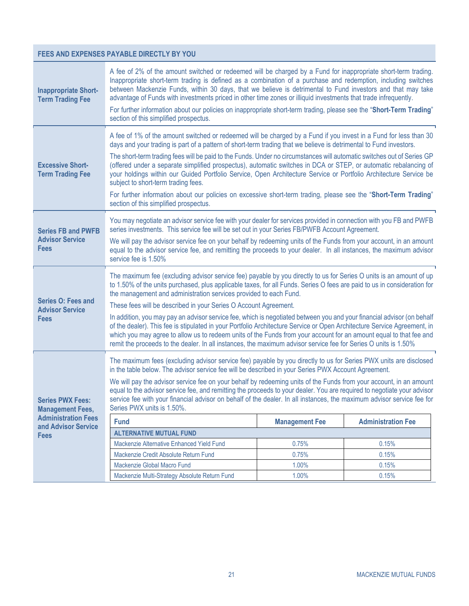### **FEES AND EXPENSES PAYABLE DIRECTLY BY YOU**

<span id="page-22-0"></span>

| <b>Inappropriate Short-</b><br><b>Term Trading Fee</b>                                                                                                                                                                                                                                                                                                                                                                                                                                                                                                                                                                                                                                                                                                                                                                                                                                                                                                                                                                                                                                                           | A fee of 2% of the amount switched or redeemed will be charged by a Fund for inappropriate short-term trading.<br>Inappropriate short-term trading is defined as a combination of a purchase and redemption, including switches<br>between Mackenzie Funds, within 30 days, that we believe is detrimental to Fund investors and that may take<br>advantage of Funds with investments priced in other time zones or illiquid investments that trade infrequently.<br>For further information about our policies on inappropriate short-term trading, please see the "Short-Term Trading"<br>section of this simplified prospectus.                                                                                                                                                                                                                                                      |  |  |  |
|------------------------------------------------------------------------------------------------------------------------------------------------------------------------------------------------------------------------------------------------------------------------------------------------------------------------------------------------------------------------------------------------------------------------------------------------------------------------------------------------------------------------------------------------------------------------------------------------------------------------------------------------------------------------------------------------------------------------------------------------------------------------------------------------------------------------------------------------------------------------------------------------------------------------------------------------------------------------------------------------------------------------------------------------------------------------------------------------------------------|-----------------------------------------------------------------------------------------------------------------------------------------------------------------------------------------------------------------------------------------------------------------------------------------------------------------------------------------------------------------------------------------------------------------------------------------------------------------------------------------------------------------------------------------------------------------------------------------------------------------------------------------------------------------------------------------------------------------------------------------------------------------------------------------------------------------------------------------------------------------------------------------|--|--|--|
| <b>Excessive Short-</b><br><b>Term Trading Fee</b>                                                                                                                                                                                                                                                                                                                                                                                                                                                                                                                                                                                                                                                                                                                                                                                                                                                                                                                                                                                                                                                               | A fee of 1% of the amount switched or redeemed will be charged by a Fund if you invest in a Fund for less than 30<br>days and your trading is part of a pattern of short-term trading that we believe is detrimental to Fund investors.<br>The short-term trading fees will be paid to the Funds. Under no circumstances will automatic switches out of Series GP<br>(offered under a separate simplified prospectus), automatic switches in DCA or STEP, or automatic rebalancing of<br>your holdings within our Guided Portfolio Service, Open Architecture Service or Portfolio Architecture Service be<br>subject to short-term trading fees.<br>For further information about our policies on excessive short-term trading, please see the "Short-Term Trading"<br>section of this simplified prospectus.                                                                          |  |  |  |
| <b>Series FB and PWFB</b><br><b>Advisor Service</b><br><b>Fees</b>                                                                                                                                                                                                                                                                                                                                                                                                                                                                                                                                                                                                                                                                                                                                                                                                                                                                                                                                                                                                                                               | You may negotiate an advisor service fee with your dealer for services provided in connection with you FB and PWFB<br>series investments. This service fee will be set out in your Series FB/PWFB Account Agreement.<br>We will pay the advisor service fee on your behalf by redeeming units of the Funds from your account, in an amount<br>equal to the advisor service fee, and remitting the proceeds to your dealer. In all instances, the maximum advisor<br>service fee is 1.50%                                                                                                                                                                                                                                                                                                                                                                                                |  |  |  |
| <b>Series O: Fees and</b><br><b>Advisor Service</b><br><b>Fees</b>                                                                                                                                                                                                                                                                                                                                                                                                                                                                                                                                                                                                                                                                                                                                                                                                                                                                                                                                                                                                                                               | The maximum fee (excluding advisor service fee) payable by you directly to us for Series O units is an amount of up<br>to 1.50% of the units purchased, plus applicable taxes, for all Funds. Series O fees are paid to us in consideration for<br>the management and administration services provided to each Fund.<br>These fees will be described in your Series O Account Agreement.<br>In addition, you may pay an advisor service fee, which is negotiated between you and your financial advisor (on behalf<br>of the dealer). This fee is stipulated in your Portfolio Architecture Service or Open Architecture Service Agreement, in<br>which you may agree to allow us to redeem units of the Funds from your account for an amount equal to that fee and<br>remit the proceeds to the dealer. In all instances, the maximum advisor service fee for Series O units is 1.50% |  |  |  |
| The maximum fees (excluding advisor service fee) payable by you directly to us for Series PWX units are disclosed<br>in the table below. The advisor service fee will be described in your Series PWX Account Agreement.<br>We will pay the advisor service fee on your behalf by redeeming units of the Funds from your account, in an amount<br>equal to the advisor service fee, and remitting the proceeds to your dealer. You are required to negotiate your advisor<br>service fee with your financial advisor on behalf of the dealer. In all instances, the maximum advisor service fee for<br><b>Series PWX Fees:</b><br>Series PWX units is 1.50%.<br><b>Management Fees,</b><br><b>Administration Fees</b><br><b>Management Fee</b><br><b>Administration Fee</b><br><b>Fund</b><br>and Advisor Service<br><b>ALTERNATIVE MUTUAL FUND</b><br><b>Fees</b><br>Mackenzie Alternative Enhanced Yield Fund<br>0.75%<br>0.15%<br>Mackenzie Credit Absolute Return Fund<br>0.75%<br>0.15%<br>Mackenzie Global Macro Fund<br>1.00%<br>0.15%<br>1.00%<br>Mackenzie Multi-Strategy Absolute Return Fund<br>0.15% |                                                                                                                                                                                                                                                                                                                                                                                                                                                                                                                                                                                                                                                                                                                                                                                                                                                                                         |  |  |  |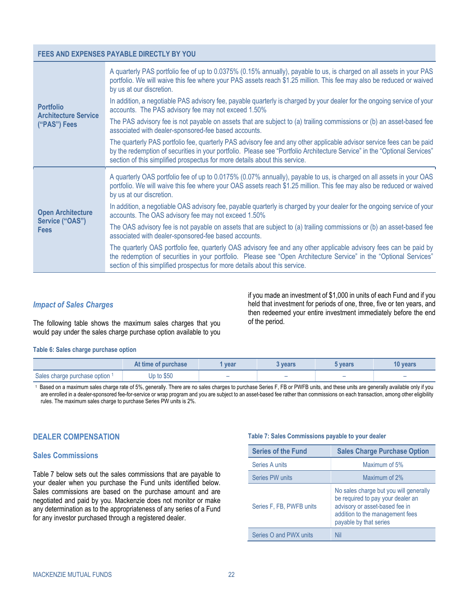#### **FEES AND EXPENSES PAYABLE DIRECTLY BY YOU**

|                                                 | A quarterly PAS portfolio fee of up to 0.0375% (0.15% annually), payable to us, is charged on all assets in your PAS<br>portfolio. We will waive this fee where your PAS assets reach \$1.25 million. This fee may also be reduced or waived<br>by us at our discretion.                                                         |
|-------------------------------------------------|----------------------------------------------------------------------------------------------------------------------------------------------------------------------------------------------------------------------------------------------------------------------------------------------------------------------------------|
| <b>Portfolio</b><br><b>Architecture Service</b> | In addition, a negotiable PAS advisory fee, payable quarterly is charged by your dealer for the ongoing service of your<br>accounts. The PAS advisory fee may not exceed 1.50%                                                                                                                                                   |
| ("PAS") Fees                                    | The PAS advisory fee is not payable on assets that are subject to (a) trailing commissions or (b) an asset-based fee<br>associated with dealer-sponsored-fee based accounts.                                                                                                                                                     |
|                                                 | The quarterly PAS portfolio fee, quarterly PAS advisory fee and any other applicable advisor service fees can be paid<br>by the redemption of securities in your portfolio. Please see "Portfolio Architecture Service" in the "Optional Services"<br>section of this simplified prospectus for more details about this service. |
|                                                 | A quarterly OAS portfolio fee of up to 0.0175% (0.07% annually), payable to us, is charged on all assets in your OAS<br>portfolio. We will waive this fee where your OAS assets reach \$1.25 million. This fee may also be reduced or waived<br>by us at our discretion.                                                         |
| <b>Open Architecture</b>                        | In addition, a negotiable OAS advisory fee, payable quarterly is charged by your dealer for the ongoing service of your<br>accounts. The OAS advisory fee may not exceed 1.50%                                                                                                                                                   |
| Service ("OAS")<br><b>Fees</b>                  | The OAS advisory fee is not payable on assets that are subject to (a) trailing commissions or (b) an asset-based fee<br>associated with dealer-sponsored-fee based accounts.                                                                                                                                                     |
|                                                 | The quarterly OAS portfolio fee, quarterly OAS advisory fee and any other applicable advisory fees can be paid by<br>the redemption of securities in your portfolio. Please see "Open Architecture Service" in the "Optional Services"<br>section of this simplified prospectus for more details about this service.             |

#### *Impact of Sales Charges*

The following table shows the maximum sales charges that you would pay under the sales charge purchase option available to you

if you made an investment of \$1,000 in units of each Fund and if you held that investment for periods of one, three, five or ten years, and then redeemed your entire investment immediately before the end of the period.

#### **Table 6: Sales charge purchase option**

|                              | At time of purchase | vear                     | vears                    | 5 vears                  | <b>10 years</b> |
|------------------------------|---------------------|--------------------------|--------------------------|--------------------------|-----------------|
| Sales charge purchase option | Up to \$50          | $\overline{\phantom{a}}$ | $\overline{\phantom{a}}$ | $\overline{\phantom{a}}$ |                 |

1 Based on a maximum sales charge rate of 5%, generally. There are no sales charges to purchase Series F, FB or PWFB units, and these units are generally available only if you are enrolled in a dealer-sponsored fee-for-service or wrap program and you are subject to an asset-based fee rather than commissions on each transaction, among other eligibility rules. The maximum sales charge to purchase Series PW units is 2%.

#### <span id="page-23-1"></span><span id="page-23-0"></span>**DEALER COMPENSATION**

#### **Sales Commissions**

[Table](#page-23-2) 7 below sets out the sales commissions that are payable to your dealer when you purchase the Fund units identified below. Sales commissions are based on the purchase amount and are negotiated and paid by you. Mackenzie does not monitor or make any determination as to the appropriateness of any series of a Fund for any investor purchased through a registered dealer.

#### <span id="page-23-2"></span>**Table 7: Sales Commissions payable to your dealer**

| <b>Series of the Fund</b> | <b>Sales Charge Purchase Option</b>                                                                                                                                        |  |
|---------------------------|----------------------------------------------------------------------------------------------------------------------------------------------------------------------------|--|
| Series A units            | Maximum of 5%                                                                                                                                                              |  |
| Series PW units           | Maximum of 2%                                                                                                                                                              |  |
| Series F, FB, PWFB units  | No sales charge but you will generally<br>be required to pay your dealer an<br>advisory or asset-based fee in<br>addition to the management fees<br>payable by that series |  |
| Series O and PWX units    | Nil                                                                                                                                                                        |  |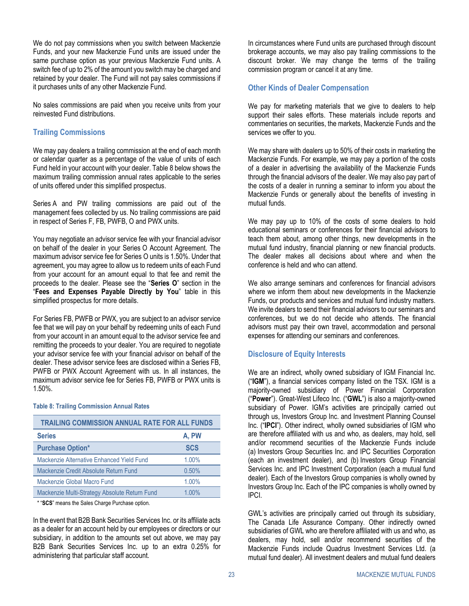We do not pay commissions when you switch between Mackenzie Funds, and your new Mackenzie Fund units are issued under the same purchase option as your previous Mackenzie Fund units. A switch fee of up to 2% of the amount you switch may be charged and retained by your dealer. The Fund will not pay sales commissions if it purchases units of any other Mackenzie Fund.

No sales commissions are paid when you receive units from your reinvested Fund distributions.

### <span id="page-24-0"></span>**Trailing Commissions**

We may pay dealers a trailing commission at the end of each month or calendar quarter as a percentage of the value of units of each Fund held in your account with your dealer[. Table](#page-24-1) 8 below shows the maximum trailing commission annual rates applicable to the series of units offered under this simplified prospectus.

Series A and PW trailing commissions are paid out of the management fees collected by us. No trailing commissions are paid in respect of Series F, FB, PWFB, O and PWX units.

You may negotiate an advisor service fee with your financial advisor on behalf of the dealer in your Series O Account Agreement. The maximum advisor service fee for Series O units is 1.50%. Under that agreement, you may agree to allow us to redeem units of each Fund from your account for an amount equal to that fee and remit the proceeds to the dealer. Please see the "**[Series O](#page-22-0)**" section in the "**[Fees and Expenses Payable Directly by You](#page-21-0)**" table in this simplified prospectus for more details.

For Series FB, PWFB or PWX, you are subject to an advisor service fee that we will pay on your behalf by redeeming units of each Fund from your account in an amount equal to the advisor service fee and remitting the proceeds to your dealer. You are required to negotiate your advisor service fee with your financial advisor on behalf of the dealer. These advisor service fees are disclosed within a Series FB, PWFB or PWX Account Agreement with us. In all instances, the maximum advisor service fee for Series FB, PWFB or PWX units is 1.50%.

#### <span id="page-24-1"></span>**Table 8: Trailing Commission Annual Rates**

| <b>TRAILING COMMISSION ANNUAL RATE FOR ALL FUNDS</b> |            |  |  |
|------------------------------------------------------|------------|--|--|
| <b>Series</b>                                        | A, PW      |  |  |
| <b>Purchase Option*</b>                              | <b>SCS</b> |  |  |
| Mackenzie Alternative Enhanced Yield Fund            | 1.00%      |  |  |
| Mackenzie Credit Absolute Return Fund                | 0.50%      |  |  |
| Mackenzie Global Macro Fund                          | 1.00%      |  |  |
| Mackenzie Multi-Strategy Absolute Return Fund        | $1.00\%$   |  |  |

\* "**SCS**" means the Sales Charge Purchase option.

In the event that B2B Bank Securities Services Inc. or its affiliate acts as a dealer for an account held by our employees or directors or our subsidiary, in addition to the amounts set out above, we may pay B2B Bank Securities Services Inc. up to an extra 0.25% for administering that particular staff account.

In circumstances where Fund units are purchased through discount brokerage accounts, we may also pay trailing commissions to the discount broker. We may change the terms of the trailing commission program or cancel it at any time.

### **Other Kinds of Dealer Compensation**

We pay for marketing materials that we give to dealers to help support their sales efforts. These materials include reports and commentaries on securities, the markets, Mackenzie Funds and the services we offer to you.

We may share with dealers up to 50% of their costs in marketing the Mackenzie Funds. For example, we may pay a portion of the costs of a dealer in advertising the availability of the Mackenzie Funds through the financial advisors of the dealer. We may also pay part of the costs of a dealer in running a seminar to inform you about the Mackenzie Funds or generally about the benefits of investing in mutual funds.

We may pay up to 10% of the costs of some dealers to hold educational seminars or conferences for their financial advisors to teach them about, among other things, new developments in the mutual fund industry, financial planning or new financial products. The dealer makes all decisions about where and when the conference is held and who can attend.

We also arrange seminars and conferences for financial advisors where we inform them about new developments in the Mackenzie Funds, our products and services and mutual fund industry matters. We invite dealers to send their financial advisors to our seminars and conferences, but we do not decide who attends. The financial advisors must pay their own travel, accommodation and personal expenses for attending our seminars and conferences.

### **Disclosure of Equity Interests**

We are an indirect, wholly owned subsidiary of IGM Financial Inc. ("**IGM**"), a financial services company listed on the TSX. IGM is a majority-owned subsidiary of Power Financial Corporation ("**Power**"). Great-West Lifeco Inc. ("**GWL**") is also a majority-owned subsidiary of Power. IGM's activities are principally carried out through us, Investors Group Inc. and Investment Planning Counsel Inc. ("**IPCI**"). Other indirect, wholly owned subsidiaries of IGM who are therefore affiliated with us and who, as dealers, may hold, sell and/or recommend securities of the Mackenzie Funds include (a) Investors Group Securities Inc. and IPC Securities Corporation (each an investment dealer), and (b) Investors Group Financial Services Inc. and IPC Investment Corporation (each a mutual fund dealer). Each of the Investors Group companies is wholly owned by Investors Group Inc. Each of the IPC companies is wholly owned by IPCI.

GWL's activities are principally carried out through its subsidiary, The Canada Life Assurance Company. Other indirectly owned subsidiaries of GWL who are therefore affiliated with us and who, as dealers, may hold, sell and/or recommend securities of the Mackenzie Funds include Quadrus Investment Services Ltd. (a mutual fund dealer). All investment dealers and mutual fund dealers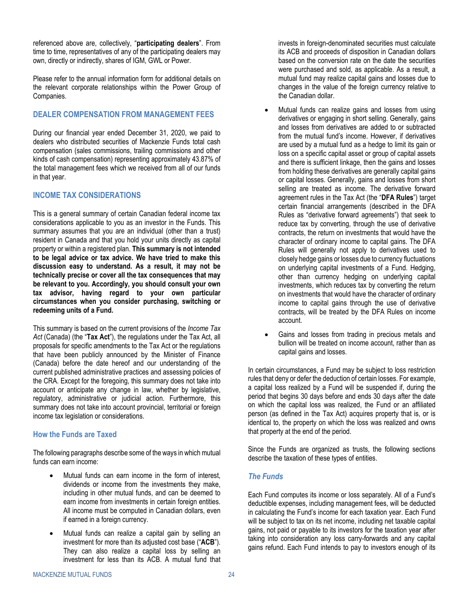referenced above are, collectively, "**participating dealers**". From time to time, representatives of any of the participating dealers may own, directly or indirectly, shares of IGM, GWL or Power.

Please refer to the annual information form for additional details on the relevant corporate relationships within the Power Group of Companies.

### <span id="page-25-0"></span>**DEALER COMPENSATION FROM MANAGEMENT FEES**

During our financial year ended December 31, 2020, we paid to dealers who distributed securities of Mackenzie Funds total cash compensation (sales commissions, trailing commissions and other kinds of cash compensation) representing approximately 43.87% of the total management fees which we received from all of our funds in that year.

### <span id="page-25-1"></span>**INCOME TAX CONSIDERATIONS**

This is a general summary of certain Canadian federal income tax considerations applicable to you as an investor in the Funds. This summary assumes that you are an individual (other than a trust) resident in Canada and that you hold your units directly as capital property or within a registered plan. **This summary is not intended to be legal advice or tax advice. We have tried to make this discussion easy to understand. As a result, it may not be technically precise or cover all the tax consequences that may be relevant to you. Accordingly, you should consult your own tax advisor, having regard to your own particular circumstances when you consider purchasing, switching or redeeming units of a Fund.**

This summary is based on the current provisions of the *Income Tax Act* (Canada) (the "**Tax Act**"), the regulations under the Tax Act, all proposals for specific amendments to the Tax Act or the regulations that have been publicly announced by the Minister of Finance (Canada) before the date hereof and our understanding of the current published administrative practices and assessing policies of the CRA. Except for the foregoing, this summary does not take into account or anticipate any change in law, whether by legislative, regulatory, administrative or judicial action. Furthermore, this summary does not take into account provincial, territorial or foreign income tax legislation or considerations.

### **How the Funds are Taxed**

The following paragraphs describe some of the ways in which mutual funds can earn income:

- Mutual funds can earn income in the form of interest. dividends or income from the investments they make, including in other mutual funds, and can be deemed to earn income from investments in certain foreign entities. All income must be computed in Canadian dollars, even if earned in a foreign currency.
- Mutual funds can realize a capital gain by selling an investment for more than its adjusted cost base ("**ACB**"). They can also realize a capital loss by selling an investment for less than its ACB. A mutual fund that

invests in foreign-denominated securities must calculate its ACB and proceeds of disposition in Canadian dollars based on the conversion rate on the date the securities were purchased and sold, as applicable. As a result, a mutual fund may realize capital gains and losses due to changes in the value of the foreign currency relative to the Canadian dollar.

- Mutual funds can realize gains and losses from using derivatives or engaging in short selling. Generally, gains and losses from derivatives are added to or subtracted from the mutual fund's income. However, if derivatives are used by a mutual fund as a hedge to limit its gain or loss on a specific capital asset or group of capital assets and there is sufficient linkage, then the gains and losses from holding these derivatives are generally capital gains or capital losses. Generally, gains and losses from short selling are treated as income. The derivative forward agreement rules in the Tax Act (the "**DFA Rules**") target certain financial arrangements (described in the DFA Rules as "derivative forward agreements") that seek to reduce tax by converting, through the use of derivative contracts, the return on investments that would have the character of ordinary income to capital gains. The DFA Rules will generally not apply to derivatives used to closely hedge gains or losses due to currency fluctuations on underlying capital investments of a Fund. Hedging, other than currency hedging on underlying capital investments, which reduces tax by converting the return on investments that would have the character of ordinary income to capital gains through the use of derivative contracts, will be treated by the DFA Rules on income account.
- Gains and losses from trading in precious metals and bullion will be treated on income account, rather than as capital gains and losses.

In certain circumstances, a Fund may be subject to loss restriction rules that deny or defer the deduction of certain losses. For example, a capital loss realized by a Fund will be suspended if, during the period that begins 30 days before and ends 30 days after the date on which the capital loss was realized, the Fund or an affiliated person (as defined in the Tax Act) acquires property that is, or is identical to, the property on which the loss was realized and owns that property at the end of the period.

Since the Funds are organized as trusts, the following sections describe the taxation of these types of entities.

### *The Funds*

Each Fund computes its income or loss separately. All of a Fund's deductible expenses, including management fees, will be deducted in calculating the Fund's income for each taxation year. Each Fund will be subject to tax on its net income, including net taxable capital gains, not paid or payable to its investors for the taxation year after taking into consideration any loss carry-forwards and any capital gains refund. Each Fund intends to pay to investors enough of its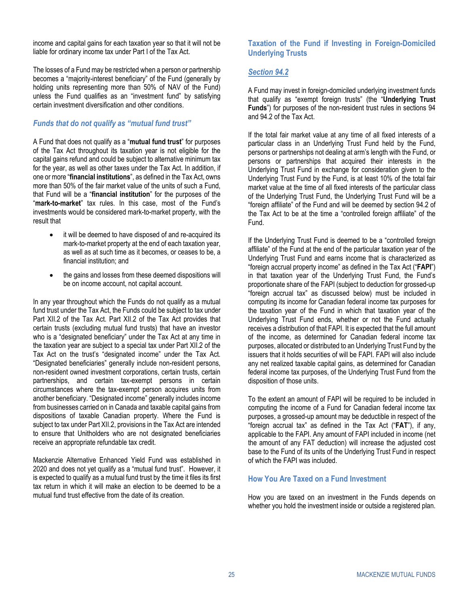income and capital gains for each taxation year so that it will not be liable for ordinary income tax under Part I of the Tax Act.

The losses of a Fund may be restricted when a person or partnership becomes a "majority-interest beneficiary" of the Fund (generally by holding units representing more than 50% of NAV of the Fund) unless the Fund qualifies as an "investment fund" by satisfying certain investment diversification and other conditions.

### *Funds that do not qualify as "mutual fund trust"*

A Fund that does not qualify as a "**mutual fund trust**" for purposes of the Tax Act throughout its taxation year is not eligible for the capital gains refund and could be subject to alternative minimum tax for the year, as well as other taxes under the Tax Act. In addition, if one or more "**financial institutions**", as defined in the Tax Act, owns more than 50% of the fair market value of the units of such a Fund, that Fund will be a "**financial institution**" for the purposes of the "**mark-to-market**" tax rules. In this case, most of the Fund's investments would be considered mark-to-market property, with the result that

- it will be deemed to have disposed of and re-acquired its mark-to-market property at the end of each taxation year, as well as at such time as it becomes, or ceases to be, a financial institution; and
- the gains and losses from these deemed dispositions will be on income account, not capital account.

In any year throughout which the Funds do not qualify as a mutual fund trust under the Tax Act, the Funds could be subject to tax under Part XII.2 of the Tax Act. Part XII.2 of the Tax Act provides that certain trusts (excluding mutual fund trusts) that have an investor who is a "designated beneficiary" under the Tax Act at any time in the taxation year are subject to a special tax under Part XII.2 of the Tax Act on the trust's "designated income" under the Tax Act. "Designated beneficiaries" generally include non-resident persons, non-resident owned investment corporations, certain trusts, certain partnerships, and certain tax-exempt persons in certain circumstances where the tax-exempt person acquires units from another beneficiary. "Designated income" generally includes income from businesses carried on in Canada and taxable capital gains from dispositions of taxable Canadian property. Where the Fund is subject to tax under Part XII.2, provisions in the Tax Act are intended to ensure that Unitholders who are not designated beneficiaries receive an appropriate refundable tax credit.

Mackenzie Alternative Enhanced Yield Fund was established in 2020 and does not yet qualify as a "mutual fund trust". However, it is expected to qualify as a mutual fund trust by the time it files its first tax return in which it will make an election to be deemed to be a mutual fund trust effective from the date of its creation.

### **Taxation of the Fund if Investing in Foreign-Domiciled Underlying Trusts**

### *Section 94.2*

A Fund may invest in foreign-domiciled underlying investment funds that qualify as "exempt foreign trusts" (the "**Underlying Trust Funds**") for purposes of the non-resident trust rules in sections 94 and 94.2 of the Tax Act.

If the total fair market value at any time of all fixed interests of a particular class in an Underlying Trust Fund held by the Fund, persons or partnerships not dealing at arm's length with the Fund, or persons or partnerships that acquired their interests in the Underlying Trust Fund in exchange for consideration given to the Underlying Trust Fund by the Fund, is at least 10% of the total fair market value at the time of all fixed interests of the particular class of the Underlying Trust Fund, the Underlying Trust Fund will be a "foreign affiliate" of the Fund and will be deemed by section 94.2 of the Tax Act to be at the time a "controlled foreign affiliate" of the Fund.

If the Underlying Trust Fund is deemed to be a "controlled foreign affiliate" of the Fund at the end of the particular taxation year of the Underlying Trust Fund and earns income that is characterized as "foreign accrual property income" as defined in the Tax Act ("**FAPI**") in that taxation year of the Underlying Trust Fund, the Fund's proportionate share of the FAPI (subject to deduction for grossed-up "foreign accrual tax" as discussed below) must be included in computing its income for Canadian federal income tax purposes for the taxation year of the Fund in which that taxation year of the Underlying Trust Fund ends, whether or not the Fund actually receives a distribution of that FAPI. It is expected that the full amount of the income, as determined for Canadian federal income tax purposes, allocated or distributed to an Underlying Trust Fund by the issuers that it holds securities of will be FAPI. FAPI will also include any net realized taxable capital gains, as determined for Canadian federal income tax purposes, of the Underlying Trust Fund from the disposition of those units.

To the extent an amount of FAPI will be required to be included in computing the income of a Fund for Canadian federal income tax purposes, a grossed-up amount may be deductible in respect of the "foreign accrual tax" as defined in the Tax Act ("**FAT**"), if any, applicable to the FAPI. Any amount of FAPI included in income (net the amount of any FAT deduction) will increase the adjusted cost base to the Fund of its units of the Underlying Trust Fund in respect of which the FAPI was included.

### **How You Are Taxed on a Fund Investment**

How you are taxed on an investment in the Funds depends on whether you hold the investment inside or outside a registered plan.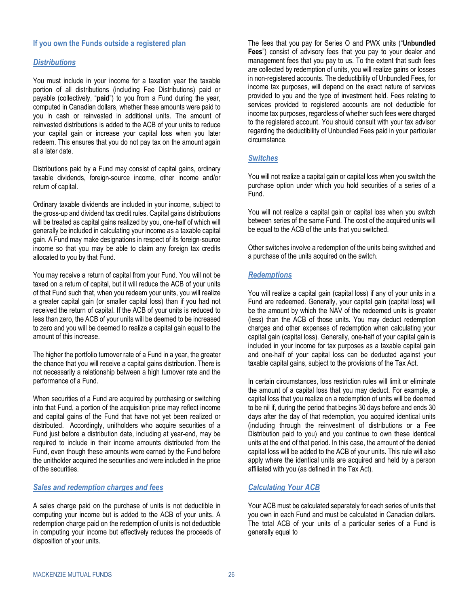### **If you own the Funds outside a registered plan**

### *Distributions*

You must include in your income for a taxation year the taxable portion of all distributions (including Fee Distributions) paid or payable (collectively, "**paid**") to you from a Fund during the year, computed in Canadian dollars, whether these amounts were paid to you in cash or reinvested in additional units. The amount of reinvested distributions is added to the ACB of your units to reduce your capital gain or increase your capital loss when you later redeem. This ensures that you do not pay tax on the amount again at a later date.

Distributions paid by a Fund may consist of capital gains, ordinary taxable dividends, foreign-source income, other income and/or return of capital.

Ordinary taxable dividends are included in your income, subject to the gross-up and dividend tax credit rules. Capital gains distributions will be treated as capital gains realized by you, one-half of which will generally be included in calculating your income as a taxable capital gain. A Fund may make designations in respect of its foreign-source income so that you may be able to claim any foreign tax credits allocated to you by that Fund.

You may receive a return of capital from your Fund. You will not be taxed on a return of capital, but it will reduce the ACB of your units of that Fund such that, when you redeem your units, you will realize a greater capital gain (or smaller capital loss) than if you had not received the return of capital. If the ACB of your units is reduced to less than zero, the ACB of your units will be deemed to be increased to zero and you will be deemed to realize a capital gain equal to the amount of this increase.

The higher the portfolio turnover rate of a Fund in a year, the greater the chance that you will receive a capital gains distribution. There is not necessarily a relationship between a high turnover rate and the performance of a Fund.

When securities of a Fund are acquired by purchasing or switching into that Fund, a portion of the acquisition price may reflect income and capital gains of the Fund that have not yet been realized or distributed. Accordingly, unitholders who acquire securities of a Fund just before a distribution date, including at year-end, may be required to include in their income amounts distributed from the Fund, even though these amounts were earned by the Fund before the unitholder acquired the securities and were included in the price of the securities.

#### *Sales and redemption charges and fees*

A sales charge paid on the purchase of units is not deductible in computing your income but is added to the ACB of your units. A redemption charge paid on the redemption of units is not deductible in computing your income but effectively reduces the proceeds of disposition of your units.

The fees that you pay for Series O and PWX units ("**Unbundled Fees**") consist of advisory fees that you pay to your dealer and management fees that you pay to us. To the extent that such fees are collected by redemption of units, you will realize gains or losses in non-registered accounts. The deductibility of Unbundled Fees, for income tax purposes, will depend on the exact nature of services provided to you and the type of investment held. Fees relating to services provided to registered accounts are not deductible for income tax purposes, regardless of whether such fees were charged to the registered account. You should consult with your tax advisor regarding the deductibility of Unbundled Fees paid in your particular circumstance.

### *Switches*

You will not realize a capital gain or capital loss when you switch the purchase option under which you hold securities of a series of a Fund.

You will not realize a capital gain or capital loss when you switch between series of the same Fund. The cost of the acquired units will be equal to the ACB of the units that you switched.

Other switches involve a redemption of the units being switched and a purchase of the units acquired on the switch.

### *Redemptions*

You will realize a capital gain (capital loss) if any of your units in a Fund are redeemed. Generally, your capital gain (capital loss) will be the amount by which the NAV of the redeemed units is greater (less) than the ACB of those units. You may deduct redemption charges and other expenses of redemption when calculating your capital gain (capital loss). Generally, one-half of your capital gain is included in your income for tax purposes as a taxable capital gain and one-half of your capital loss can be deducted against your taxable capital gains, subject to the provisions of the Tax Act.

In certain circumstances, loss restriction rules will limit or eliminate the amount of a capital loss that you may deduct. For example, a capital loss that you realize on a redemption of units will be deemed to be nil if, during the period that begins 30 days before and ends 30 days after the day of that redemption, you acquired identical units (including through the reinvestment of distributions or a Fee Distribution paid to you) and you continue to own these identical units at the end of that period. In this case, the amount of the denied capital loss will be added to the ACB of your units. This rule will also apply where the identical units are acquired and held by a person affiliated with you (as defined in the Tax Act).

#### *Calculating Your ACB*

Your ACB must be calculated separately for each series of units that you own in each Fund and must be calculated in Canadian dollars. The total ACB of your units of a particular series of a Fund is generally equal to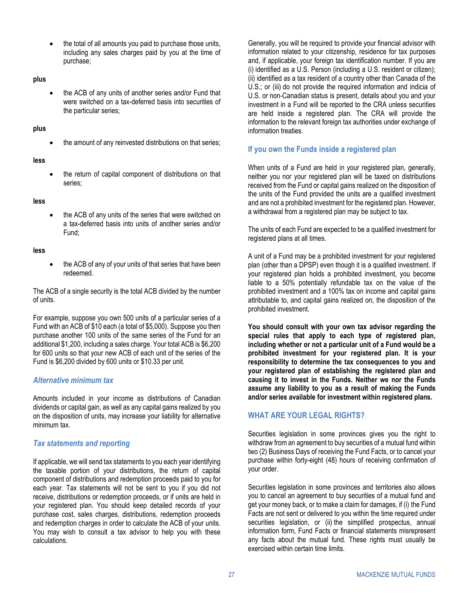the total of all amounts you paid to purchase those units, including any sales charges paid by you at the time of purchase;

#### **plus**

• the ACB of any units of another series and/or Fund that were switched on a tax-deferred basis into securities of the particular series;

#### **plus**

the amount of any reinvested distributions on that series;

#### **less**

• the return of capital component of distributions on that series;

#### **less**

the ACB of any units of the series that were switched on a tax-deferred basis into units of another series and/or Fund;

#### **less**

the ACB of any of your units of that series that have been redeemed.

The ACB of a single security is the total ACB divided by the number of units.

For example, suppose you own 500 units of a particular series of a Fund with an ACB of \$10 each (a total of \$5,000). Suppose you then purchase another 100 units of the same series of the Fund for an additional \$1,200, including a sales charge. Your total ACB is \$6,200 for 600 units so that your new ACB of each unit of the series of the Fund is \$6,200 divided by 600 units or \$10.33 per unit.

#### *Alternative minimum tax*

Amounts included in your income as distributions of Canadian dividends or capital gain, as well as any capital gains realized by you on the disposition of units, may increase your liability for alternative minimum tax.

### *Tax statements and reporting*

If applicable, we will send tax statements to you each year identifying the taxable portion of your distributions, the return of capital component of distributions and redemption proceeds paid to you for each year. Tax statements will not be sent to you if you did not receive, distributions or redemption proceeds, or if units are held in your registered plan. You should keep detailed records of your purchase cost, sales charges, distributions, redemption proceeds and redemption charges in order to calculate the ACB of your units. You may wish to consult a tax advisor to help you with these calculations.

Generally, you will be required to provide your financial advisor with information related to your citizenship, residence for tax purposes and, if applicable, your foreign tax identification number. If you are (i) identified as a U.S. Person (including a U.S. resident or citizen); (ii) identified as a tax resident of a country other than Canada of the U.S.; or (iii) do not provide the required information and indicia of U.S. or non-Canadian status is present, details about you and your investment in a Fund will be reported to the CRA unless securities are held inside a registered plan. The CRA will provide the information to the relevant foreign tax authorities under exchange of information treaties.

### **If you own the Funds inside a registered plan**

When units of a Fund are held in your registered plan, generally, neither you nor your registered plan will be taxed on distributions received from the Fund or capital gains realized on the disposition of the units of the Fund provided the units are a qualified investment and are not a prohibited investment for the registered plan. However, a withdrawal from a registered plan may be subject to tax.

The units of each Fund are expected to be a qualified investment for registered plans at all times.

A unit of a Fund may be a prohibited investment for your registered plan (other than a DPSP) even though it is a qualified investment. If your registered plan holds a prohibited investment, you become liable to a 50% potentially refundable tax on the value of the prohibited investment and a 100% tax on income and capital gains attributable to, and capital gains realized on, the disposition of the prohibited investment.

**You should consult with your own tax advisor regarding the special rules that apply to each type of registered plan, including whether or not a particular unit of a Fund would be a prohibited investment for your registered plan. It is your responsibility to determine the tax consequences to you and your registered plan of establishing the registered plan and causing it to invest in the Funds. Neither we nor the Funds assume any liability to you as a result of making the Funds and/or series available for investment within registered plans.**

### <span id="page-28-0"></span>**WHAT ARE YOUR LEGAL RIGHTS?**

Securities legislation in some provinces gives you the right to withdraw from an agreement to buy securities of a mutual fund within two (2) Business Days of receiving the Fund Facts, or to cancel your purchase within forty-eight (48) hours of receiving confirmation of your order.

Securities legislation in some provinces and territories also allows you to cancel an agreement to buy securities of a mutual fund and get your money back, or to make a claim for damages, if (i) the Fund Facts are not sent or delivered to you within the time required under securities legislation, or (ii) the simplified prospectus, annual information form, Fund Facts or financial statements misrepresent any facts about the mutual fund. These rights must usually be exercised within certain time limits.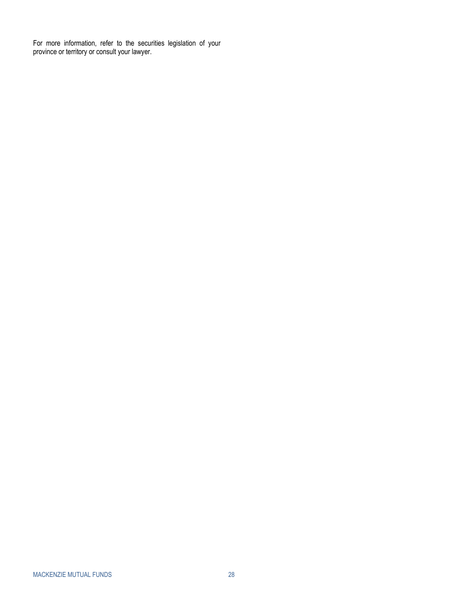<span id="page-29-0"></span>For more information, refer to the securities legislation of your province or territory or consult your lawyer.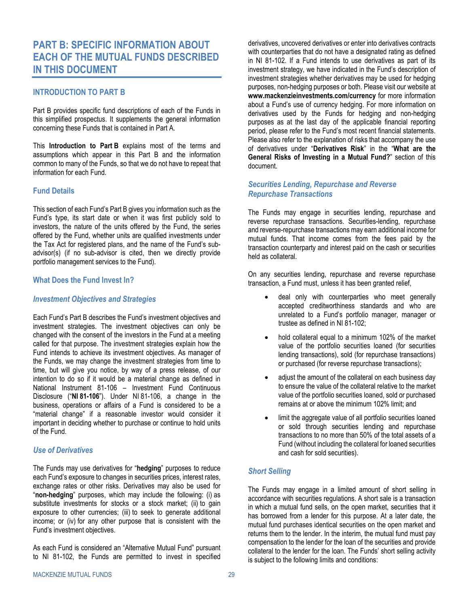# <span id="page-30-0"></span>**PART B: SPECIFIC INFORMATION ABOUT EACH OF THE MUTUAL FUNDS DESCRIBED IN THIS DOCUMENT**

### <span id="page-30-1"></span>**INTRODUCTION TO PART B**

[Part B](#page-30-0) provides specific fund descriptions of each of the Funds in this simplified prospectus. It supplements the general information concerning these Funds that is contained in Part A.

This **[Introduction to Part](#page-30-1) B** explains most of the terms and assumptions which appear in this Part B and the information common to many of the Funds, so that we do not have to repeat that information for each Fund.

### **Fund Details**

This section of each Fund'[s Part B](#page-30-0) gives you information such as the Fund's type, its start date or when it was first publicly sold to investors, the nature of the units offered by the Fund, the series offered by the Fund, whether units are qualified investments under the Tax Act for registered plans, and the name of the Fund's subadvisor(s) (if no sub-advisor is cited, then we directly provide portfolio management services to the Fund).

#### <span id="page-30-2"></span>**What Does the Fund Invest In?**

### *Investment Objectives and Strategies*

Each Fund's [Part B](#page-30-0) describes the Fund's investment objectives and investment strategies. The investment objectives can only be changed with the consent of the investors in the Fund at a meeting called for that purpose. The investment strategies explain how the Fund intends to achieve its investment objectives. As manager of the Funds, we may change the investment strategies from time to time, but will give you notice, by way of a press release, of our intention to do so if it would be a material change as defined in National Instrument 81-106 – Investment Fund Continuous Disclosure ("**NI 81-106**"). Under NI 81-106, a change in the business, operations or affairs of a Fund is considered to be a "material change" if a reasonable investor would consider it important in deciding whether to purchase or continue to hold units of the Fund.

#### *Use of Derivatives*

The Funds may use derivatives for "**hedging**" purposes to reduce each Fund's exposure to changes in securities prices, interest rates, exchange rates or other risks. Derivatives may also be used for "**non-hedging**" purposes, which may include the following: (i) as substitute investments for stocks or a stock market; (ii) to gain exposure to other currencies; (iii) to seek to generate additional income; or (iv) for any other purpose that is consistent with the Fund's investment objectives.

As each Fund is considered an "Alternative Mutual Fund" pursuant to NI 81-102, the Funds are permitted to invest in specified

derivatives, uncovered derivatives or enter into derivatives contracts with counterparties that do not have a designated rating as defined in NI 81-102. If a Fund intends to use derivatives as part of its investment strategy, we have indicated in the Fund's description of investment strategies whether derivatives may be used for hedging purposes, non-hedging purposes or both. Please visit our website at **www.mackenzieinvestments.com/currency** for more information about a Fund's use of currency hedging. For more information on derivatives used by the Funds for hedging and non-hedging purposes as at the last day of the applicable financial reporting period, please refer to the Fund's most recent financial statements. Please also refer to the explanation of risks that accompany the use of derivatives under "**[Derivatives Risk](#page-4-0)**" in the "**[What are the](#page-2-1)  [General Risks of Investing in a Mutual Fund?](#page-2-1)**" section of this document.

### *Securities Lending, Repurchase and Reverse Repurchase Transactions*

The Funds may engage in securities lending, repurchase and reverse repurchase transactions. Securities-lending, repurchase and reverse-repurchase transactions may earn additional income for mutual funds. That income comes from the fees paid by the transaction counterparty and interest paid on the cash or securities held as collateral.

On any securities lending, repurchase and reverse repurchase transaction, a Fund must, unless it has been granted relief,

- deal only with counterparties who meet generally accepted creditworthiness standards and who are unrelated to a Fund's portfolio manager, manager or trustee as defined in NI 81-102;
- hold collateral equal to a minimum 102% of the market value of the portfolio securities loaned (for securities lending transactions), sold (for repurchase transactions) or purchased (for reverse repurchase transactions);
- adjust the amount of the collateral on each business day to ensure the value of the collateral relative to the market value of the portfolio securities loaned, sold or purchased remains at or above the minimum 102% limit; and
- limit the aggregate value of all portfolio securities loaned or sold through securities lending and repurchase transactions to no more than 50% of the total assets of a Fund (without including the collateral for loaned securities and cash for sold securities).

### *Short Selling*

The Funds may engage in a limited amount of short selling in accordance with securities regulations. A short sale is a transaction in which a mutual fund sells, on the open market, securities that it has borrowed from a lender for this purpose. At a later date, the mutual fund purchases identical securities on the open market and returns them to the lender. In the interim, the mutual fund must pay compensation to the lender for the loan of the securities and provide collateral to the lender for the loan. The Funds' short selling activity is subject to the following limits and conditions: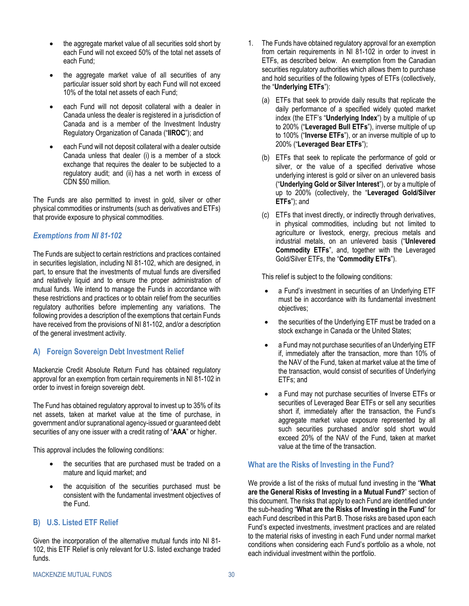- the aggregate market value of all securities sold short by each Fund will not exceed 50% of the total net assets of each Fund;
- the aggregate market value of all securities of any particular issuer sold short by each Fund will not exceed 10% of the total net assets of each Fund;
- each Fund will not deposit collateral with a dealer in Canada unless the dealer is registered in a jurisdiction of Canada and is a member of the Investment Industry Regulatory Organization of Canada ("**IIROC**"); and
- each Fund will not deposit collateral with a dealer outside Canada unless that dealer (i) is a member of a stock exchange that requires the dealer to be subjected to a regulatory audit; and (ii) has a net worth in excess of CDN \$50 million.

The Funds are also permitted to invest in gold, silver or other physical commodities or instruments (such as derivatives and ETFs) that provide exposure to physical commodities.

### *Exemptions from NI 81-102*

The Funds are subject to certain restrictions and practices contained in securities legislation, including NI 81-102, which are designed, in part, to ensure that the investments of mutual funds are diversified and relatively liquid and to ensure the proper administration of mutual funds. We intend to manage the Funds in accordance with these restrictions and practices or to obtain relief from the securities regulatory authorities before implementing any variations. The following provides a description of the exemptions that certain Funds have received from the provisions of NI 81-102, and/or a description of the general investment activity.

### **A) Foreign Sovereign Debt Investment Relief**

Mackenzie Credit Absolute Return Fund has obtained regulatory approval for an exemption from certain requirements in NI 81-102 in order to invest in foreign sovereign debt.

The Fund has obtained regulatory approval to invest up to 35% of its net assets, taken at market value at the time of purchase, in government and/or supranational agency-issued or guaranteed debt securities of any one issuer with a credit rating of "**AAA**" or higher.

This approval includes the following conditions:

- the securities that are purchased must be traded on a mature and liquid market; and
- the acquisition of the securities purchased must be consistent with the fundamental investment objectives of the Fund.

### **B) U.S. Listed ETF Relief**

Given the incorporation of the alternative mutual funds into NI 81- 102, this ETF Relief is only relevant for U.S. listed exchange traded funds.

- 1. The Funds have obtained regulatory approval for an exemption from certain requirements in NI 81-102 in order to invest in ETFs, as described below. An exemption from the Canadian securities regulatory authorities which allows them to purchase and hold securities of the following types of ETFs (collectively, the "**Underlying ETFs**"):
	- (a) ETFs that seek to provide daily results that replicate the daily performance of a specified widely quoted market index (the ETF's "**Underlying Index**") by a multiple of up to 200% ("**Leveraged Bull ETFs**"), inverse multiple of up to 100% ("**Inverse ETFs**"), or an inverse multiple of up to 200% ("**Leveraged Bear ETFs**");
	- (b) ETFs that seek to replicate the performance of gold or silver, or the value of a specified derivative whose underlying interest is gold or silver on an unlevered basis ("**Underlying Gold or Silver Interest**"), or by a multiple of up to 200% (collectively, the "**Leveraged Gold/Silver ETFs**"); and
	- (c) ETFs that invest directly, or indirectly through derivatives, in physical commodities, including but not limited to agriculture or livestock, energy, precious metals and industrial metals, on an unlevered basis ("**Unlevered Commodity ETFs**", and, together with the Leveraged Gold/Silver ETFs, the "**Commodity ETFs**").

This relief is subject to the following conditions:

- a Fund's investment in securities of an Underlying ETF must be in accordance with its fundamental investment objectives;
- the securities of the Underlying ETF must be traded on a stock exchange in Canada or the United States;
- a Fund may not purchase securities of an Underlying ETF if, immediately after the transaction, more than 10% of the NAV of the Fund, taken at market value at the time of the transaction, would consist of securities of Underlying ETFs; and
- a Fund may not purchase securities of Inverse ETFs or securities of Leveraged Bear ETFs or sell any securities short if, immediately after the transaction, the Fund's aggregate market value exposure represented by all such securities purchased and/or sold short would exceed 20% of the NAV of the Fund, taken at market value at the time of the transaction.

### **What are the Risks of Investing in the Fund?**

We provide a list of the risks of mutual fund investing in the "**[What](#page-2-1)  [are the General Risks of Investing in a Mutual Fund?](#page-2-1)**" section of this document. The risks that apply to each Fund are identified under the sub-heading "**What are the Risks of Investing in the Fund**" for each Fund described in this Part B. Those risks are based upon each Fund's expected investments, investment practices and are related to the material risks of investing in each Fund under normal market conditions when considering each Fund's portfolio as a whole, not each individual investment within the portfolio.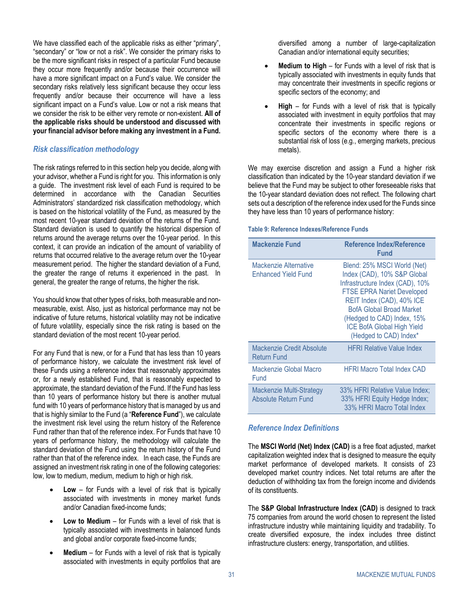We have classified each of the applicable risks as either "primary", "secondary" or "low or not a risk". We consider the primary risks to be the more significant risks in respect of a particular Fund because they occur more frequently and/or because their occurrence will have a more significant impact on a Fund's value. We consider the secondary risks relatively less significant because they occur less frequently and/or because their occurrence will have a less significant impact on a Fund's value. Low or not a risk means that we consider the risk to be either very remote or non-existent. **All of the applicable risks should be understood and discussed with your financial advisor before making any investment in a Fund.**

### *Risk classification methodology*

The risk ratings referred to in this section help you decide, along with your advisor, whether a Fund is right for you. This information is only a guide. The investment risk level of each Fund is required to be determined in accordance with the Canadian Securities Administrators' standardized risk classification methodology, which is based on the historical volatility of the Fund, as measured by the most recent 10-year standard deviation of the returns of the Fund. Standard deviation is used to quantify the historical dispersion of returns around the average returns over the 10-year period. In this context, it can provide an indication of the amount of variability of returns that occurred relative to the average return over the 10-year measurement period. The higher the standard deviation of a Fund, the greater the range of returns it experienced in the past. In general, the greater the range of returns, the higher the risk.

You should know that other types of risks, both measurable and nonmeasurable, exist. Also, just as historical performance may not be indicative of future returns, historical volatility may not be indicative of future volatility, especially since the risk rating is based on the standard deviation of the most recent 10-year period.

For any Fund that is new, or for a Fund that has less than 10 years of performance history, we calculate the investment risk level of these Funds using a reference index that reasonably approximates or, for a newly established Fund, that is reasonably expected to approximate, the standard deviation of the Fund. If the Fund has less than 10 years of performance history but there is another mutual fund with 10 years of performance history that is managed by us and that is highly similar to the Fund (a "**Reference Fund**"), we calculate the investment risk level using the return history of the Reference Fund rather than that of the reference index. For Funds that have 10 years of performance history, the methodology will calculate the standard deviation of the Fund using the return history of the Fund rather than that of the reference index. In each case, the Funds are assigned an investment risk rating in one of the following categories: low, low to medium, medium, medium to high or high risk.

- **Low** for Funds with a level of risk that is typically associated with investments in money market funds and/or Canadian fixed-income funds;
- **Low to Medium** for Funds with a level of risk that is typically associated with investments in balanced funds and global and/or corporate fixed-income funds;
- **Medium** for Funds with a level of risk that is typically associated with investments in equity portfolios that are

diversified among a number of large-capitalization Canadian and/or international equity securities;

- **Medium to High** for Funds with a level of risk that is typically associated with investments in equity funds that may concentrate their investments in specific regions or specific sectors of the economy; and
- **High** for Funds with a level of risk that is typically associated with investment in equity portfolios that may concentrate their investments in specific regions or specific sectors of the economy where there is a substantial risk of loss (e.g., emerging markets, precious metals).

We may exercise discretion and assign a Fund a higher risk classification than indicated by the 10-year standard deviation if we believe that the Fund may be subject to other foreseeable risks that the 10-year standard deviation does not reflect. The following chart sets out a description of the reference index used for the Funds since they have less than 10 years of performance history:

#### **Table 9: Reference Indexes/Reference Funds**

| <b>Mackenzie Fund</b>                                  | <b>Reference Index/Reference</b><br><b>Fund</b>                                                                                                                                                                                                                                                 |
|--------------------------------------------------------|-------------------------------------------------------------------------------------------------------------------------------------------------------------------------------------------------------------------------------------------------------------------------------------------------|
| Mackenzie Alternative<br><b>Enhanced Yield Fund</b>    | Blend: 25% MSCI World (Net)<br>Index (CAD), 10% S&P Global<br>Infrastructure Index (CAD), 10%<br><b>FTSE EPRA Nariet Developed</b><br>REIT Index (CAD), 40% ICE<br><b>BofA Global Broad Market</b><br>(Hedged to CAD) Index, 15%<br><b>ICE BofA Global High Yield</b><br>(Hedged to CAD) Index* |
| <b>Mackenzie Credit Absolute</b><br><b>Return Fund</b> | <b>HFRI Relative Value Index</b>                                                                                                                                                                                                                                                                |
| Mackenzie Global Macro<br>Fund                         | <b>HFRI Macro Total Index CAD</b>                                                                                                                                                                                                                                                               |
| Mackenzie Multi-Strategy<br>Absolute Return Fund       | 33% HFRI Relative Value Index;<br>33% HFRI Equity Hedge Index;<br>33% HFRI Macro Total Index                                                                                                                                                                                                    |

### *Reference Index Definitions*

The **MSCI World (Net) Index (CAD)** is a free float adjusted, market capitalization weighted index that is designed to measure the equity market performance of developed markets. It consists of 23 developed market country indices. Net total returns are after the deduction of withholding tax from the foreign income and dividends of its constituents.

The **S&P Global Infrastructure Index (CAD)** is designed to track 75 companies from around the world chosen to represent the listed infrastructure industry while maintaining liquidity and tradability. To create diversified exposure, the index includes three distinct infrastructure clusters: energy, transportation, and utilities.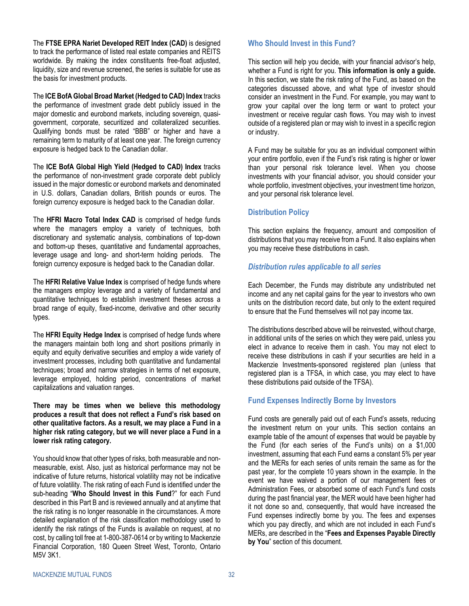The **FTSE EPRA Nariet Developed REIT Index (CAD)** is designed to track the performance of listed real estate companies and REITS worldwide. By making the index constituents free-float adjusted, liquidity, size and revenue screened, the series is suitable for use as the basis for investment products.

The **ICE BofA Global Broad Market (Hedged to CAD) Index** tracks the performance of investment grade debt publicly issued in the major domestic and eurobond markets, including sovereign, quasigovernment, corporate, securitized and collateralized securities. Qualifying bonds must be rated "BBB" or higher and have a remaining term to maturity of at least one year. The foreign currency exposure is hedged back to the Canadian dollar.

The **ICE BofA Global High Yield (Hedged to CAD) Index** tracks the performance of non-investment grade corporate debt publicly issued in the major domestic or eurobond markets and denominated in U.S. dollars, Canadian dollars, British pounds or euros. The foreign currency exposure is hedged back to the Canadian dollar.

The **HFRI Macro Total Index CAD** is comprised of hedge funds where the managers employ a variety of techniques, both discretionary and systematic analysis, combinations of top-down and bottom-up theses, quantitative and fundamental approaches, leverage usage and long- and short-term holding periods. The foreign currency exposure is hedged back to the Canadian dollar.

The **HFRI Relative Value Index** is comprised of hedge funds where the managers employ leverage and a variety of fundamental and quantitative techniques to establish investment theses across a broad range of equity, fixed-income, derivative and other security types.

The **HFRI Equity Hedge Index** is comprised of hedge funds where the managers maintain both long and short positions primarily in equity and equity derivative securities and employ a wide variety of investment processes, including both quantitative and fundamental techniques; broad and narrow strategies in terms of net exposure, leverage employed, holding period, concentrations of market capitalizations and valuation ranges.

**There may be times when we believe this methodology produces a result that does not reflect a Fund's risk based on other qualitative factors. As a result, we may place a Fund in a higher risk rating category, but we will never place a Fund in a lower risk rating category.**

You should know that other types of risks, both measurable and nonmeasurable, exist. Also, just as historical performance may not be indicative of future returns, historical volatility may not be indicative of future volatility. The risk rating of each Fund is identified under the sub-heading "**Who Should Invest in this Fund**?" for each Fund described in this [Part B](#page-30-0) and is reviewed annually and at anytime that the risk rating is no longer reasonable in the circumstances. A more detailed explanation of the risk classification methodology used to identify the risk ratings of the Funds is available on request, at no cost, by calling toll free at 1-800-387-0614 or by writing to Mackenzie Financial Corporation, 180 Queen Street West, Toronto, Ontario M5V 3K1.

### **Who Should Invest in this Fund?**

This section will help you decide, with your financial advisor's help, whether a Fund is right for you. **This information is only a guide.** In this section, we state the risk rating of the Fund, as based on the categories discussed above, and what type of investor should consider an investment in the Fund. For example, you may want to grow your capital over the long term or want to protect your investment or receive regular cash flows. You may wish to invest outside of a registered plan or may wish to invest in a specific region or industry.

A Fund may be suitable for you as an individual component within your entire portfolio, even if the Fund's risk rating is higher or lower than your personal risk tolerance level. When you choose investments with your financial advisor, you should consider your whole portfolio, investment objectives, your investment time horizon, and your personal risk tolerance level.

### <span id="page-33-0"></span>**Distribution Policy**

This section explains the frequency, amount and composition of distributions that you may receive from a Fund. It also explains when you may receive these distributions in cash.

### *Distribution rules applicable to all series*

Each December, the Funds may distribute any undistributed net income and any net capital gains for the year to investors who own units on the distribution record date, but only to the extent required to ensure that the Fund themselves will not pay income tax.

The distributions described above will be reinvested, without charge, in additional units of the series on which they were paid, unless you elect in advance to receive them in cash. You may not elect to receive these distributions in cash if your securities are held in a Mackenzie Investments-sponsored registered plan (unless that registered plan is a TFSA, in which case, you may elect to have these distributions paid outside of the TFSA).

### **Fund Expenses Indirectly Borne by Investors**

Fund costs are generally paid out of each Fund's assets, reducing the investment return on your units. This section contains an example table of the amount of expenses that would be payable by the Fund (for each series of the Fund's units) on a \$1,000 investment, assuming that each Fund earns a constant 5% per year and the MERs for each series of units remain the same as for the past year, for the complete 10 years shown in the example. In the event we have waived a portion of our management fees or Administration Fees, or absorbed some of each Fund's fund costs during the past financial year, the MER would have been higher had it not done so and, consequently, that would have increased the Fund expenses indirectly borne by you. The fees and expenses which you pay directly, and which are not included in each Fund's MERs, are described in the "**[Fees and Expenses Payable Directly](#page-21-0)  [by You](#page-21-0)**" section of this document.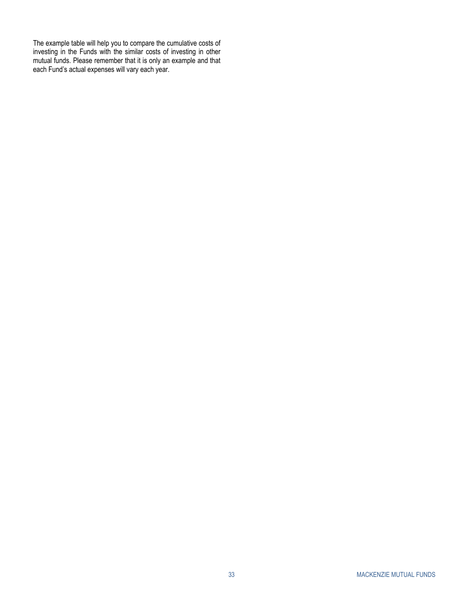The example table will help you to compare the cumulative costs of investing in the Funds with the similar costs of investing in other mutual funds. Please remember that it is only an example and that each Fund's actual expenses will vary each year.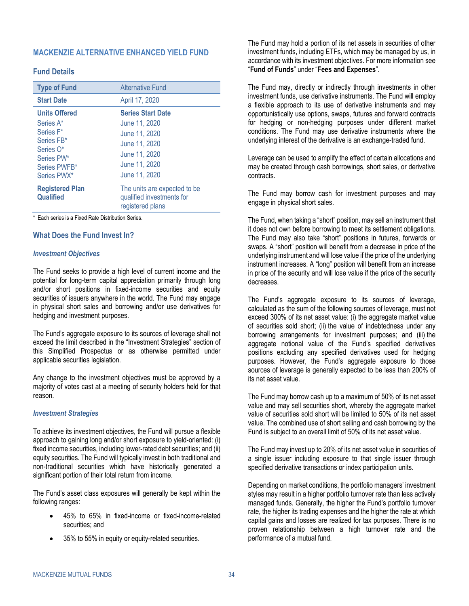### <span id="page-35-0"></span>**MACKENZIE ALTERNATIVE ENHANCED YIELD FUND**

### **Fund Details**

| <b>Type of Fund</b>                                                                                                    | <b>Alternative Fund</b>                                                                                                        |
|------------------------------------------------------------------------------------------------------------------------|--------------------------------------------------------------------------------------------------------------------------------|
| <b>Start Date</b>                                                                                                      | April 17, 2020                                                                                                                 |
| <b>Units Offered</b><br>Series A*<br>Series F*<br>Series FB*<br>Series O*<br>Series PW*<br>Series PWFB*<br>Series PWX* | <b>Series Start Date</b><br>June 11, 2020<br>June 11, 2020<br>June 11, 2020<br>June 11, 2020<br>June 11, 2020<br>June 11, 2020 |
| <b>Registered Plan</b><br>Qualified                                                                                    | The units are expected to be<br>qualified investments for<br>registered plans                                                  |

\* Each series is a Fixed Rate Distribution Series.

### **What Does the Fund Invest In?**

#### *Investment Objectives*

The Fund seeks to provide a high level of current income and the potential for long-term capital appreciation primarily through long and/or short positions in fixed-income securities and equity securities of issuers anywhere in the world. The Fund may engage in physical short sales and borrowing and/or use derivatives for hedging and investment purposes.

The Fund's aggregate exposure to its sources of leverage shall not exceed the limit described in the "Investment Strategies" section of this Simplified Prospectus or as otherwise permitted under applicable securities legislation.

Any change to the investment objectives must be approved by a majority of votes cast at a meeting of security holders held for that reason.

#### *Investment Strategies*

To achieve its investment objectives, the Fund will pursue a flexible approach to gaining long and/or short exposure to yield-oriented: (i) fixed income securities, including lower-rated debt securities; and (ii) equity securities. The Fund will typically invest in both traditional and non-traditional securities which have historically generated a significant portion of their total return from income.

The Fund's asset class exposures will generally be kept within the following ranges:

- 45% to 65% in fixed-income or fixed-income-related securities; and
- 35% to 55% in equity or equity-related securities.

The Fund may hold a portion of its net assets in securities of other investment funds, including ETFs, which may be managed by us, in accordance with its investment objectives. For more information see "**Fund of Funds**" under "**Fees and Expenses**".

The Fund may, directly or indirectly through investments in other investment funds, use derivative instruments. The Fund will employ a flexible approach to its use of derivative instruments and may opportunistically use options, swaps, futures and forward contracts for hedging or non-hedging purposes under different market conditions. The Fund may use derivative instruments where the underlying interest of the derivative is an exchange-traded fund.

Leverage can be used to amplify the effect of certain allocations and may be created through cash borrowings, short sales, or derivative contracts.

The Fund may borrow cash for investment purposes and may engage in physical short sales.

The Fund, when taking a "short" position, may sell an instrument that it does not own before borrowing to meet its settlement obligations. The Fund may also take "short" positions in futures, forwards or swaps. A "short" position will benefit from a decrease in price of the underlying instrument and will lose value if the price of the underlying instrument increases. A "long" position will benefit from an increase in price of the security and will lose value if the price of the security decreases.

The Fund's aggregate exposure to its sources of leverage, calculated as the sum of the following sources of leverage, must not exceed 300% of its net asset value: (i) the aggregate market value of securities sold short; (ii) the value of indebtedness under any borrowing arrangements for investment purposes; and (iii) the aggregate notional value of the Fund's specified derivatives positions excluding any specified derivatives used for hedging purposes. However, the Fund's aggregate exposure to those sources of leverage is generally expected to be less than 200% of its net asset value.

The Fund may borrow cash up to a maximum of 50% of its net asset value and may sell securities short, whereby the aggregate market value of securities sold short will be limited to 50% of its net asset value. The combined use of short selling and cash borrowing by the Fund is subject to an overall limit of 50% of its net asset value.

The Fund may invest up to 20% of its net asset value in securities of a single issuer including exposure to that single issuer through specified derivative transactions or index participation units.

Depending on market conditions, the portfolio managers' investment styles may result in a higher portfolio turnover rate than less actively managed funds. Generally, the higher the Fund's portfolio turnover rate, the higher its trading expenses and the higher the rate at which capital gains and losses are realized for tax purposes. There is no proven relationship between a high turnover rate and the performance of a mutual fund.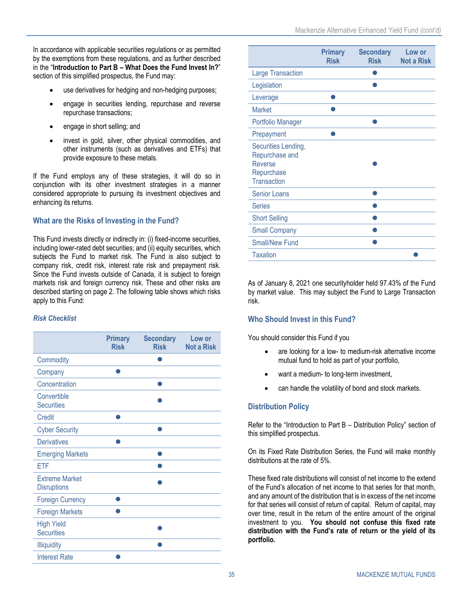In accordance with applicable securities regulations or as permitted by the exemptions from these regulations, and as further described in the "**Introduction to Part B – What Does the Fund Invest In?**" section of this simplified prospectus, the Fund may:

- use derivatives for hedging and non-hedging purposes;
- engage in securities lending, repurchase and reverse repurchase transactions;
- engage in short selling; and
- invest in gold, silver, other physical commodities, and other instruments (such as derivatives and ETFs) that provide exposure to these metals.

If the Fund employs any of these strategies, it will do so in conjunction with its other investment strategies in a manner considered appropriate to pursuing its investment objectives and enhancing its returns.

## **What are the Risks of Investing in the Fund?**

This Fund invests directly or indirectly in: (i) fixed-income securities, including lower-rated debt securities; and (ii) equity securities, which subjects the Fund to market risk. The Fund is also subject to company risk, credit risk, interest rate risk and prepayment risk. Since the Fund invests outside of Canada, it is subject to foreign markets risk and foreign currency risk. These and other risks are described starting on page 2. The following table shows which risks apply to this Fund:

### *Risk Checklist*

|                                             | <b>Primary</b><br><b>Risk</b> | <b>Secondary</b><br><b>Risk</b> | Low or<br><b>Not a Risk</b> |
|---------------------------------------------|-------------------------------|---------------------------------|-----------------------------|
| Commodity                                   |                               |                                 |                             |
| Company                                     |                               |                                 |                             |
| Concentration                               |                               |                                 |                             |
| Convertible<br><b>Securities</b>            |                               |                                 |                             |
| Credit                                      |                               |                                 |                             |
| <b>Cyber Security</b>                       |                               |                                 |                             |
| <b>Derivatives</b>                          |                               |                                 |                             |
| <b>Emerging Markets</b>                     |                               |                                 |                             |
| <b>ETF</b>                                  |                               |                                 |                             |
| <b>Extreme Market</b><br><b>Disruptions</b> |                               |                                 |                             |
| <b>Foreign Currency</b>                     |                               |                                 |                             |
| <b>Foreign Markets</b>                      |                               |                                 |                             |
| <b>High Yield</b><br><b>Securities</b>      |                               |                                 |                             |
| <b>Illiquidity</b>                          |                               |                                 |                             |
| <b>Interest Rate</b>                        |                               |                                 |                             |

|                                                                                             | <b>Primary</b><br><b>Risk</b> | <b>Secondary</b><br><b>Risk</b> | Low or<br><b>Not a Risk</b> |
|---------------------------------------------------------------------------------------------|-------------------------------|---------------------------------|-----------------------------|
| <b>Large Transaction</b>                                                                    |                               |                                 |                             |
| Legislation                                                                                 |                               |                                 |                             |
| Leverage                                                                                    |                               |                                 |                             |
| <b>Market</b>                                                                               |                               |                                 |                             |
| Portfolio Manager                                                                           |                               |                                 |                             |
| Prepayment                                                                                  |                               |                                 |                             |
| Securities Lending,<br>Repurchase and<br><b>Reverse</b><br>Repurchase<br><b>Transaction</b> |                               |                                 |                             |
| <b>Senior Loans</b>                                                                         |                               |                                 |                             |
| <b>Series</b>                                                                               |                               |                                 |                             |
| <b>Short Selling</b>                                                                        |                               |                                 |                             |
| <b>Small Company</b>                                                                        |                               |                                 |                             |
| <b>Small/New Fund</b>                                                                       |                               |                                 |                             |
| <b>Taxation</b>                                                                             |                               |                                 |                             |

As of January 8, 2021 one securityholder held 97.43% of the Fund by market value. This may subject the Fund to Large Transaction risk.

### **Who Should Invest in this Fund?**

You should consider this Fund if you

- are looking for a low- to medium-risk alternative income mutual fund to hold as part of your portfolio,
- want a medium- to long-term investment,
- can handle the volatility of bond and stock markets.

### **Distribution Policy**

Refer to the ["Introduction to Part](#page-30-1) B – [Distribution Policy"](#page-33-0) section of this simplified prospectus.

On its Fixed Rate Distribution Series, the Fund will make monthly distributions at the rate of 5%.

These fixed rate distributions will consist of net income to the extend of the Fund's allocation of net income to that series for that month, and any amount of the distribution that is in excess of the net income for that series will consist of return of capital. Return of capital, may over time, result in the return of the entire amount of the original investment to you. **You should not confuse this fixed rate distribution with the Fund's rate of return or the yield of its portfolio.**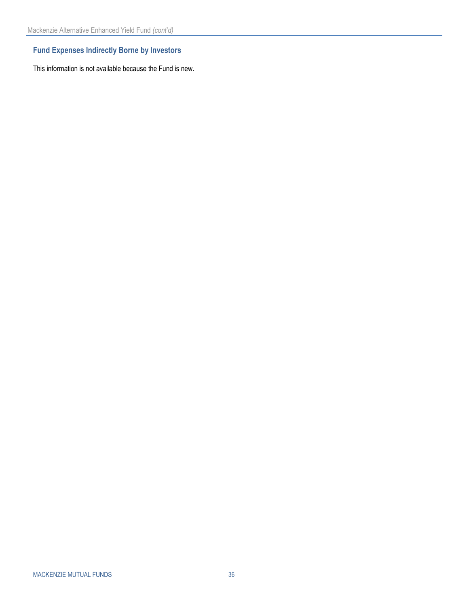# **Fund Expenses Indirectly Borne by Investors**

This information is not available because the Fund is new.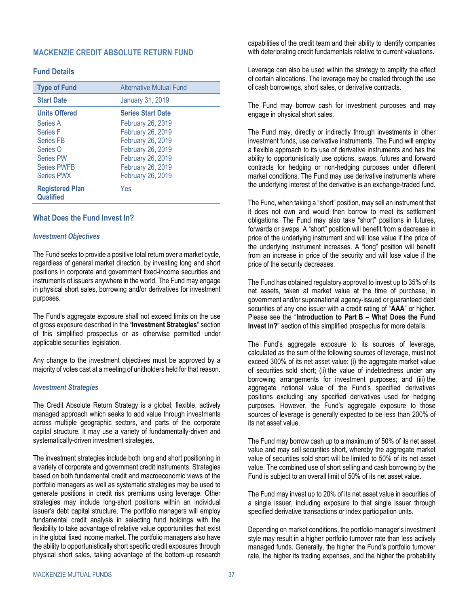### <span id="page-38-0"></span>**MACKENZIE CREDIT ABSOLUTE RETURN FUND**

### **Fund Details**

| <b>Type of Fund</b>                 | <b>Alternative Mutual Fund</b> |  |
|-------------------------------------|--------------------------------|--|
| <b>Start Date</b>                   | <b>January 31, 2019</b>        |  |
| <b>Units Offered</b>                | <b>Series Start Date</b>       |  |
| Series A                            | February 26, 2019              |  |
| <b>Series F</b>                     | February 26, 2019              |  |
| <b>Series FB</b>                    | February 26, 2019              |  |
| Series O                            | February 26, 2019              |  |
| <b>Series PW</b>                    | February 26, 2019              |  |
| <b>Series PWFB</b>                  | February 26, 2019              |  |
| <b>Series PWX</b>                   | February 26, 2019              |  |
| <b>Registered Plan</b><br>Qualified | Yes                            |  |

#### **What Does the Fund Invest In?**

#### *Investment Objectives*

The Fund seeks to provide a positive total return over a market cycle, regardless of general market direction, by investing long and short positions in corporate and government fixed-income securities and instruments of issuers anywhere in the world. The Fund may engage in physical short sales, borrowing and/or derivatives for investment purposes.

The Fund's aggregate exposure shall not exceed limits on the use of gross exposure described in the "**Investment Strategies**" section of this simplified prospectus or as otherwise permitted under applicable securities legislation.

Any change to the investment objectives must be approved by a majority of votes cast at a meeting of unitholders held for that reason.

#### *Investment Strategies*

The Credit Absolute Return Strategy is a global, flexible, actively managed approach which seeks to add value through investments across multiple geographic sectors, and parts of the corporate capital structure. It may use a variety of fundamentally-driven and systematically-driven investment strategies.

The investment strategies include both long and short positioning in a variety of corporate and government credit instruments. Strategies based on both fundamental credit and macroeconomic views of the portfolio managers as well as systematic strategies may be used to generate positions in credit risk premiums using leverage. Other strategies may include long-short positions within an individual issuer's debt capital structure. The portfolio managers will employ fundamental credit analysis in selecting fund holdings with the flexibility to take advantage of relative value opportunities that exist in the global fixed income market. The portfolio managers also have the ability to opportunistically short specific credit exposures through physical short sales, taking advantage of the bottom-up research

capabilities of the credit team and their ability to identify companies with deteriorating credit fundamentals relative to current valuations.

Leverage can also be used within the strategy to amplify the effect of certain allocations. The leverage may be created through the use of cash borrowings, short sales, or derivative contracts.

The Fund may borrow cash for investment purposes and may engage in physical short sales.

The Fund may, directly or indirectly through investments in other investment funds, use derivative instruments. The Fund will employ a flexible approach to its use of derivative instruments and has the ability to opportunistically use options, swaps, futures and forward contracts for hedging or non-hedging purposes under different market conditions. The Fund may use derivative instruments where the underlying interest of the derivative is an exchange-traded fund.

The Fund, when taking a "short" position, may sell an instrument that it does not own and would then borrow to meet its settlement obligations. The Fund may also take "short" positions in futures, forwards or swaps. A "short" position will benefit from a decrease in price of the underlying instrument and will lose value if the price of the underlying instrument increases. A "long" position will benefit from an increase in price of the security and will lose value if the price of the security decreases.

The Fund has obtained regulatory approval to invest up to 35% of its net assets, taken at market value at the time of purchase, in government and/or supranational agency-issued or guaranteed debt securities of any one issuer with a credit rating of "**AAA**" or higher. Please see the "**[Introduction to Part](#page-30-1) B – [What Does the Fund](#page-30-2)  [Invest In?](#page-30-2)**" section of this simplified prospectus for more details.

The Fund's aggregate exposure to its sources of leverage, calculated as the sum of the following sources of leverage, must not exceed 300% of its net asset value: (i) the aggregate market value of securities sold short; (ii) the value of indebtedness under any borrowing arrangements for investment purposes; and (iii) the aggregate notional value of the Fund's specified derivatives positions excluding any specified derivatives used for hedging purposes. However, the Fund's aggregate exposure to those sources of leverage is generally expected to be less than 200% of its net asset value.

The Fund may borrow cash up to a maximum of 50% of its net asset value and may sell securities short, whereby the aggregate market value of securities sold short will be limited to 50% of its net asset value. The combined use of short selling and cash borrowing by the Fund is subject to an overall limit of 50% of its net asset value.

The Fund may invest up to 20% of its net asset value in securities of a single issuer, including exposure to that single issuer through specified derivative transactions or index participation units.

Depending on market conditions, the portfolio manager's investment style may result in a higher portfolio turnover rate than less actively managed funds. Generally, the higher the Fund's portfolio turnover rate, the higher its trading expenses, and the higher the probability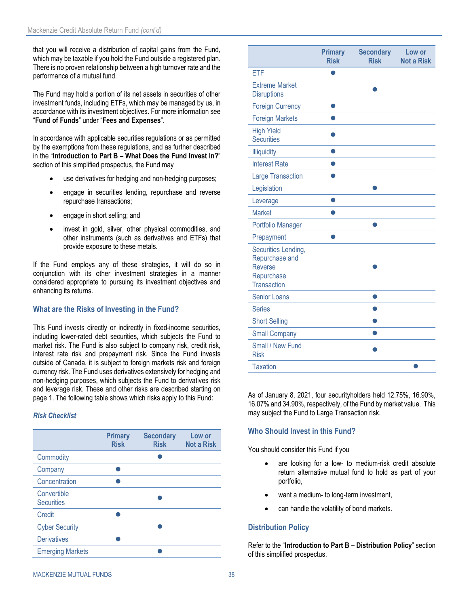that you will receive a distribution of capital gains from the Fund, which may be taxable if you hold the Fund outside a registered plan. There is no proven relationship between a high turnover rate and the performance of a mutual fund.

The Fund may hold a portion of its net assets in securities of other investment funds, including ETFs, which may be managed by us, in accordance with its investment objectives. For more information see "**[Fund of Funds](#page-21-1)**" under "**[Fees and Expenses](#page-17-0)**".

In accordance with applicable securities regulations or as permitted by the exemptions from these regulations, and as further described in the "**[Introduction to Part](#page-30-1) B – [What Does the Fund Invest In?](#page-30-2)**" section of this simplified prospectus, the Fund may

- use derivatives for hedging and non-hedging purposes;
- engage in securities lending, repurchase and reverse repurchase transactions;
- engage in short selling; and
- invest in gold, silver, other physical commodities, and other instruments (such as derivatives and ETFs) that provide exposure to these metals.

If the Fund employs any of these strategies, it will do so in conjunction with its other investment strategies in a manner considered appropriate to pursuing its investment objectives and enhancing its returns.

### **What are the Risks of Investing in the Fund?**

This Fund invests directly or indirectly in fixed-income securities, including lower-rated debt securities, which subjects the Fund to market risk. The Fund is also subject to company risk, credit risk, interest rate risk and prepayment risk. Since the Fund invests outside of Canada, it is subject to foreign markets risk and foreign currency risk. The Fund uses derivatives extensively for hedging and non-hedging purposes, which subjects the Fund to derivatives risk and leverage risk. These and other risks are described starting on page [1.](#page-2-1) The following table shows which risks apply to this Fund:

### *Risk Checklist*

|                                  | <b>Primary</b><br><b>Risk</b> | <b>Secondary</b><br><b>Risk</b> | Low or<br><b>Not a Risk</b> |
|----------------------------------|-------------------------------|---------------------------------|-----------------------------|
| Commodity                        |                               |                                 |                             |
| Company                          |                               |                                 |                             |
| Concentration                    |                               |                                 |                             |
| Convertible<br><b>Securities</b> |                               |                                 |                             |
| Credit                           |                               |                                 |                             |
| <b>Cyber Security</b>            |                               |                                 |                             |
| <b>Derivatives</b>               |                               |                                 |                             |
| <b>Emerging Markets</b>          |                               |                                 |                             |

|                                                                                             | <b>Primary</b><br><b>Risk</b> | <b>Secondary</b><br><b>Risk</b> | Low or<br><b>Not a Risk</b> |
|---------------------------------------------------------------------------------------------|-------------------------------|---------------------------------|-----------------------------|
| ETF                                                                                         |                               |                                 |                             |
| <b>Extreme Market</b><br><b>Disruptions</b>                                                 |                               |                                 |                             |
| <b>Foreign Currency</b>                                                                     |                               |                                 |                             |
| <b>Foreign Markets</b>                                                                      |                               |                                 |                             |
| <b>High Yield</b><br><b>Securities</b>                                                      |                               |                                 |                             |
| Illiquidity                                                                                 |                               |                                 |                             |
| <b>Interest Rate</b>                                                                        |                               |                                 |                             |
| <b>Large Transaction</b>                                                                    |                               |                                 |                             |
| Legislation                                                                                 |                               |                                 |                             |
| Leverage                                                                                    |                               |                                 |                             |
| <b>Market</b>                                                                               |                               |                                 |                             |
| Portfolio Manager                                                                           |                               |                                 |                             |
| Prepayment                                                                                  |                               |                                 |                             |
| Securities Lending,<br>Repurchase and<br><b>Reverse</b><br>Repurchase<br><b>Transaction</b> |                               |                                 |                             |
| <b>Senior Loans</b>                                                                         |                               |                                 |                             |
| <b>Series</b>                                                                               |                               |                                 |                             |
| <b>Short Selling</b>                                                                        |                               |                                 |                             |
| <b>Small Company</b>                                                                        |                               |                                 |                             |
| Small / New Fund<br><b>Risk</b>                                                             |                               |                                 |                             |
| <b>Taxation</b>                                                                             |                               |                                 |                             |

As of January 8, 2021, four securityholders held 12.75%, 16.90%, 16.07% and 34.90%, respectively, of the Fund by market value. This may subject the Fund to Large Transaction risk.

### **Who Should Invest in this Fund?**

You should consider this Fund if you

- are looking for a low- to medium-risk credit absolute return alternative mutual fund to hold as part of your portfolio,
- want a medium- to long-term investment,
- can handle the volatility of bond markets.

### **Distribution Policy**

Refer to the "**[Introduction to Part](#page-30-1) B – [Distribution Policy](#page-33-0)**" section of this simplified prospectus.

#### MACKENZIE MUTUAL FUNDS 38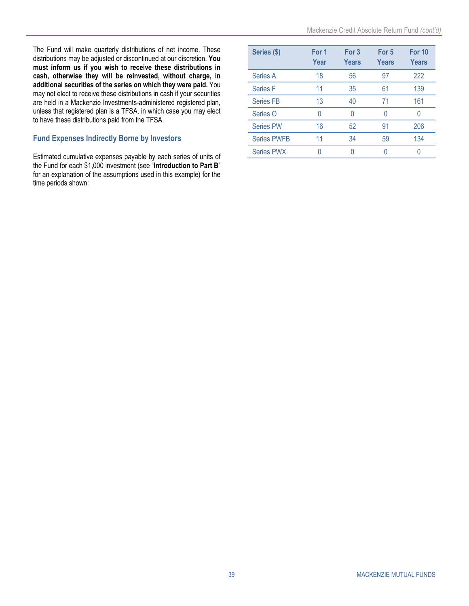The Fund will make quarterly distributions of net income. These distributions may be adjusted or discontinued at our discretion. **You must inform us if you wish to receive these distributions in cash, otherwise they will be reinvested, without charge, in additional securities of the series on which they were paid.** You may not elect to receive these distributions in cash if your securities are held in a Mackenzie Investments-administered registered plan, unless that registered plan is a TFSA, in which case you may elect to have these distributions paid from the TFSA.

### **Fund Expenses Indirectly Borne by Investors**

Estimated cumulative expenses payable by each series of units of the Fund for each \$1,000 investment (see "**[Introduction to Part](#page-30-1) B**" for an explanation of the assumptions used in this example) for the time periods shown:

| Series (\$)        | For 1<br>Year | For 3<br>Years | For 5<br>Years | <b>For 10</b><br><b>Years</b> |
|--------------------|---------------|----------------|----------------|-------------------------------|
| Series A           | 18            | 56             | 97             | 222                           |
| <b>Series F</b>    | 11            | 35             | 61             | 139                           |
| <b>Series FB</b>   | 13            | 40             | 71             | 161                           |
| Series O           | N             | Ω              | O              |                               |
| <b>Series PW</b>   | 16            | 52             | 91             | 206                           |
| <b>Series PWFB</b> | 11            | 34             | 59             | 134                           |
| <b>Series PWX</b>  |               |                |                |                               |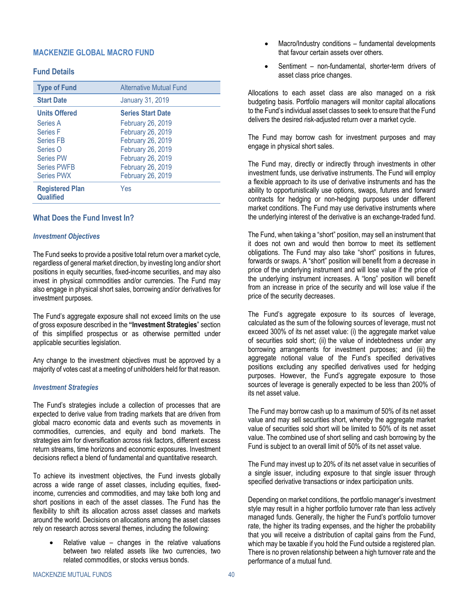### <span id="page-41-0"></span>**MACKENZIE GLOBAL MACRO FUND**

### **Fund Details**

| <b>Type of Fund</b>                        | <b>Alternative Mutual Fund</b> |
|--------------------------------------------|--------------------------------|
| <b>Start Date</b>                          | <b>January 31, 2019</b>        |
| <b>Units Offered</b>                       | <b>Series Start Date</b>       |
| Series A                                   | <b>February 26, 2019</b>       |
| <b>Series F</b>                            | February 26, 2019              |
| <b>Series FB</b>                           | February 26, 2019              |
| Series O                                   | February 26, 2019              |
| <b>Series PW</b>                           | February 26, 2019              |
| <b>Series PWFB</b>                         | February 26, 2019              |
| <b>Series PWX</b>                          | February 26, 2019              |
| <b>Registered Plan</b><br><b>Qualified</b> | Yes                            |

#### **What Does the Fund Invest In?**

#### *Investment Objectives*

The Fund seeks to provide a positive total return over a market cycle, regardless of general market direction, by investing long and/or short positions in equity securities, fixed-income securities, and may also invest in physical commodities and/or currencies. The Fund may also engage in physical short sales, borrowing and/or derivatives for investment purposes.

The Fund's aggregate exposure shall not exceed limits on the use of gross exposure described in the **"Investment Strategies**" section of this simplified prospectus or as otherwise permitted under applicable securities legislation.

Any change to the investment objectives must be approved by a majority of votes cast at a meeting of unitholders held for that reason.

#### *Investment Strategies*

The Fund's strategies include a collection of processes that are expected to derive value from trading markets that are driven from global macro economic data and events such as movements in commodities, currencies, and equity and bond markets. The strategies aim for diversification across risk factors, different excess return streams, time horizons and economic exposures. Investment decisions reflect a blend of fundamental and quantitative research.

To achieve its investment objectives, the Fund invests globally across a wide range of asset classes, including equities, fixedincome, currencies and commodities, and may take both long and short positions in each of the asset classes. The Fund has the flexibility to shift its allocation across asset classes and markets around the world. Decisions on allocations among the asset classes rely on research across several themes, including the following:

Relative value  $-$  changes in the relative valuations between two related assets like two currencies, two related commodities, or stocks versus bonds.

- Macro/Industry conditions fundamental developments that favour certain assets over others.
- Sentiment non-fundamental, shorter-term drivers of asset class price changes.

Allocations to each asset class are also managed on a risk budgeting basis. Portfolio managers will monitor capital allocations to the Fund's individual asset classes to seek to ensure that the Fund delivers the desired risk-adjusted return over a market cycle.

The Fund may borrow cash for investment purposes and may engage in physical short sales.

The Fund may, directly or indirectly through investments in other investment funds, use derivative instruments. The Fund will employ a flexible approach to its use of derivative instruments and has the ability to opportunistically use options, swaps, futures and forward contracts for hedging or non-hedging purposes under different market conditions. The Fund may use derivative instruments where the underlying interest of the derivative is an exchange-traded fund.

The Fund, when taking a "short" position, may sell an instrument that it does not own and would then borrow to meet its settlement obligations. The Fund may also take "short" positions in futures, forwards or swaps. A "short" position will benefit from a decrease in price of the underlying instrument and will lose value if the price of the underlying instrument increases. A "long" position will benefit from an increase in price of the security and will lose value if the price of the security decreases.

The Fund's aggregate exposure to its sources of leverage, calculated as the sum of the following sources of leverage, must not exceed 300% of its net asset value: (i) the aggregate market value of securities sold short; (ii) the value of indebtedness under any borrowing arrangements for investment purposes; and (iii) the aggregate notional value of the Fund's specified derivatives positions excluding any specified derivatives used for hedging purposes. However, the Fund's aggregate exposure to those sources of leverage is generally expected to be less than 200% of its net asset value.

The Fund may borrow cash up to a maximum of 50% of its net asset value and may sell securities short, whereby the aggregate market value of securities sold short will be limited to 50% of its net asset value. The combined use of short selling and cash borrowing by the Fund is subject to an overall limit of 50% of its net asset value.

The Fund may invest up to 20% of its net asset value in securities of a single issuer, including exposure to that single issuer through specified derivative transactions or index participation units.

Depending on market conditions, the portfolio manager's investment style may result in a higher portfolio turnover rate than less actively managed funds. Generally, the higher the Fund's portfolio turnover rate, the higher its trading expenses, and the higher the probability that you will receive a distribution of capital gains from the Fund, which may be taxable if you hold the Fund outside a registered plan. There is no proven relationship between a high turnover rate and the performance of a mutual fund.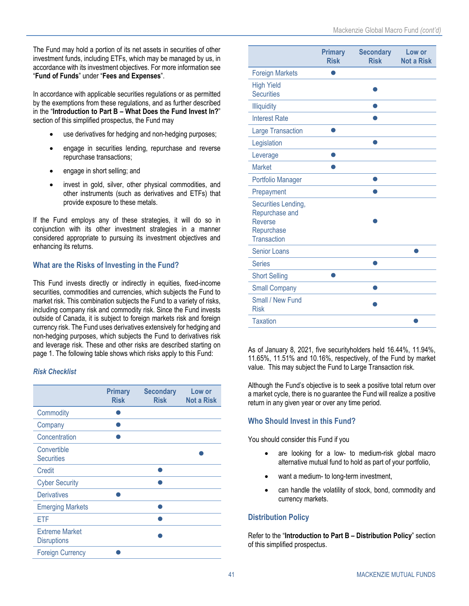The Fund may hold a portion of its net assets in securities of other investment funds, including ETFs, which may be managed by us, in accordance with its investment objectives. For more information see "**[Fund of Funds](#page-21-1)**" under "**[Fees and Expenses](#page-17-0)**".

In accordance with applicable securities regulations or as permitted by the exemptions from these regulations, and as further described in the "**[Introduction to Part](#page-30-1) B – [What Does the Fund Invest In?](#page-30-2)**" section of this simplified prospectus, the Fund may

- use derivatives for hedging and non-hedging purposes;
- engage in securities lending, repurchase and reverse repurchase transactions;
- engage in short selling; and
- invest in gold, silver, other physical commodities, and other instruments (such as derivatives and ETFs) that provide exposure to these metals.

If the Fund employs any of these strategies, it will do so in conjunction with its other investment strategies in a manner considered appropriate to pursuing its investment objectives and enhancing its returns.

# **What are the Risks of Investing in the Fund?**

This Fund invests directly or indirectly in equities, fixed-income securities, commodities and currencies, which subjects the Fund to market risk. This combination subjects the Fund to a variety of risks, including company risk and commodity risk. Since the Fund invests outside of Canada, it is subject to foreign markets risk and foreign currency risk. The Fund uses derivatives extensively for hedging and non-hedging purposes, which subjects the Fund to derivatives risk and leverage risk. These and other risks are described starting on page [1.](#page-2-1) The following table shows which risks apply to this Fund:

# *Risk Checklist*

|                                             | <b>Primary</b><br><b>Risk</b> | <b>Secondary</b><br><b>Risk</b> | Low or<br><b>Not a Risk</b> |
|---------------------------------------------|-------------------------------|---------------------------------|-----------------------------|
| Commodity                                   |                               |                                 |                             |
| Company                                     |                               |                                 |                             |
| Concentration                               |                               |                                 |                             |
| Convertible<br><b>Securities</b>            |                               |                                 |                             |
| Credit                                      |                               |                                 |                             |
| <b>Cyber Security</b>                       |                               |                                 |                             |
| <b>Derivatives</b>                          |                               |                                 |                             |
| <b>Emerging Markets</b>                     |                               |                                 |                             |
| ETF                                         |                               |                                 |                             |
| <b>Extreme Market</b><br><b>Disruptions</b> |                               |                                 |                             |
| <b>Foreign Currency</b>                     |                               |                                 |                             |

|                                                                                             | <b>Primary</b><br><b>Risk</b> | <b>Secondary</b><br><b>Risk</b> | Low or<br><b>Not a Risk</b> |
|---------------------------------------------------------------------------------------------|-------------------------------|---------------------------------|-----------------------------|
| <b>Foreign Markets</b>                                                                      |                               |                                 |                             |
| <b>High Yield</b><br><b>Securities</b>                                                      |                               |                                 |                             |
| <b>Illiquidity</b>                                                                          |                               |                                 |                             |
| <b>Interest Rate</b>                                                                        |                               |                                 |                             |
| <b>Large Transaction</b>                                                                    |                               |                                 |                             |
| Legislation                                                                                 |                               |                                 |                             |
| Leverage                                                                                    |                               |                                 |                             |
| <b>Market</b>                                                                               |                               |                                 |                             |
| Portfolio Manager                                                                           |                               |                                 |                             |
| Prepayment                                                                                  |                               |                                 |                             |
| Securities Lending,<br>Repurchase and<br><b>Reverse</b><br>Repurchase<br><b>Transaction</b> |                               |                                 |                             |
| <b>Senior Loans</b>                                                                         |                               |                                 |                             |
| <b>Series</b>                                                                               |                               |                                 |                             |
| <b>Short Selling</b>                                                                        |                               |                                 |                             |
| <b>Small Company</b>                                                                        |                               |                                 |                             |
| Small / New Fund<br><b>Risk</b>                                                             |                               |                                 |                             |
| <b>Taxation</b>                                                                             |                               |                                 |                             |

As of January 8, 2021, five securityholders held 16.44%, 11.94%, 11.65%, 11.51% and 10.16%, respectively, of the Fund by market value. This may subject the Fund to Large Transaction risk.

Although the Fund's objective is to seek a positive total return over a market cycle, there is no guarantee the Fund will realize a positive return in any given year or over any time period.

# **Who Should Invest in this Fund?**

You should consider this Fund if you

- are looking for a low- to medium-risk global macro alternative mutual fund to hold as part of your portfolio,
- want a medium- to long-term investment,
- can handle the volatility of stock, bond, commodity and currency markets.

# **Distribution Policy**

Refer to the "**[Introduction to Part](#page-30-1) B – [Distribution Policy](#page-33-0)**" section of this simplified prospectus.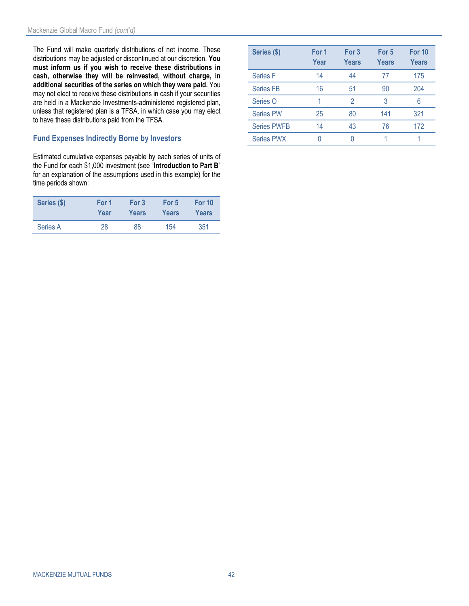The Fund will make quarterly distributions of net income. These distributions may be adjusted or discontinued at our discretion. **You must inform us if you wish to receive these distributions in cash, otherwise they will be reinvested, without charge, in additional securities of the series on which they were paid.** You may not elect to receive these distributions in cash if your securities are held in a Mackenzie Investments-administered registered plan, unless that registered plan is a TFSA, in which case you may elect to have these distributions paid from the TFSA.

### **Fund Expenses Indirectly Borne by Investors**

Estimated cumulative expenses payable by each series of units of the Fund for each \$1,000 investment (see "**[Introduction to Part](#page-30-1) B**" for an explanation of the assumptions used in this example) for the time periods shown:

| Series (\$) | For 1 | For 3 | For 5 | For 10 |
|-------------|-------|-------|-------|--------|
|             | Year  | Years | Years | Years  |
| Series A    | 28    | 88    | 154   | 351    |

| Series (\$)        | For 1<br>Year | For 3<br>Years | For 5<br>Years | For 10<br><b>Years</b> |
|--------------------|---------------|----------------|----------------|------------------------|
| Series F           | 14            | 44             | 77             | 175                    |
| <b>Series FB</b>   | 16            | 51             | 90             | 204                    |
| Series O           |               | 2              | 3              | 6                      |
| <b>Series PW</b>   | 25            | 80             | 141            | 321                    |
| <b>Series PWFB</b> | 14            | 43             | 76             | 172                    |
| <b>Series PWX</b>  |               |                |                |                        |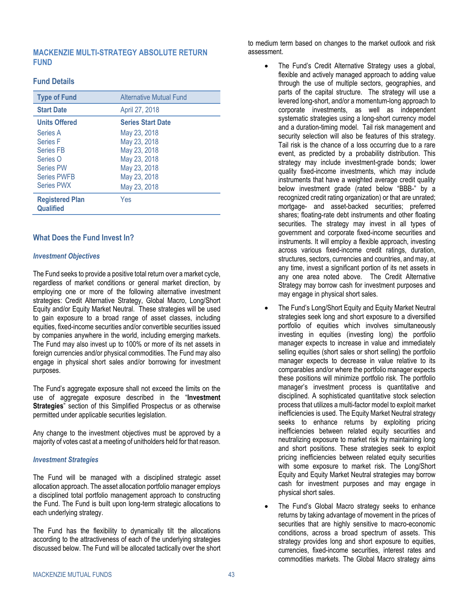### <span id="page-44-0"></span>**MACKENZIE MULTI-STRATEGY ABSOLUTE RETURN FUND**

### **Fund Details**

| <b>Type of Fund</b>                 | <b>Alternative Mutual Fund</b> |
|-------------------------------------|--------------------------------|
| <b>Start Date</b>                   | April 27, 2018                 |
| <b>Units Offered</b>                | <b>Series Start Date</b>       |
| Series A                            | May 23, 2018                   |
| <b>Series F</b>                     | May 23, 2018                   |
| <b>Series FB</b>                    | May 23, 2018                   |
| Series O                            | May 23, 2018                   |
| <b>Series PW</b>                    | May 23, 2018                   |
| <b>Series PWFB</b>                  | May 23, 2018                   |
| <b>Series PWX</b>                   | May 23, 2018                   |
| <b>Registered Plan</b><br>Qualified | Yes                            |

### **What Does the Fund Invest In?**

#### *Investment Objectives*

The Fund seeks to provide a positive total return over a market cycle, regardless of market conditions or general market direction, by employing one or more of the following alternative investment strategies: Credit Alternative Strategy, Global Macro, Long/Short Equity and/or Equity Market Neutral. These strategies will be used to gain exposure to a broad range of asset classes, including equities, fixed-income securities and/or convertible securities issued by companies anywhere in the world, including emerging markets. The Fund may also invest up to 100% or more of its net assets in foreign currencies and/or physical commodities. The Fund may also engage in physical short sales and/or borrowing for investment purposes.

The Fund's aggregate exposure shall not exceed the limits on the use of aggregate exposure described in the "**Investment Strategies**" section of this Simplified Prospectus or as otherwise permitted under applicable securities legislation.

Any change to the investment objectives must be approved by a majority of votes cast at a meeting of unitholders held for that reason.

#### *Investment Strategies*

The Fund will be managed with a disciplined strategic asset allocation approach. The asset allocation portfolio manager employs a disciplined total portfolio management approach to constructing the Fund. The Fund is built upon long-term strategic allocations to each underlying strategy.

The Fund has the flexibility to dynamically tilt the allocations according to the attractiveness of each of the underlying strategies discussed below. The Fund will be allocated tactically over the short

to medium term based on changes to the market outlook and risk assessment.

- The Fund's Credit Alternative Strategy uses a global, flexible and actively managed approach to adding value through the use of multiple sectors, geographies, and parts of the capital structure. The strategy will use a levered long-short, and/or a momentum-long approach to corporate investments, as well as independent systematic strategies using a long-short currency model and a duration-timing model. Tail risk management and security selection will also be features of this strategy. Tail risk is the chance of a loss occurring due to a rare event, as predicted by a probability distribution. This strategy may include investment-grade bonds; lower quality fixed-income investments, which may include instruments that have a weighted average credit quality below investment grade (rated below "BBB-" by a recognized credit rating organization) or that are unrated; mortgage- and asset-backed securities; preferred shares; floating-rate debt instruments and other floating securities. The strategy may invest in all types of government and corporate fixed-income securities and instruments. It will employ a flexible approach, investing across various fixed-income credit ratings, duration, structures, sectors, currencies and countries, and may, at any time, invest a significant portion of its net assets in any one area noted above. The Credit Alternative Strategy may borrow cash for investment purposes and may engage in physical short sales.
- The Fund's Long/Short Equity and Equity Market Neutral strategies seek long and short exposure to a diversified portfolio of equities which involves simultaneously investing in equities (investing long) the portfolio manager expects to increase in value and immediately selling equities (short sales or short selling) the portfolio manager expects to decrease in value relative to its comparables and/or where the portfolio manager expects these positions will minimize portfolio risk. The portfolio manager's investment process is quantitative and disciplined. A sophisticated quantitative stock selection process that utilizes a multi-factor model to exploit market inefficiencies is used. The Equity Market Neutral strategy seeks to enhance returns by exploiting pricing inefficiencies between related equity securities and neutralizing exposure to market risk by maintaining long and short positions. These strategies seek to exploit pricing inefficiencies between related equity securities with some exposure to market risk. The Long/Short Equity and Equity Market Neutral strategies may borrow cash for investment purposes and may engage in physical short sales.
- The Fund's Global Macro strategy seeks to enhance returns by taking advantage of movement in the prices of securities that are highly sensitive to macro-economic conditions, across a broad spectrum of assets. This strategy provides long and short exposure to equities, currencies, fixed-income securities, interest rates and commodities markets. The Global Macro strategy aims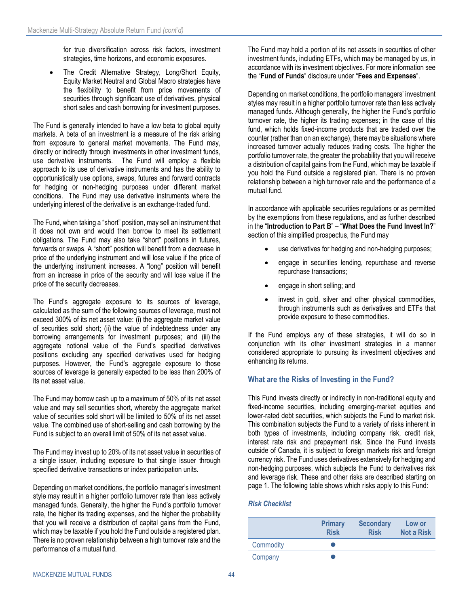for true diversification across risk factors, investment strategies, time horizons, and economic exposures.

The Credit Alternative Strategy, Long/Short Equity, Equity Market Neutral and Global Macro strategies have the flexibility to benefit from price movements of securities through significant use of derivatives, physical short sales and cash borrowing for investment purposes.

The Fund is generally intended to have a low beta to global equity markets. A beta of an investment is a measure of the risk arising from exposure to general market movements. The Fund may, directly or indirectly through investments in other investment funds, use derivative instruments. The Fund will employ a flexible approach to its use of derivative instruments and has the ability to opportunistically use options, swaps, futures and forward contracts for hedging or non-hedging purposes under different market conditions. The Fund may use derivative instruments where the underlying interest of the derivative is an exchange-traded fund.

The Fund, when taking a "short" position, may sell an instrument that it does not own and would then borrow to meet its settlement obligations. The Fund may also take "short" positions in futures, forwards or swaps. A "short" position will benefit from a decrease in price of the underlying instrument and will lose value if the price of the underlying instrument increases. A "long" position will benefit from an increase in price of the security and will lose value if the price of the security decreases.

The Fund's aggregate exposure to its sources of leverage, calculated as the sum of the following sources of leverage, must not exceed 300% of its net asset value: (i) the aggregate market value of securities sold short; (ii) the value of indebtedness under any borrowing arrangements for investment purposes; and (iii) the aggregate notional value of the Fund's specified derivatives positions excluding any specified derivatives used for hedging purposes. However, the Fund's aggregate exposure to those sources of leverage is generally expected to be less than 200% of its net asset value.

The Fund may borrow cash up to a maximum of 50% of its net asset value and may sell securities short, whereby the aggregate market value of securities sold short will be limited to 50% of its net asset value. The combined use of short-selling and cash borrowing by the Fund is subject to an overall limit of 50% of its net asset value.

The Fund may invest up to 20% of its net asset value in securities of a single issuer, including exposure to that single issuer through specified derivative transactions or index participation units.

Depending on market conditions, the portfolio manager's investment style may result in a higher portfolio turnover rate than less actively managed funds. Generally, the higher the Fund's portfolio turnover rate, the higher its trading expenses, and the higher the probability that you will receive a distribution of capital gains from the Fund, which may be taxable if you hold the Fund outside a registered plan. There is no proven relationship between a high turnover rate and the performance of a mutual fund.

The Fund may hold a portion of its net assets in securities of other investment funds, including ETFs, which may be managed by us, in accordance with its investment objectives. For more information see the "**[Fund of Funds](#page-21-1)**" disclosure under "**[Fees and Expenses](#page-17-0)**".

Depending on market conditions, the portfolio managers' investment styles may result in a higher portfolio turnover rate than less actively managed funds. Although generally, the higher the Fund's portfolio turnover rate, the higher its trading expenses; in the case of this fund, which holds fixed-income products that are traded over the counter (rather than on an exchange), there may be situations where increased turnover actually reduces trading costs. The higher the portfolio turnover rate, the greater the probability that you will receive a distribution of capital gains from the Fund, which may be taxable if you hold the Fund outside a registered plan. There is no proven relationship between a high turnover rate and the performance of a mutual fund.

In accordance with applicable securities regulations or as permitted by the exemptions from these regulations, and as further described in the "**[Introduction to Part](#page-30-1) B**" – "**[What Does the Fund Invest In?](#page-30-2)**" section of this simplified prospectus, the Fund may

- use derivatives for hedging and non-hedging purposes;
- engage in securities lending, repurchase and reverse repurchase transactions;
- engage in short selling; and
- invest in gold, silver and other physical commodities, through instruments such as derivatives and ETFs that provide exposure to these commodities.

If the Fund employs any of these strategies, it will do so in conjunction with its other investment strategies in a manner considered appropriate to pursuing its investment objectives and enhancing its returns.

### **What are the Risks of Investing in the Fund?**

This Fund invests directly or indirectly in non-traditional equity and fixed-income securities, including emerging-market equities and lower-rated debt securities, which subjects the Fund to market risk. This combination subjects the Fund to a variety of risks inherent in both types of investments, including company risk, credit risk, interest rate risk and prepayment risk. Since the Fund invests outside of Canada, it is subject to foreign markets risk and foreign currency risk. The Fund uses derivatives extensively for hedging and non-hedging purposes, which subjects the Fund to derivatives risk and leverage risk. These and other risks are described starting on page [1.](#page-2-1) The following table shows which risks apply to this Fund:

### *Risk Checklist*

|           | <b>Primary</b><br><b>Risk</b> | <b>Secondary</b><br><b>Risk</b> | Low or<br><b>Not a Risk</b> |
|-----------|-------------------------------|---------------------------------|-----------------------------|
| Commodity |                               |                                 |                             |
| Company   |                               |                                 |                             |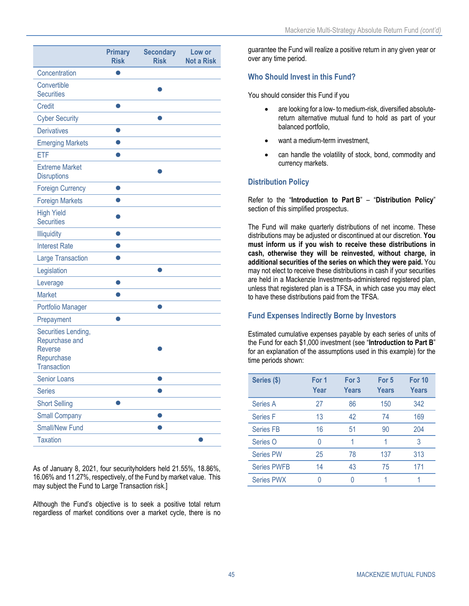<span id="page-46-0"></span>

|                                                                                             | <b>Primary</b><br><b>Risk</b> | <b>Secondary</b><br><b>Risk</b> | Low or<br><b>Not a Risk</b> |
|---------------------------------------------------------------------------------------------|-------------------------------|---------------------------------|-----------------------------|
| Concentration                                                                               |                               |                                 |                             |
| Convertible<br><b>Securities</b>                                                            |                               |                                 |                             |
| <b>Credit</b>                                                                               |                               |                                 |                             |
| <b>Cyber Security</b>                                                                       |                               |                                 |                             |
| <b>Derivatives</b>                                                                          |                               |                                 |                             |
| <b>Emerging Markets</b>                                                                     |                               |                                 |                             |
| ETF                                                                                         |                               |                                 |                             |
| <b>Extreme Market</b><br><b>Disruptions</b>                                                 |                               |                                 |                             |
| <b>Foreign Currency</b>                                                                     | O                             |                                 |                             |
| <b>Foreign Markets</b>                                                                      |                               |                                 |                             |
| <b>High Yield</b><br><b>Securities</b>                                                      |                               |                                 |                             |
| <b>Illiquidity</b>                                                                          |                               |                                 |                             |
| <b>Interest Rate</b>                                                                        |                               |                                 |                             |
| <b>Large Transaction</b>                                                                    |                               |                                 |                             |
| Legislation                                                                                 |                               |                                 |                             |
| Leverage                                                                                    | 0                             |                                 |                             |
| <b>Market</b>                                                                               |                               |                                 |                             |
| Portfolio Manager                                                                           |                               |                                 |                             |
| Prepayment                                                                                  |                               |                                 |                             |
| Securities Lending,<br>Repurchase and<br><b>Reverse</b><br>Repurchase<br><b>Transaction</b> |                               |                                 |                             |
| <b>Senior Loans</b>                                                                         |                               |                                 |                             |
| <b>Series</b>                                                                               |                               |                                 |                             |
| <b>Short Selling</b>                                                                        |                               |                                 |                             |
| <b>Small Company</b>                                                                        |                               |                                 |                             |
| <b>Small/New Fund</b>                                                                       |                               |                                 |                             |
| <b>Taxation</b>                                                                             |                               |                                 |                             |

As of January 8, 2021, four securityholders held 21.55%, 18.86%, 16.06% and 11.27%, respectively, of the Fund by market value. This may subject the Fund to Large Transaction risk.]

Although the Fund's objective is to seek a positive total return regardless of market conditions over a market cycle, there is no

guarantee the Fund will realize a positive return in any given year or over any time period.

### **Who Should Invest in this Fund?**

You should consider this Fund if you

- are looking for a low- to medium-risk, diversified absolutereturn alternative mutual fund to hold as part of your balanced portfolio,
- want a medium-term investment,
- can handle the volatility of stock, bond, commodity and currency markets.

### **Distribution Policy**

Refer to the "**[Introduction to Part](#page-30-1) B**" – "**[Distribution Policy](#page-33-0)**" section of this simplified prospectus.

The Fund will make quarterly distributions of net income. These distributions may be adjusted or discontinued at our discretion. **You must inform us if you wish to receive these distributions in cash, otherwise they will be reinvested, without charge, in additional securities of the series on which they were paid.** You may not elect to receive these distributions in cash if your securities are held in a Mackenzie Investments-administered registered plan, unless that registered plan is a TFSA, in which case you may elect to have these distributions paid from the TFSA.

### **Fund Expenses Indirectly Borne by Investors**

Estimated cumulative expenses payable by each series of units of the Fund for each \$1,000 investment (see "**[Introduction to Part](#page-30-1) B**" for an explanation of the assumptions used in this example) for the time periods shown:

| Series (\$)        | For 1<br>Year | For 3<br>Years | For 5<br>Years | <b>For 10</b><br>Years |
|--------------------|---------------|----------------|----------------|------------------------|
| Series A           | 27            | 86             | 150            | 342                    |
| Series F           | 13            | 42             | 74             | 169                    |
| <b>Series FB</b>   | 16            | 51             | 90             | 204                    |
| Series O           | N             |                |                | 3                      |
| <b>Series PW</b>   | 25            | 78             | 137            | 313                    |
| <b>Series PWFB</b> | 14            | 43             | 75             | 171                    |
| <b>Series PWX</b>  | 0             |                |                |                        |